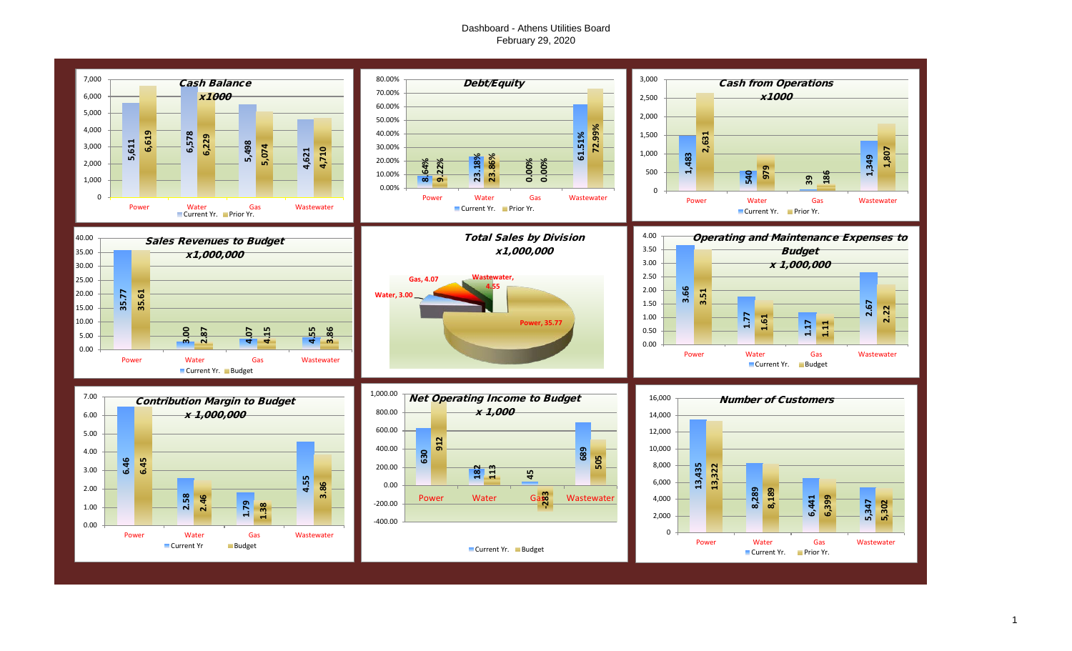# Dashboard - Athens Utilities Board February 29, 2020

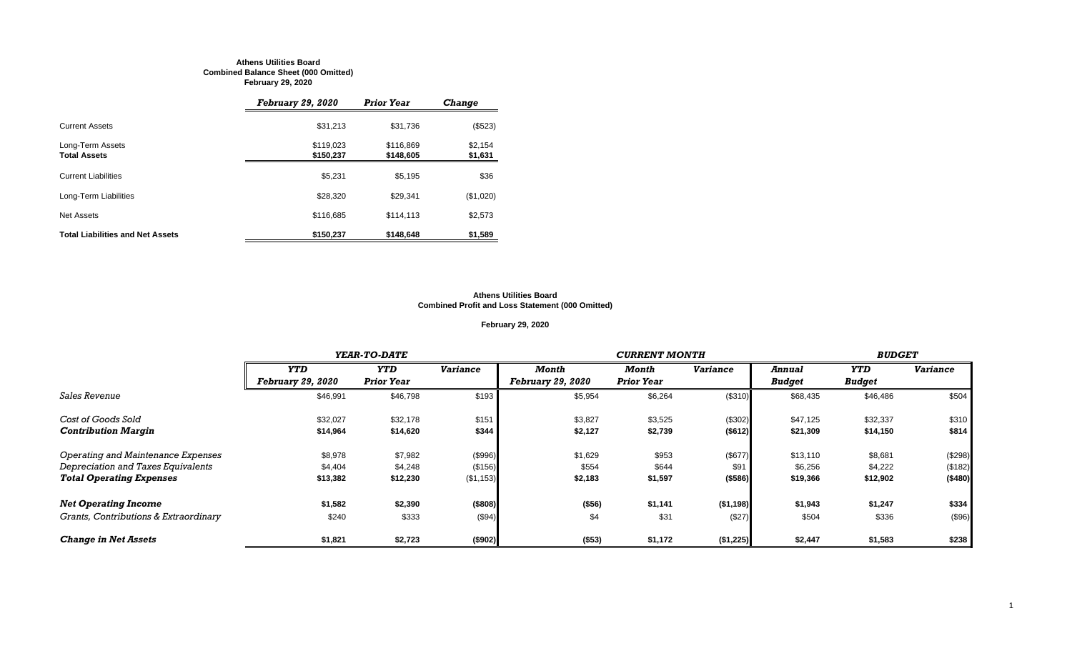#### **Athens Utilities Board Combined Balance Sheet (000 Omitted) February 29, 2020**

|                                         | <b>February 29, 2020</b> | <b>Prior Year</b>      | <b>Change</b>      |
|-----------------------------------------|--------------------------|------------------------|--------------------|
| <b>Current Assets</b>                   | \$31,213                 | \$31,736               | (\$523)            |
| Long-Term Assets<br><b>Total Assets</b> | \$119,023<br>\$150,237   | \$116,869<br>\$148,605 | \$2,154<br>\$1,631 |
| <b>Current Liabilities</b>              | \$5,231                  | \$5,195                | \$36               |
| Long-Term Liabilities                   | \$28,320                 | \$29.341               | (\$1,020)          |
| Net Assets                              | \$116,685                | \$114.113              | \$2,573            |
| <b>Total Liabilities and Net Assets</b> | \$150,237                | \$148,648              | \$1,589            |

#### **Athens Utilities Board Combined Profit and Loss Statement (000 Omitted)**

# **February 29, 2020**

|                                       |                          | YEAR-TO-DATE      |                 |                          |                   | <b>CURRENT MONTH</b> |               |               |                 |  |  |
|---------------------------------------|--------------------------|-------------------|-----------------|--------------------------|-------------------|----------------------|---------------|---------------|-----------------|--|--|
|                                       | <b>YTD</b>               | <b>YTD</b>        | <b>Variance</b> | Month                    | Month             | <b>Variance</b>      | <b>Annual</b> | <b>YTD</b>    | <b>Variance</b> |  |  |
|                                       | <b>February 29, 2020</b> | <b>Prior Year</b> |                 | <b>February 29, 2020</b> | <b>Prior Year</b> |                      | <b>Budget</b> | <b>Budget</b> |                 |  |  |
| <i>Sales Revenue</i>                  | \$46,991                 | \$46,798          | \$193           | \$5,954                  | \$6,264           | (\$310)              | \$68,435      | \$46,486      | \$504           |  |  |
| Cost of Goods Sold                    | \$32,027                 | \$32,178          | \$151           | \$3,827                  | \$3,525           | (\$302)              | \$47,125      | \$32,337      | \$310           |  |  |
| <b>Contribution Margin</b>            | \$14,964                 | \$14,620          | \$344           | \$2,127                  | \$2,739           | ( \$612)             | \$21,309      | \$14,150      | \$814           |  |  |
| Operating and Maintenance Expenses    | \$8,978                  | \$7,982           | (\$996)         | \$1,629                  | \$953             | (\$677)              | \$13,110      | \$8,681       | (\$298)         |  |  |
| Depreciation and Taxes Equivalents    | \$4,404                  | \$4,248           | (\$156)         | \$554                    | \$644             | \$91                 | \$6,256       | \$4,222       | (\$182)         |  |  |
| <b>Total Operating Expenses</b>       | \$13,382                 | \$12,230          | (\$1,153)       | \$2,183                  | \$1,597           | ( \$586)             | \$19,366      | \$12,902      | (\$480)         |  |  |
| <b>Net Operating Income</b>           | \$1,582                  | \$2,390           | (\$808)         | (\$56)                   | \$1,141           | ( \$1,198]           | \$1,943       | \$1,247       | \$334           |  |  |
| Grants, Contributions & Extraordinary | \$240                    | \$333             | (\$94)          | \$4                      | \$31              | (\$27)               | \$504         | \$336         | (\$96)          |  |  |
| <b>Change in Net Assets</b>           | \$1,821                  | \$2,723           | (\$902)         | (\$53)                   | \$1,172           | (\$1,225)            | \$2,447       | \$1,583       | \$238           |  |  |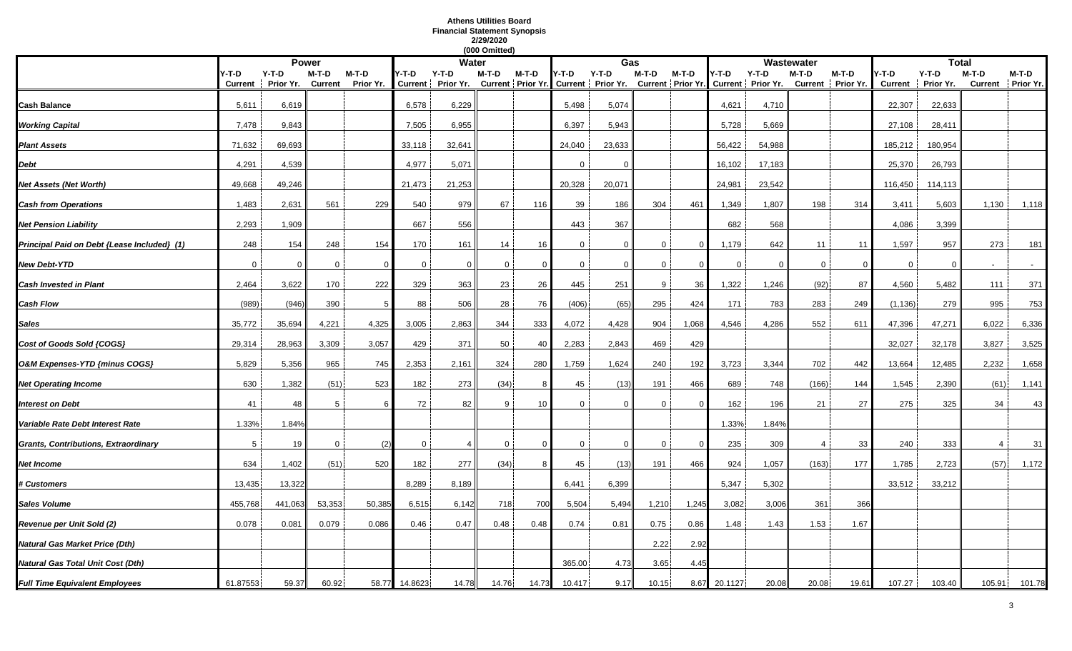# **Athens Utilities Board Financial Statement Synopsis 2/29/2020**

|                                             |                  |                      |                    |                      |             |                                                                                                              | (000 Omitted) |          |          |          |                |         |              |              |                |                              |                         |                      |                |                            |
|---------------------------------------------|------------------|----------------------|--------------------|----------------------|-------------|--------------------------------------------------------------------------------------------------------------|---------------|----------|----------|----------|----------------|---------|--------------|--------------|----------------|------------------------------|-------------------------|----------------------|----------------|----------------------------|
|                                             |                  | <b>Power</b>         |                    |                      |             | <b>Water</b>                                                                                                 |               |          |          | Gas      |                |         |              |              | Wastewater     |                              |                         | <b>Total</b>         |                |                            |
|                                             | Y-T-D<br>Current | $Y-T-D$<br>Prior Yr. | $M-T-D$<br>Current | $M-T-D$<br>Prior Yr. | Y-T-D       | Y-T-D<br>Current   Prior Yr. Current   Prior Yr. Current   Prior Yr. Current   Prior Yr. Current   Prior Yr. | M-T-D         | $M-T-D$  | Y-T-D    | $Y-T-D$  | M-T-D          | $M-T-D$ | 4-T-D        | $Y-T-D$      | $M-T-D$        | $M-T-D$<br>Current Prior Yr. | Y-T-D<br><b>Current</b> | $Y-T-D$<br>Prior Yr. | $M-T-D$        | M-T-D<br>Current Prior Yr. |
| Cash Balance                                | 5,611            | 6,619                |                    |                      | 6,578       | 6,229                                                                                                        |               |          | 5,498    | 5,074    |                |         | 4,621        | 4,710        |                |                              | 22,307                  | 22,633               |                |                            |
| <b>Working Capital</b>                      | 7,478            | 9,843                |                    |                      | 7,505       | 6,955                                                                                                        |               |          | 6,397    | 5,943    |                |         | 5,728        | 5,669        |                |                              | 27,108                  | 28,411               |                |                            |
| <b>Plant Assets</b>                         | 71,632           | 69,693               |                    |                      | 33,118      | 32,641                                                                                                       |               |          | 24,040   | 23,633   |                |         | 56,422       | 54,988       |                |                              | 185,212                 | 180,954              |                |                            |
| Debt                                        | 4,291            | 4,539                |                    |                      | 4,977       | 5,071                                                                                                        |               |          | $\Omega$ | $\Omega$ |                |         | 16,102       | 17,183       |                |                              | 25,370                  | 26,793               |                |                            |
| Net Assets (Net Worth)                      | 49,668           | 49,246               |                    |                      | 21,473      | 21,253                                                                                                       |               |          | 20,328   | 20,071   |                |         | 24,981       | 23,542       |                |                              | 116,450                 | 114,113              |                |                            |
| <b>Cash from Operations</b>                 | 1,483            | 2,631                | 561                | 229                  | 540         | 979                                                                                                          | 67            | 116      | 39       | 186      | 304            | 461     | 1,349        | 1,807        | 198            | 314                          | 3,411                   | 5,603                | 1,130          | 1,118                      |
| <b>Net Pension Liability</b>                | 2,293            | 1,909                |                    |                      | 667         | 556                                                                                                          |               |          | 443      | 367      |                |         | 682          | 568          |                |                              | 4,086                   | 3,399                |                |                            |
| Principal Paid on Debt {Lease Included} (1) | 248              | 154                  | 248                | 154                  | 170         | 161                                                                                                          | 14            | 16       | $\Omega$ | $\Omega$ | $\Omega$       | 0       | 1,179        | 642          | 11             | 11                           | 1,597                   | 957                  | 273            | 181                        |
| <b>New Debt-YTD</b>                         | $\overline{0}$   | $\Omega$             | $\mathbf 0$        | $\Omega$             | $\mathbf 0$ | $\Omega$                                                                                                     | $\mathbf 0$   | $\Omega$ | $\Omega$ | $\Omega$ | $\mathbf{0}$   |         | $\mathbf 0$  | $\mathbf{0}$ | $\mathbf 0$    | $\Omega$                     | $\mathbf 0$             | $\Omega$             | $\sim$         | $\sim$                     |
| Cash Invested in Plant                      | 2,464            | 3,622                | 170                | 222                  | 329         | 363                                                                                                          | 23            | 26       | 445      | 251      | 9 <sup>1</sup> | 36      | 1,322        | 1,246        | (92)           | 87                           | 4,560                   | 5,482                | 111            | 371                        |
| Cash Flow                                   | (989)            | (946)                | 390                | .5                   | 88          | 506                                                                                                          | 28            | 76       | (406)    | (65)     | 295            | 424     | 171          | 783          | 283            | 249                          | (1, 136)                | 279                  | 995            | 753                        |
| Sales                                       | 35,772           | 35,694               | 4,221              | 4,325                | 3,005       | 2,863                                                                                                        | 344           | 333      | 4,072    | 4,428    | 904            | 1,068   | 4,546        | 4,286        | 552            | 611                          | 47,396                  | 47,271               | 6,022          | 6,336                      |
| Cost of Goods Sold {COGS}                   | 29,314           | 28,963               | 3,309              | 3,057                | 429         | 371                                                                                                          | 50            | 40       | 2,283    | 2,843    | 469            | 429     |              |              |                |                              | 32,027                  | 32,178               | 3,827          | 3,525                      |
| O&M Expenses-YTD {minus COGS}               | 5,829            | 5,356                | 965                | 745                  | 2,353       | 2,161                                                                                                        | 324           | 280      | 1,759    | 1,624    | 240            | 192     | 3,723        | 3,344        | 702            | 442                          | 13,664                  | 12,485               | 2,232          | 1,658                      |
| <b>Net Operating Income</b>                 | 630              | 1,382                | (51)               | 523                  | 182         | 273                                                                                                          | (34)          |          | 45       | (13)     | 191            | 466     | 689          | 748          | (166)          | 144                          | 1,545                   | 2,390                | (61)           | 1,141                      |
| Interest on Debt                            | 41               | 48                   | 5                  |                      | 72          | 82                                                                                                           | 9             | 10       | $\Omega$ | $\Omega$ | 0              |         | 162          | 196          | 21             | 27                           | 275                     | 325                  | 34             | 43                         |
| Variable Rate Debt Interest Rate            | 1.33%            | 1.84%                |                    |                      |             |                                                                                                              |               |          |          |          |                |         | 1.33%        | 1.84%        |                |                              |                         |                      |                |                            |
| Grants, Contributions, Extraordinary        | 5                | 19                   | 0                  | (2)                  | $\mathbf 0$ |                                                                                                              | $\mathbf 0$   |          | 0        | $\Omega$ | 0              | -0      | 235          | 309          | $\overline{4}$ | 33                           | 240                     | 333                  | $\overline{4}$ | 31                         |
| Net Income                                  | 634              | 1,402                | (51)               | 520                  | 182         | 277                                                                                                          | (34)          |          | 45       | (13)     | 191            | 466     | 924          | 1,057        | (163)          | 177                          | 1,785                   | 2,723                | (57)           | 1,172                      |
| <b>‡ Customers</b>                          | 13,435           | 13,322               |                    |                      | 8,289       | 8,189                                                                                                        |               |          | 6,441    | 6,399    |                |         | 5,347        | 5,302        |                |                              | 33,512                  | 33,212               |                |                            |
| Sales Volume                                | 455,768          | 441,063              | 53,353             | 50,385               | 6,515       | 6,142                                                                                                        | 718           | 700      | 5,504    | 5,494    | 1,210          | 1,245   | 3,082        | 3,006        | 361            | 366                          |                         |                      |                |                            |
| Revenue per Unit Sold (2)                   | 0.078            | 0.081                | 0.079              | 0.086                | 0.46        | 0.47                                                                                                         | 0.48          | 0.48     | 0.74     | 0.81     | 0.75           | 0.86    | 1.48         | 1.43         | 1.53           | 1.67                         |                         |                      |                |                            |
| Natural Gas Market Price (Dth)              |                  |                      |                    |                      |             |                                                                                                              |               |          |          |          | 2.22           | 2.92    |              |              |                |                              |                         |                      |                |                            |
| Natural Gas Total Unit Cost (Dth)           |                  |                      |                    |                      |             |                                                                                                              |               |          | 365.00   | 4.73     | 3.65           | 4.45    |              |              |                |                              |                         |                      |                |                            |
| <b>Full Time Equivalent Employees</b>       | 61.87553         | 59.37                | 60.92              | 58.77                | 14.8623     | 14.78                                                                                                        | 14.76         | 14.73    | 10.417   | 9.17     | 10.15          |         | 8.67 20.1127 | 20.08        | 20.08          | 19.61                        | 107.27                  | 103.40               | 105.91         | 101.78                     |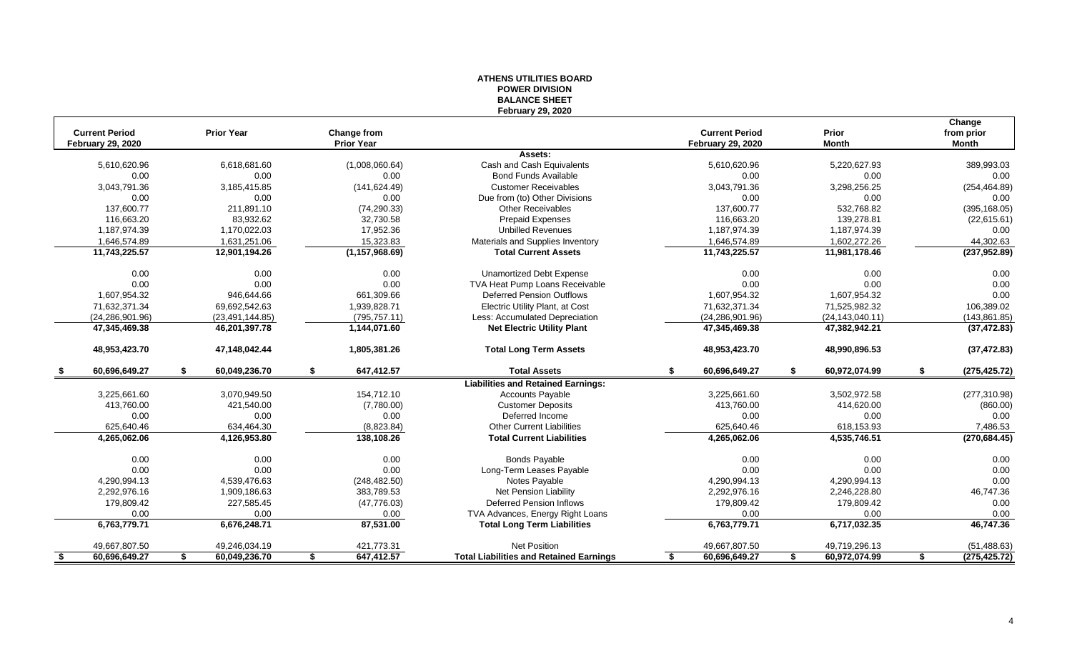|                                                   |                     |                                         | ייטוטו זו דום אז ט<br><b>BALANCE SHEET</b>     |                                                   |                       |                                      |
|---------------------------------------------------|---------------------|-----------------------------------------|------------------------------------------------|---------------------------------------------------|-----------------------|--------------------------------------|
| <b>Current Period</b><br><b>February 29, 2020</b> | <b>Prior Year</b>   | <b>Change from</b><br><b>Prior Year</b> | <b>February 29, 2020</b>                       | <b>Current Period</b><br><b>February 29, 2020</b> | Prior<br><b>Month</b> | Change<br>from prior<br><b>Month</b> |
|                                                   |                     |                                         | Assets:                                        |                                                   |                       |                                      |
| 5,610,620.96                                      | 6,618,681.60        | (1,008,060.64)                          | Cash and Cash Equivalents                      | 5,610,620.96                                      | 5,220,627.93          | 389,993.03                           |
| 0.00                                              | 0.00                | 0.00                                    | <b>Bond Funds Available</b>                    | 0.00                                              | 0.00                  | 0.00                                 |
| 3,043,791.36                                      | 3,185,415.85        | (141, 624.49)                           | <b>Customer Receivables</b>                    | 3,043,791.36                                      | 3,298,256.25          | (254, 464.89)                        |
| 0.00                                              | 0.00                | 0.00                                    | Due from (to) Other Divisions                  | 0.00                                              | 0.00                  | 0.00                                 |
| 137,600.77                                        | 211.891.10          | (74, 290.33)                            | <b>Other Receivables</b>                       | 137,600.77                                        | 532,768.82            | (395, 168.05)                        |
| 116,663.20                                        | 83,932.62           | 32,730.58                               | <b>Prepaid Expenses</b>                        | 116,663.20                                        | 139,278.81            | (22, 615.61)                         |
| 1,187,974.39                                      | 1,170,022.03        | 17,952.36                               | <b>Unbilled Revenues</b>                       | 1,187,974.39                                      | 1,187,974.39          | 0.00                                 |
| 1,646,574.89                                      | 1,631,251.06        | 15,323.83                               | Materials and Supplies Inventory               | 1,646,574.89                                      | 1,602,272.26          | 44,302.63                            |
| 11,743,225.57                                     | 12,901,194.26       | (1, 157, 968.69)                        | <b>Total Current Assets</b>                    | 11,743,225.57                                     | 11,981,178.46         | (237, 952.89)                        |
| 0.00                                              | 0.00                | 0.00                                    | <b>Unamortized Debt Expense</b>                | 0.00                                              | 0.00                  | 0.00                                 |
| 0.00                                              | 0.00                | 0.00                                    | TVA Heat Pump Loans Receivable                 | 0.00                                              | 0.00                  | 0.00                                 |
| 1,607,954.32                                      | 946,644.66          | 661,309.66                              | <b>Deferred Pension Outflows</b>               | 1,607,954.32                                      | 1,607,954.32          | 0.00                                 |
| 71,632,371.34                                     | 69,692,542.63       | 1,939,828.71                            | Electric Utility Plant, at Cost                | 71,632,371.34                                     | 71,525,982.32         | 106,389.02                           |
| (24, 286, 901.96)                                 | (23, 491, 144.85)   | (795, 757.11)                           | Less: Accumulated Depreciation                 | (24, 286, 901.96)                                 | (24, 143, 040.11)     | (143, 861.85)                        |
| 47,345,469.38                                     | 46,201,397.78       | 1,144,071.60                            | <b>Net Electric Utility Plant</b>              | 47,345,469.38                                     | 47,382,942.21         | (37, 472.83)                         |
| 48,953,423.70                                     | 47,148,042.44       | 1,805,381.26                            | <b>Total Long Term Assets</b>                  | 48,953,423.70                                     | 48,990,896.53         | (37, 472.83)                         |
| 60,696,649.27                                     | 60,049,236.70<br>£. | 647,412.57<br>-S                        | <b>Total Assets</b>                            | 60,696,649.27<br>\$                               | 60,972,074.99<br>£.   | (275, 425.72)<br>\$                  |
|                                                   |                     |                                         | <b>Liabilities and Retained Earnings:</b>      |                                                   |                       |                                      |
| 3,225,661.60                                      | 3,070,949.50        | 154,712.10                              | <b>Accounts Payable</b>                        | 3,225,661.60                                      | 3,502,972.58          | (277, 310.98)                        |
| 413.760.00                                        | 421,540.00          | (7,780.00)                              | <b>Customer Deposits</b>                       | 413.760.00                                        | 414,620.00            | (860.00)                             |
| 0.00                                              | 0.00                | 0.00                                    | Deferred Income                                | 0.00                                              | 0.00                  | 0.00                                 |
| 625,640.46                                        | 634,464.30          | (8,823.84)                              | <b>Other Current Liabilities</b>               | 625,640.46                                        | 618,153.93            | 7,486.53                             |
| 4,265,062.06                                      | 4,126,953.80        | 138,108.26                              | <b>Total Current Liabilities</b>               | 4,265,062.06                                      | 4,535,746.51          | (270, 684.45)                        |
| 0.00                                              | 0.00                | 0.00                                    | <b>Bonds Payable</b>                           | 0.00                                              | 0.00                  | 0.00                                 |
| 0.00                                              | 0.00                | 0.00                                    | Long-Term Leases Payable                       | 0.00                                              | 0.00                  | 0.00                                 |
| 4,290,994.13                                      | 4,539,476.63        | (248, 482.50)                           | Notes Payable                                  | 4,290,994.13                                      | 4,290,994.13          | 0.00                                 |
| 2,292,976.16                                      | 1,909,186.63        | 383,789.53                              | Net Pension Liability                          | 2,292,976.16                                      | 2,246,228.80          | 46,747.36                            |
| 179,809.42                                        | 227,585.45          | (47, 776.03)                            | <b>Deferred Pension Inflows</b>                | 179,809.42                                        | 179,809.42            | 0.00                                 |
| 0.00                                              | 0.00                | 0.00                                    | TVA Advances, Energy Right Loans               | 0.00                                              | 0.00                  | 0.00                                 |
| 6,763,779.71                                      | 6,676,248.71        | 87,531.00                               | <b>Total Long Term Liabilities</b>             | 6,763,779.71                                      | 6,717,032.35          | 46,747.36                            |
| 49,667,807.50                                     | 49,246,034.19       | 421,773.31                              | Net Position                                   | 49,667,807.50                                     | 49,719,296.13         | (51, 488.63)                         |
| 60,696,649.27<br>- \$                             | 60,049,236.70<br>\$ | 647,412.57<br>\$                        | <b>Total Liabilities and Retained Earnings</b> | 60,696,649.27<br>S                                | 60,972,074.99<br>\$   | (275, 425.72)<br>\$                  |

# **ATHENS UTILITIES BOARD POWER DIVISION**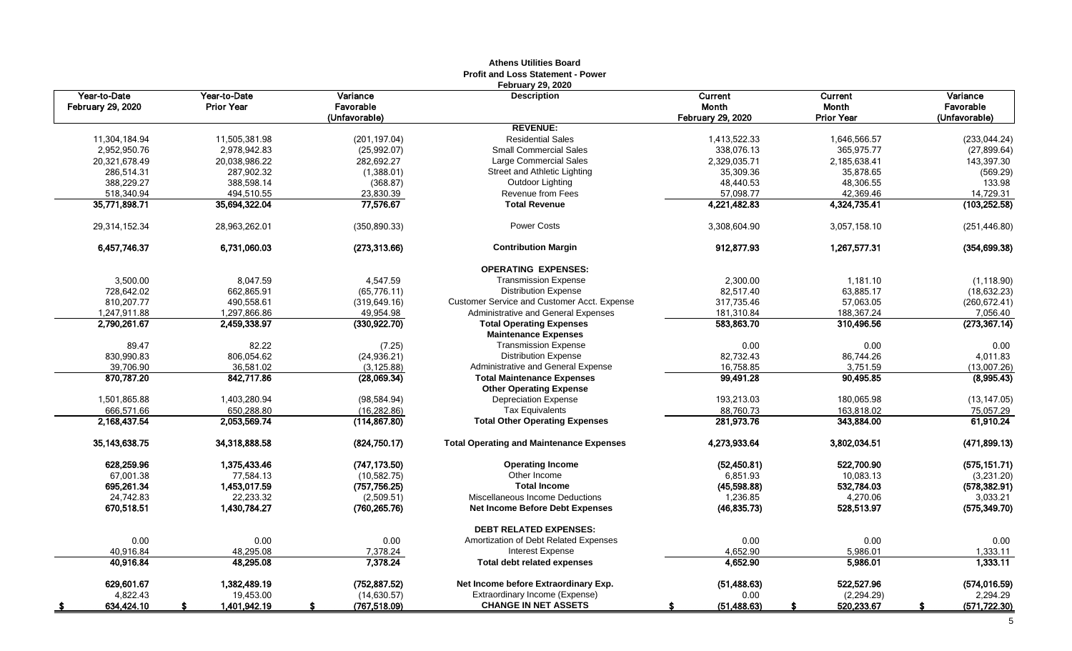|                                   |                                   |                       | Athens Utilities Board<br><b>Profit and Loss Statement - Power</b> |                          |                                |                       |
|-----------------------------------|-----------------------------------|-----------------------|--------------------------------------------------------------------|--------------------------|--------------------------------|-----------------------|
| Year-to-Date<br>February 29, 2020 | Year-to-Date<br><b>Prior Year</b> | Variance<br>Favorable | <b>February 29, 2020</b><br><b>Description</b>                     | Current<br>Month         | <b>Current</b><br><b>Month</b> | Variance<br>Favorable |
|                                   |                                   | (Unfavorable)         |                                                                    | <b>February 29, 2020</b> | <b>Prior Year</b>              | (Unfavorable)         |
|                                   |                                   |                       | <b>REVENUE:</b>                                                    |                          |                                |                       |
| 11,304,184.94                     | 11,505,381.98                     | (201, 197.04)         | <b>Residential Sales</b>                                           | 1,413,522.33             | 1,646,566.57                   | (233, 044.24)         |
| 2,952,950.76                      | 2,978,942.83                      | (25,992.07)           | <b>Small Commercial Sales</b>                                      | 338,076.13               | 365,975.77                     | (27, 899.64)          |
| 20,321,678.49                     | 20,038,986.22                     | 282,692.27            | Large Commercial Sales                                             | 2,329,035.71             | 2,185,638.41                   | 143,397.30            |
| 286,514.31                        | 287,902.32                        | (1,388.01)            | Street and Athletic Lighting                                       | 35,309.36                | 35,878.65                      | (569.29)              |
| 388,229.27                        | 388,598.14                        | (368.87)              | Outdoor Lighting                                                   | 48,440.53                | 48,306.55                      | 133.98                |
| 518,340.94                        | 494,510.55                        | 23,830.39             | <b>Revenue from Fees</b>                                           | 57,098.77                | 42,369.46                      | 14,729.31             |
| 35,771,898.71                     | 35,694,322.04                     | 77,576.67             | <b>Total Revenue</b>                                               | 4,221,482.83             | 4,324,735.41                   | (103, 252.58)         |
| 29,314,152.34                     | 28,963,262.01                     | (350, 890.33)         | <b>Power Costs</b>                                                 | 3,308,604.90             | 3,057,158.10                   | (251, 446.80)         |
| 6,457,746.37                      | 6,731,060.03                      | (273, 313.66)         | <b>Contribution Margin</b>                                         | 912,877.93               | 1,267,577.31                   | (354, 699.38)         |
|                                   |                                   |                       | <b>OPERATING EXPENSES:</b>                                         |                          |                                |                       |
| 3,500.00                          | 8,047.59                          | 4,547.59              | <b>Transmission Expense</b>                                        | 2,300.00                 | 1,181.10                       | (1, 118.90)           |
| 728,642.02                        | 662,865.91                        | (65, 776.11)          | <b>Distribution Expense</b>                                        | 82,517.40                | 63,885.17                      | (18, 632.23)          |
| 810,207.77                        | 490,558.61                        | (319, 649.16)         | Customer Service and Customer Acct. Expense                        | 317,735.46               | 57,063.05                      | (260, 672.41)         |
| 1,247,911.88                      | 1,297,866.86                      | 49,954.98             | Administrative and General Expenses                                | 181,310.84               | 188,367.24                     | 7,056.40              |
| 2,790,261.67                      | 2,459,338.97                      | (330, 922.70)         | <b>Total Operating Expenses</b>                                    | 583,863.70               | 310,496.56                     | (273, 367.14)         |
|                                   |                                   |                       | <b>Maintenance Expenses</b>                                        |                          |                                |                       |
| 89.47                             | 82.22                             | (7.25)                | <b>Transmission Expense</b>                                        | 0.00                     | 0.00                           | 0.00                  |
| 830,990.83                        | 806,054.62                        | (24, 936.21)          | <b>Distribution Expense</b>                                        | 82,732.43                | 86,744.26                      | 4,011.83              |
| 39.706.90                         | 36,581.02                         | (3, 125.88)           | Administrative and General Expense                                 | 16,758.85                | 3,751.59                       | (13,007.26)           |
| 870,787.20                        | 842,717.86                        | (28,069.34)           | <b>Total Maintenance Expenses</b>                                  | 99,491.28                | 90,495.85                      | (8,995.43)            |
|                                   |                                   |                       | <b>Other Operating Expense</b>                                     |                          |                                |                       |
| 1,501,865.88                      | 1,403,280.94                      | (98, 584.94)          | <b>Depreciation Expense</b>                                        | 193,213.03               | 180,065.98                     | (13, 147.05)          |
| 666,571.66                        | 650,288.80                        | (16, 282.86)          | <b>Tax Equivalents</b>                                             | 88,760.73                | 163,818.02                     | 75,057.29             |
| 2.168.437.54                      | 2.053.569.74                      | (114, 867.80)         | <b>Total Other Operating Expenses</b>                              | 281,973.76               | 343,884.00                     | 61,910.24             |
| 35, 143, 638. 75                  | 34,318,888.58                     | (824,750.17)          | <b>Total Operating and Maintenance Expenses</b>                    | 4,273,933.64             | 3,802,034.51                   | (471, 899.13)         |
| 628,259.96                        | 1,375,433.46                      | (747, 173.50)         | <b>Operating Income</b>                                            | (52, 450.81)             | 522,700.90                     | (575, 151.71)         |
| 67,001.38                         | 77,584.13                         | (10, 582.75)          | Other Income                                                       | 6,851.93                 | 10,083.13                      | (3,231.20)            |
| 695,261.34                        | 1,453,017.59                      | (757, 756.25)         | <b>Total Income</b>                                                | (45,598.88)              | 532,784.03                     | (578, 382.91)         |
| 24,742.83                         | 22,233.32                         | (2,509.51)            | Miscellaneous Income Deductions                                    | 1,236.85                 | 4,270.06                       | 3,033.21              |
| 670,518.51                        | 1,430,784.27                      | (760, 265.76)         | <b>Net Income Before Debt Expenses</b>                             | (46, 835.73)             | 528,513.97                     | (575, 349.70)         |
|                                   |                                   |                       | <b>DEBT RELATED EXPENSES:</b>                                      |                          |                                |                       |
| 0.00                              | 0.00                              | 0.00                  | Amortization of Debt Related Expenses                              | 0.00                     | 0.00                           | 0.00                  |
| 40,916.84                         | 48,295.08                         | 7,378.24              | Interest Expense                                                   | 4,652.90                 | 5,986.01                       | 1,333.11              |
| 40,916.84                         | 48,295.08                         | 7,378.24              | <b>Total debt related expenses</b>                                 | 4,652.90                 | 5,986.01                       | 1,333.11              |
| 629,601.67                        | 1,382,489.19                      | (752, 887.52)         | Net Income before Extraordinary Exp.                               | (51, 488.63)             | 522,527.96                     | (574, 016.59)         |
| 4,822.43                          | 19,453.00                         | (14, 630.57)          | Extraordinary Income (Expense)                                     | 0.00                     | (2, 294.29)                    | 2,294.29              |
| 634,424.10                        | 1,401,942.19                      | (767, 518.09)<br>£.   | <b>CHANGE IN NET ASSETS</b>                                        | (51, 488.63)             | 520,233.67<br>S                | (571, 722.30)         |

# **Athens Utilities Board**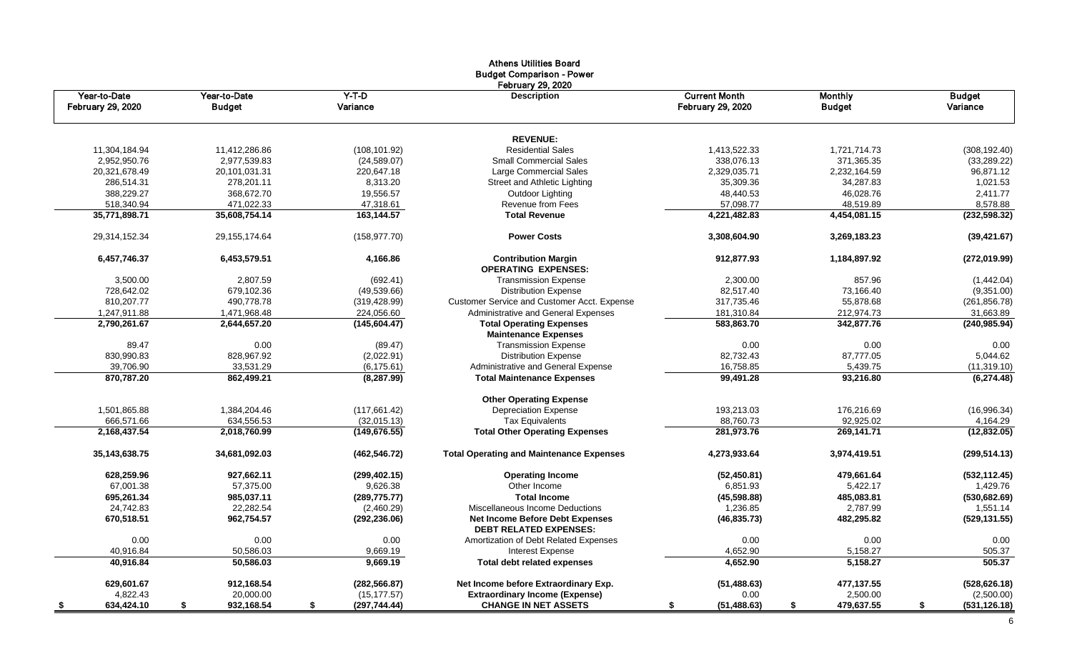|                                   |                               |                     | <b>Athens Utilities Board</b><br><b>Budget Comparison - Power</b><br><b>February 29, 2020</b> |                                           |                                 |                           |
|-----------------------------------|-------------------------------|---------------------|-----------------------------------------------------------------------------------------------|-------------------------------------------|---------------------------------|---------------------------|
| Year-to-Date<br>February 29, 2020 | Year-to-Date<br><b>Budget</b> | $Y-T-D$<br>Variance | <b>Description</b>                                                                            | <b>Current Month</b><br>February 29, 2020 | <b>Monthly</b><br><b>Budget</b> | <b>Budget</b><br>Variance |
|                                   |                               |                     | <b>REVENUE:</b>                                                                               |                                           |                                 |                           |
| 11,304,184.94                     | 11.412.286.86                 | (108, 101.92)       | <b>Residential Sales</b>                                                                      | 1.413.522.33                              | 1,721,714.73                    | (308, 192.40)             |
| 2,952,950.76                      | 2,977,539.83                  | (24,589.07)         | <b>Small Commercial Sales</b>                                                                 | 338,076.13                                | 371,365.35                      | (33, 289.22)              |
| 20,321,678.49                     | 20,101,031.31                 | 220,647.18          | Large Commercial Sales                                                                        | 2,329,035.71                              | 2,232,164.59                    | 96,871.12                 |
| 286,514.31                        | 278,201.11                    | 8,313.20            | Street and Athletic Lighting                                                                  | 35,309.36                                 | 34,287.83                       | 1,021.53                  |
| 388,229.27                        | 368,672.70                    | 19,556.57           | Outdoor Lighting                                                                              | 48,440.53                                 | 46,028.76                       | 2,411.77                  |
| 518.340.94                        | 471,022.33                    | 47.318.61           | <b>Revenue from Fees</b>                                                                      | 57,098.77                                 | 48,519.89                       | 8,578.88                  |
| 35,771,898.71                     | 35,608,754.14                 | 163,144.57          | <b>Total Revenue</b>                                                                          | 4,221,482.83                              | 4,454,081.15                    | (232, 598.32)             |
| 29,314,152.34                     | 29, 155, 174.64               | (158, 977.70)       | <b>Power Costs</b>                                                                            | 3,308,604.90                              | 3,269,183.23                    | (39, 421.67)              |
| 6,457,746.37                      | 6,453,579.51                  | 4,166.86            | <b>Contribution Margin</b><br><b>OPERATING EXPENSES:</b>                                      | 912,877.93                                | 1,184,897.92                    | (272,019.99)              |
| 3,500.00                          | 2.807.59                      | (692.41)            | <b>Transmission Expense</b>                                                                   | 2,300.00                                  | 857.96                          | (1,442.04)                |
| 728.642.02                        | 679.102.36                    | (49,539.66)         | <b>Distribution Expense</b>                                                                   | 82.517.40                                 | 73,166.40                       | (9,351.00)                |
| 810,207.77                        | 490,778.78                    | (319, 428.99)       | Customer Service and Customer Acct. Expense                                                   | 317,735.46                                | 55,878.68                       | (261, 856.78)             |
| 1,247,911.88                      | 1,471,968.48                  | 224,056.60          | Administrative and General Expenses                                                           | 181,310.84                                | 212,974.73                      | 31,663.89                 |
| 2,790,261.67                      | 2,644,657.20                  | (145, 604.47)       | <b>Total Operating Expenses</b><br><b>Maintenance Expenses</b>                                | 583,863.70                                | 342,877.76                      | (240, 985.94)             |
| 89.47                             | 0.00                          | (89.47)             | <b>Transmission Expense</b>                                                                   | 0.00                                      | 0.00                            | 0.00                      |
| 830,990.83                        | 828,967.92                    | (2,022.91)          | <b>Distribution Expense</b>                                                                   | 82,732.43                                 | 87,777.05                       | 5,044.62                  |
| 39,706.90                         | 33,531.29                     | (6, 175.61)         | Administrative and General Expense                                                            | 16,758.85                                 | 5,439.75                        | (11, 319.10)              |
| 870,787.20                        | 862,499.21                    | (8, 287.99)         | <b>Total Maintenance Expenses</b>                                                             | 99,491.28                                 | 93,216.80                       | (6,274.48)                |
|                                   |                               |                     | <b>Other Operating Expense</b>                                                                |                                           |                                 |                           |
| 1,501,865.88                      | 1,384,204.46                  | (117, 661.42)       | <b>Depreciation Expense</b>                                                                   | 193,213.03                                | 176,216.69                      | (16,996.34)               |
| 666,571.66                        | 634,556.53                    | (32,015.13)         | <b>Tax Equivalents</b>                                                                        | 88,760.73                                 | 92,925.02                       | 4,164.29                  |
| 2,168,437.54                      | 2,018,760.99                  | (149.676.55)        | <b>Total Other Operating Expenses</b>                                                         | 281,973.76                                | 269,141.71                      | (12, 832.05)              |
| 35, 143, 638. 75                  | 34,681,092.03                 | (462, 546.72)       | <b>Total Operating and Maintenance Expenses</b>                                               | 4,273,933.64                              | 3,974,419.51                    | (299, 514.13)             |
| 628,259.96                        | 927,662.11                    | (299, 402.15)       | <b>Operating Income</b>                                                                       | (52, 450.81)                              | 479,661.64                      | (532, 112.45)             |
| 67,001.38                         | 57,375.00                     | 9,626.38            | Other Income                                                                                  | 6,851.93                                  | 5,422.17                        | 1,429.76                  |
| 695,261.34                        | 985,037.11                    | (289, 775.77)       | <b>Total Income</b>                                                                           | (45, 598.88)                              | 485,083.81                      | (530, 682.69)             |
| 24,742.83                         | 22,282.54                     | (2,460.29)          | Miscellaneous Income Deductions                                                               | 1,236.85                                  | 2,787.99                        | 1,551.14                  |
| 670,518.51                        | 962,754.57                    | (292, 236.06)       | <b>Net Income Before Debt Expenses</b><br><b>DEBT RELATED EXPENSES:</b>                       | (46, 835.73)                              | 482,295.82                      | (529, 131.55)             |
| 0.00                              | 0.00                          | 0.00                | Amortization of Debt Related Expenses                                                         | 0.00                                      | 0.00                            | 0.00                      |
| 40,916.84                         | 50,586.03                     | 9,669.19            | Interest Expense                                                                              | 4,652.90                                  | 5,158.27                        | 505.37                    |
| 40,916.84                         | 50,586.03                     | 9,669.19            | <b>Total debt related expenses</b>                                                            | 4,652.90                                  | 5,158.27                        | 505.37                    |
| 629,601.67                        | 912,168.54                    | (282, 566.87)       | Net Income before Extraordinary Exp.                                                          | (51, 488.63)                              | 477,137.55                      | (528, 626.18)             |
| 4,822.43                          | 20,000.00                     | (15, 177.57)        | <b>Extraordinary Income (Expense)</b>                                                         | 0.00                                      | 2,500.00                        | (2,500.00)                |
| 634,424.10<br>- \$                | 932,168.54<br>\$              | (297, 744.44)<br>\$ | <b>CHANGE IN NET ASSETS</b>                                                                   | (51, 488.63)<br>S.                        | 479,637.55<br>\$                | (531, 126.18)<br>\$       |

6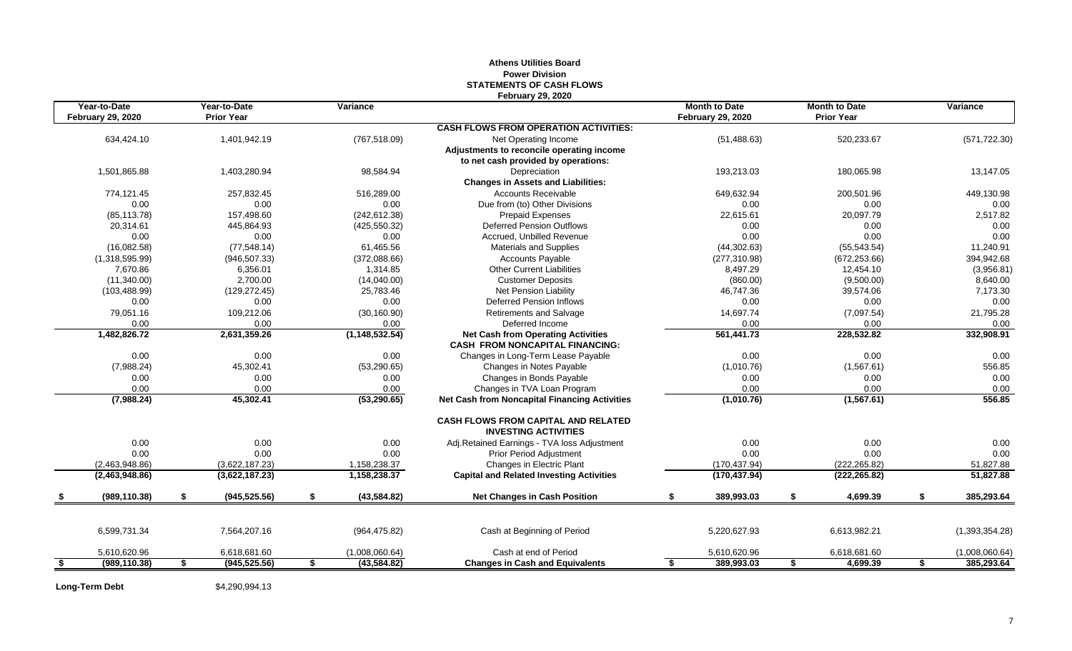### **Athens Utilities Board Power Division STATEMENTS OF CASH FLOWS February 29, 2020**

| Year-to-Date<br><b>February 29, 2020</b> | Year-to-Date<br><b>Prior Year</b> | Variance           |                                                                           | <b>Month to Date</b><br><b>February 29, 2020</b> | <b>Month to Date</b><br><b>Prior Year</b> | Variance         |
|------------------------------------------|-----------------------------------|--------------------|---------------------------------------------------------------------------|--------------------------------------------------|-------------------------------------------|------------------|
|                                          |                                   |                    | <b>CASH FLOWS FROM OPERATION ACTIVITIES:</b>                              |                                                  |                                           |                  |
| 634,424.10                               | 1,401,942.19                      | (767, 518.09)      | Net Operating Income                                                      | (51, 488.63)                                     | 520,233.67                                | (571, 722.30)    |
|                                          |                                   |                    | Adjustments to reconcile operating income                                 |                                                  |                                           |                  |
|                                          |                                   |                    | to net cash provided by operations:                                       |                                                  |                                           |                  |
| 1.501.865.88                             | 1,403,280.94                      | 98,584.94          | Depreciation                                                              | 193,213.03                                       | 180,065.98                                | 13,147.05        |
|                                          |                                   |                    | <b>Changes in Assets and Liabilities:</b>                                 |                                                  |                                           |                  |
| 774.121.45                               | 257,832.45                        | 516.289.00         | <b>Accounts Receivable</b>                                                | 649,632.94                                       | 200.501.96                                | 449,130.98       |
| 0.00                                     | 0.00                              | 0.00               | Due from (to) Other Divisions                                             | 0.00                                             | 0.00                                      | 0.00             |
| (85, 113.78)                             | 157,498.60                        | (242, 612.38)      | <b>Prepaid Expenses</b>                                                   | 22,615.61                                        | 20,097.79                                 | 2,517.82         |
| 20,314.61                                | 445,864.93                        | (425, 550.32)      | <b>Deferred Pension Outflows</b>                                          | 0.00                                             | 0.00                                      | 0.00             |
| 0.00                                     | 0.00                              | 0.00               | Accrued. Unbilled Revenue                                                 | 0.00                                             | 0.00                                      | 0.00             |
| (16,082.58)                              | (77, 548.14)                      | 61,465.56          | <b>Materials and Supplies</b>                                             | (44, 302.63)                                     | (55, 543.54)                              | 11,240.91        |
| (1,318,595.99)                           | (946, 507.33)                     | (372,088.66)       | <b>Accounts Payable</b>                                                   | (277, 310.98)                                    | (672, 253.66)                             | 394,942.68       |
| 7,670.86                                 | 6,356.01                          | 1,314.85           | <b>Other Current Liabilities</b>                                          | 8,497.29                                         | 12,454.10                                 | (3,956.81)       |
| (11,340.00)                              | 2,700.00                          | (14,040.00)        | <b>Customer Deposits</b>                                                  | (860.00)                                         | (9,500.00)                                | 8,640.00         |
| (103, 488.99)                            | (129, 272.45)                     | 25,783.46          | Net Pension Liability                                                     | 46,747.36                                        | 39,574.06                                 | 7,173.30         |
| 0.00                                     | 0.00                              | 0.00               | <b>Deferred Pension Inflows</b>                                           | 0.00                                             | 0.00                                      | 0.00             |
| 79,051.16                                | 109,212.06                        | (30, 160.90)       | Retirements and Salvage                                                   | 14,697.74                                        | (7,097.54)                                | 21,795.28        |
| 0.00                                     | 0.00                              | 0.00               | Deferred Income                                                           | 0.00                                             | 0.00                                      | 0.00             |
| 1,482,826.72                             | 2,631,359.26                      | (1, 148, 532.54)   | <b>Net Cash from Operating Activities</b>                                 | 561,441.73                                       | 228,532.82                                | 332,908.91       |
|                                          |                                   |                    | <b>CASH FROM NONCAPITAL FINANCING:</b>                                    |                                                  |                                           |                  |
| 0.00                                     | 0.00                              | 0.00               | Changes in Long-Term Lease Payable                                        | 0.00                                             | 0.00                                      | 0.00             |
| (7,988.24)                               | 45,302.41                         | (53, 290.65)       | Changes in Notes Payable                                                  | (1,010.76)                                       | (1,567.61)                                | 556.85           |
| 0.00                                     | 0.00                              | 0.00               | Changes in Bonds Payable                                                  | 0.00                                             | 0.00                                      | 0.00             |
| 0.00                                     | 0.00                              | 0.00               | Changes in TVA Loan Program                                               | 0.00                                             | 0.00                                      | 0.00             |
| (7,988.24)                               | 45,302.41                         | (53, 290.65)       | <b>Net Cash from Noncapital Financing Activities</b>                      | (1,010.76)                                       | (1, 567.61)                               | 556.85           |
|                                          |                                   |                    | <b>CASH FLOWS FROM CAPITAL AND RELATED</b><br><b>INVESTING ACTIVITIES</b> |                                                  |                                           |                  |
| 0.00                                     | 0.00                              | 0.00               | Adj.Retained Earnings - TVA loss Adjustment                               | 0.00                                             | 0.00                                      | 0.00             |
| 0.00                                     | 0.00                              | 0.00               | Prior Period Adjustment                                                   | 0.00                                             | 0.00                                      | 0.00             |
| (2,463,948.86)                           | (3,622,187.23)                    | 1,158,238.37       | Changes in Electric Plant                                                 | (170, 437.94)                                    | (222, 265.82)                             | 51,827.88        |
| (2,463,948.86)                           | (3,622,187.23)                    | 1,158,238.37       | <b>Capital and Related Investing Activities</b>                           | (170, 437.94)                                    | (222, 265.82)                             | 51,827.88        |
| (989, 110.38)                            | \$<br>(945, 525.56)               | \$<br>(43, 584.82) | <b>Net Changes in Cash Position</b>                                       | \$<br>389,993.03                                 | \$<br>4,699.39                            | \$<br>385,293.64 |
|                                          |                                   |                    |                                                                           |                                                  |                                           |                  |
| 6,599,731.34                             | 7,564,207.16                      | (964, 475.82)      | Cash at Beginning of Period                                               | 5,220,627.93                                     | 6,613,982.21                              | (1,393,354.28)   |
| 5,610,620.96                             | 6,618,681.60                      | (1,008,060.64)     | Cash at end of Period                                                     | 5,610,620.96                                     | 6,618,681.60                              | (1,008,060.64)   |
| \$<br>(989, 110.38)                      | \$<br>(945, 525.56)               | \$<br>(43, 584.82) | <b>Changes in Cash and Equivalents</b>                                    | \$<br>389,993.03                                 | \$<br>4,699.39                            | \$<br>385,293.64 |

**Long-Term Debt** \$4,290,994.13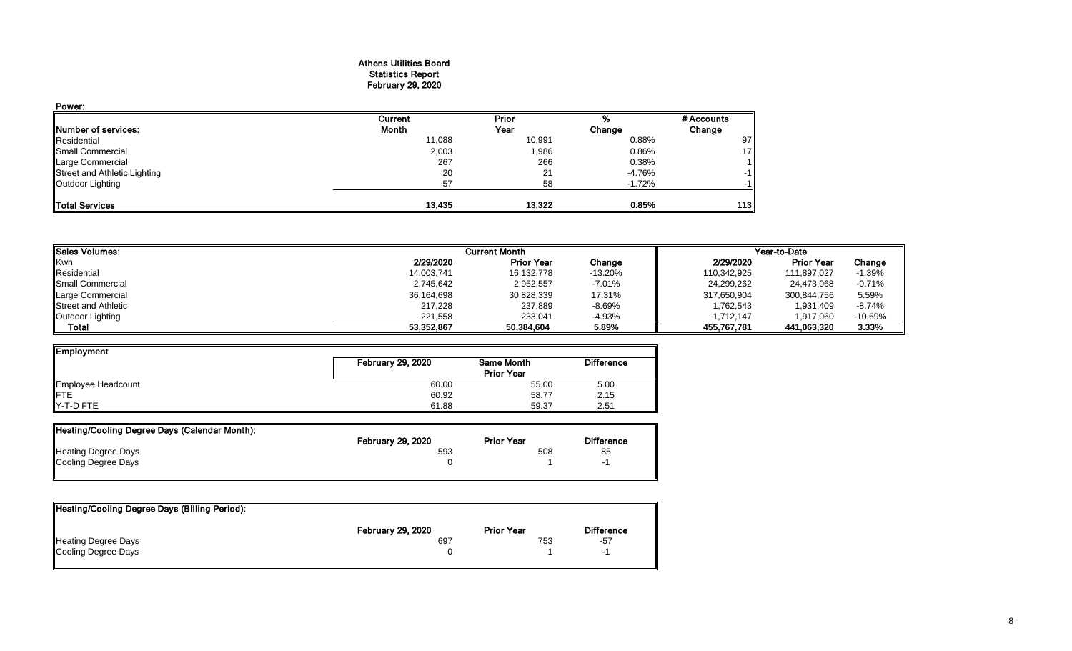#### Athens Utilities Board Statistics Report February 29, 2020

| Power:                       |         |        |          |            |
|------------------------------|---------|--------|----------|------------|
|                              | Current | Prior  |          | # Accounts |
| Number of services:          | Month   | Year   | Change   | Change     |
| Residential                  | 11,088  | 10,991 | 0.88%    | 97         |
| Small Commercial             | 2,003   | 1,986  | 0.86%    | 17         |
| Large Commercial             | 267     | 266    | 0.38%    |            |
| Street and Athletic Lighting | 20      | 21     | -4.76%   | $-1$       |
| Outdoor Lighting             | 57      | 58     | $-1.72%$ | $-1$       |
| <b>Total Services</b>        | 13,435  | 13,322 | 0.85%    | 113        |

| <b>I</b> Sales Volumes:   |            | <b>Current Month</b> |           | Year-to-Date |                   |           |  |
|---------------------------|------------|----------------------|-----------|--------------|-------------------|-----------|--|
| <b>Kwh</b>                | 2/29/2020  | <b>Prior Year</b>    | Change    | 2/29/2020    | <b>Prior Year</b> | Change    |  |
| Residential               | 14,003,741 | 16,132,778           | $-13.20%$ | 110,342,925  | 111,897,027       | $-1.39%$  |  |
| <b>I</b> Small Commercial | 2,745,642  | 2,952,557            | $-7.01%$  | 24,299,262   | 24.473.068        | $-0.71%$  |  |
| Large Commercial          | 36,164,698 | 30,828,339           | 17.31%    | 317,650,904  | 300,844,756       | 5.59%     |  |
| Street and Athletic       | 217.228    | 237,889              | $-8.69%$  | 1,762,543    | 1,931,409         | $-8.74%$  |  |
| Outdoor Lighting          | 221.558    | 233,041              | -4.93%    | 1.712.147    | 1,917,060         | $-10.69%$ |  |
| Total                     | 53,352,867 | 50.384.604           | 5.89%     | 455.767.781  | 441.063.320       | 3.33%     |  |

| Employment                | <b>February 29, 2020</b> | Same Month        | <b>Difference</b> |
|---------------------------|--------------------------|-------------------|-------------------|
|                           |                          | <b>Prior Year</b> |                   |
| Employee Headcount<br>FTE | 60.00                    | 55.00             | 5.00              |
|                           | 60.92                    | 58.77             | 2.15              |
| Y-T-D FTE                 | 61.88                    | 59.37             | 2.51              |

| Heating/Cooling Degree Days (Calendar Month): |                          |                   |                   |
|-----------------------------------------------|--------------------------|-------------------|-------------------|
|                                               | <b>February 29, 2020</b> | <b>Prior Year</b> | <b>Difference</b> |
| <b>Heating Degree Days</b>                    | 593                      | 508               | 85                |
| Cooling Degree Days                           |                          |                   |                   |

| Heating/Cooling Degree Days (Billing Period): |                          |                   |                   |
|-----------------------------------------------|--------------------------|-------------------|-------------------|
|                                               | <b>February 29, 2020</b> | <b>Prior Year</b> | <b>Difference</b> |
| Heating Degree Days                           | 697                      | 753               | -57               |
| Cooling Degree Days                           |                          |                   |                   |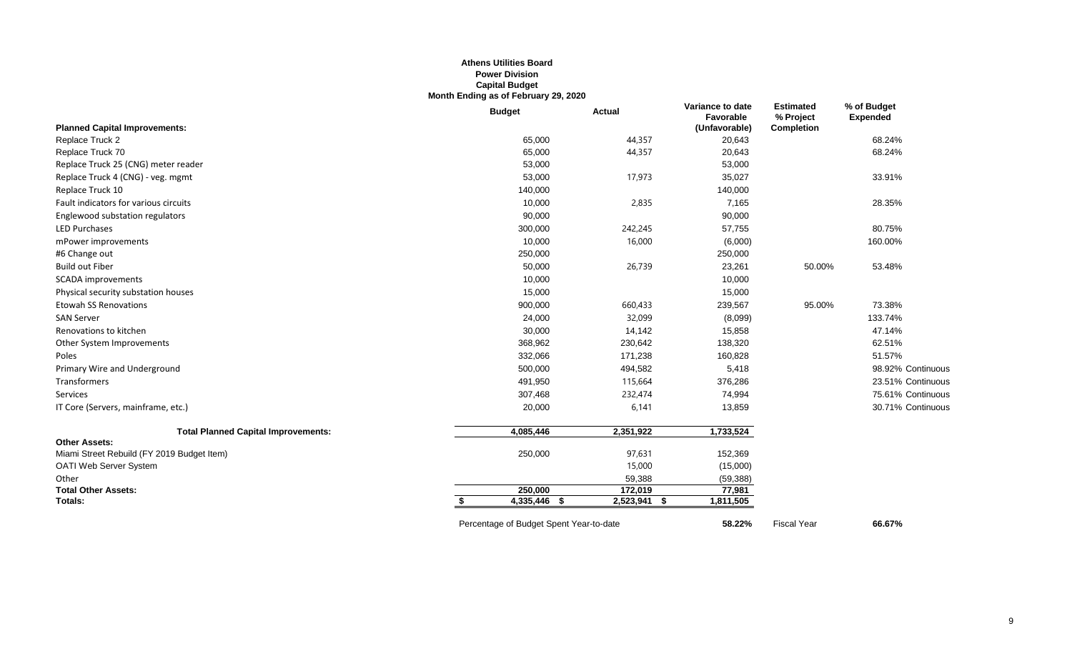#### **Athens Utilities Board Power Division Capital Budget Month Ending as of February 29, 2020**

|                                            | <b>Budget</b>                           | <b>Actual</b>     | Variance to date<br>Favorable | <b>Estimated</b><br>% Project | % of Budget<br><b>Expended</b> |
|--------------------------------------------|-----------------------------------------|-------------------|-------------------------------|-------------------------------|--------------------------------|
| <b>Planned Capital Improvements:</b>       |                                         |                   | (Unfavorable)                 | <b>Completion</b>             |                                |
| Replace Truck 2                            | 65,000                                  | 44,357            | 20,643                        |                               | 68.24%                         |
| Replace Truck 70                           | 65,000                                  | 44,357            | 20,643                        |                               | 68.24%                         |
| Replace Truck 25 (CNG) meter reader        | 53,000                                  |                   | 53,000                        |                               |                                |
| Replace Truck 4 (CNG) - veg. mgmt          | 53,000                                  | 17,973            | 35,027                        |                               | 33.91%                         |
| Replace Truck 10                           | 140,000                                 |                   | 140,000                       |                               |                                |
| Fault indicators for various circuits      | 10,000                                  | 2,835             | 7,165                         |                               | 28.35%                         |
| Englewood substation regulators            | 90,000                                  |                   | 90,000                        |                               |                                |
| <b>LED Purchases</b>                       | 300,000                                 | 242,245           | 57,755                        |                               | 80.75%                         |
| mPower improvements                        | 10,000                                  | 16,000            | (6,000)                       |                               | 160.00%                        |
| #6 Change out                              | 250,000                                 |                   | 250,000                       |                               |                                |
| <b>Build out Fiber</b>                     | 50,000                                  | 26,739            | 23,261                        | 50.00%                        | 53.48%                         |
| <b>SCADA</b> improvements                  | 10,000                                  |                   | 10,000                        |                               |                                |
| Physical security substation houses        | 15,000                                  |                   | 15,000                        |                               |                                |
| <b>Etowah SS Renovations</b>               | 900,000                                 | 660,433           | 239,567                       | 95.00%                        | 73.38%                         |
| <b>SAN Server</b>                          | 24,000                                  | 32,099            | (8,099)                       |                               | 133.74%                        |
| Renovations to kitchen                     | 30,000                                  | 14,142            | 15,858                        |                               | 47.14%                         |
| Other System Improvements                  | 368,962                                 | 230,642           | 138,320                       |                               | 62.51%                         |
| Poles                                      | 332,066                                 | 171,238           | 160,828                       |                               | 51.57%                         |
| Primary Wire and Underground               | 500,000                                 | 494,582           | 5,418                         |                               | 98.92% Continuous              |
| Transformers                               | 491,950                                 | 115,664           | 376,286                       |                               | 23.51% Continuous              |
| Services                                   | 307,468                                 | 232,474           | 74,994                        |                               | 75.61% Continuous              |
| IT Core (Servers, mainframe, etc.)         | 20,000                                  | 6,141             | 13,859                        |                               | 30.71% Continuous              |
| <b>Total Planned Capital Improvements:</b> | 4,085,446                               | 2,351,922         | 1,733,524                     |                               |                                |
| <b>Other Assets:</b>                       |                                         |                   |                               |                               |                                |
| Miami Street Rebuild (FY 2019 Budget Item) | 250,000                                 | 97,631            | 152,369                       |                               |                                |
| <b>OATI Web Server System</b>              |                                         | 15,000            | (15,000)                      |                               |                                |
| Other                                      |                                         | 59,388            | (59, 388)                     |                               |                                |
| <b>Total Other Assets:</b>                 | 250,000                                 | 172,019           | 77,981                        |                               |                                |
| Totals:                                    | 4,335,446 \$                            | 2,523,941<br>- \$ | 1,811,505                     |                               |                                |
|                                            | Percentage of Budget Spent Year-to-date |                   | 58.22%                        | <b>Fiscal Year</b>            | 66.67%                         |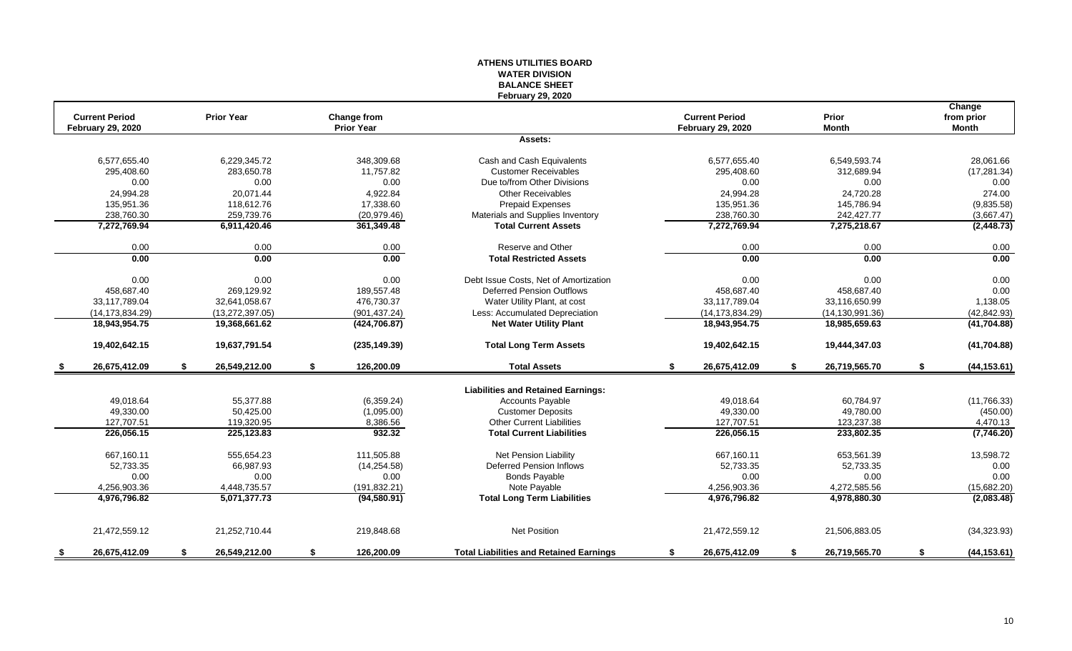|                          |                     |                    | <b>WATER DIVISION</b><br><b>BALANCE SHEET</b>  |                          |                     |                      |
|--------------------------|---------------------|--------------------|------------------------------------------------|--------------------------|---------------------|----------------------|
| <b>Current Period</b>    | <b>Prior Year</b>   | <b>Change from</b> | <b>February 29, 2020</b>                       | <b>Current Period</b>    | Prior               | Change<br>from prior |
| <b>February 29, 2020</b> |                     | <b>Prior Year</b>  | Assets:                                        | <b>February 29, 2020</b> | <b>Month</b>        | <b>Month</b>         |
|                          |                     |                    |                                                |                          |                     |                      |
| 6,577,655.40             | 6,229,345.72        | 348,309.68         | Cash and Cash Equivalents                      | 6,577,655.40             | 6,549,593.74        | 28,061.66            |
| 295,408.60               | 283.650.78          | 11,757.82          | <b>Customer Receivables</b>                    | 295,408.60               | 312,689.94          | (17, 281.34)         |
| 0.00                     | 0.00                | 0.00               | Due to/from Other Divisions                    | 0.00                     | 0.00                | 0.00                 |
| 24,994.28                | 20,071.44           | 4,922.84           | <b>Other Receivables</b>                       | 24,994.28                | 24,720.28           | 274.00               |
| 135,951.36               | 118.612.76          | 17,338.60          | <b>Prepaid Expenses</b>                        | 135,951.36               | 145,786.94          | (9,835.58)           |
| 238,760.30               | 259,739.76          | (20, 979.46)       | Materials and Supplies Inventory               | 238,760.30               | 242,427.77          | (3,667.47)           |
| 7,272,769.94             | 6,911,420.46        | 361,349.48         | <b>Total Current Assets</b>                    | 7,272,769.94             | 7,275,218.67        | (2, 448.73)          |
| 0.00                     | 0.00                | 0.00               | Reserve and Other                              | 0.00                     | 0.00                | 0.00                 |
| 0.00                     | 0.00                | 0.00               | <b>Total Restricted Assets</b>                 | 0.00                     | 0.00                | 0.00                 |
| 0.00                     | 0.00                | 0.00               | Debt Issue Costs, Net of Amortization          | 0.00                     | 0.00                | 0.00                 |
| 458,687.40               | 269,129.92          | 189,557.48         | <b>Deferred Pension Outflows</b>               | 458,687.40               | 458,687.40          | 0.00                 |
| 33,117,789.04            | 32,641,058.67       | 476,730.37         | Water Utility Plant, at cost                   | 33,117,789.04            | 33,116,650.99       | 1,138.05             |
| (14, 173, 834.29)        | (13, 272, 397.05)   | (901,437.24)       | Less: Accumulated Depreciation                 | (14, 173, 834.29)        | (14, 130, 991, 36)  | (42, 842.93)         |
| 18,943,954.75            | 19,368,661.62       | (424, 706.87)      | <b>Net Water Utility Plant</b>                 | 18,943,954.75            | 18,985,659.63       | (41, 704.88)         |
| 19,402,642.15            | 19,637,791.54       | (235, 149.39)      | <b>Total Long Term Assets</b>                  | 19,402,642.15            | 19,444,347.03       | (41,704.88)          |
| 26,675,412.09            | 26,549,212.00<br>S  | 126,200.09<br>\$   | <b>Total Assets</b>                            | 26,675,412.09<br>\$      | 26,719,565.70<br>\$ | (44, 153.61)<br>\$   |
|                          |                     |                    | <b>Liabilities and Retained Earnings:</b>      |                          |                     |                      |
| 49,018.64                | 55,377.88           | (6,359.24)         | Accounts Payable                               | 49,018.64                | 60,784.97           | (11,766.33)          |
| 49,330.00                | 50,425.00           | (1,095.00)         | <b>Customer Deposits</b>                       | 49,330.00                | 49,780.00           | (450.00)             |
| 127,707.51               | 119,320.95          | 8,386.56           | <b>Other Current Liabilities</b>               | 127,707.51               | 123,237.38          | 4,470.13             |
| 226,056.15               | 225,123.83          | 932.32             | <b>Total Current Liabilities</b>               | 226,056.15               | 233,802.35          | (7,746.20)           |
| 667,160.11               | 555.654.23          | 111.505.88         | <b>Net Pension Liability</b>                   | 667.160.11               | 653,561.39          | 13,598.72            |
| 52,733.35                | 66,987.93           | (14, 254.58)       | <b>Deferred Pension Inflows</b>                | 52,733.35                | 52,733.35           | 0.00                 |
| 0.00                     | 0.00                | 0.00               | <b>Bonds Payable</b>                           | 0.00                     | 0.00                | 0.00                 |
| 4,256,903.36             | 4,448,735.57        | (191, 832.21)      | Note Payable                                   | 4,256,903.36             | 4,272,585.56        | (15,682.20)          |
| 4,976,796.82             | 5,071,377.73        | (94, 580.91)       | <b>Total Long Term Liabilities</b>             | 4,976,796.82             | 4,978,880.30        | (2,083.48)           |
| 21,472,559.12            | 21,252,710.44       | 219,848.68         | <b>Net Position</b>                            | 21,472,559.12            | 21,506,883.05       | (34, 323.93)         |
| 26,675,412.09<br>- \$    | \$<br>26,549,212.00 | \$<br>126,200.09   | <b>Total Liabilities and Retained Earnings</b> | \$<br>26,675,412.09      | 26,719,565.70<br>S. | \$<br>(44, 153.61)   |

**ATHENS UTILITIES BOARD**

#### 10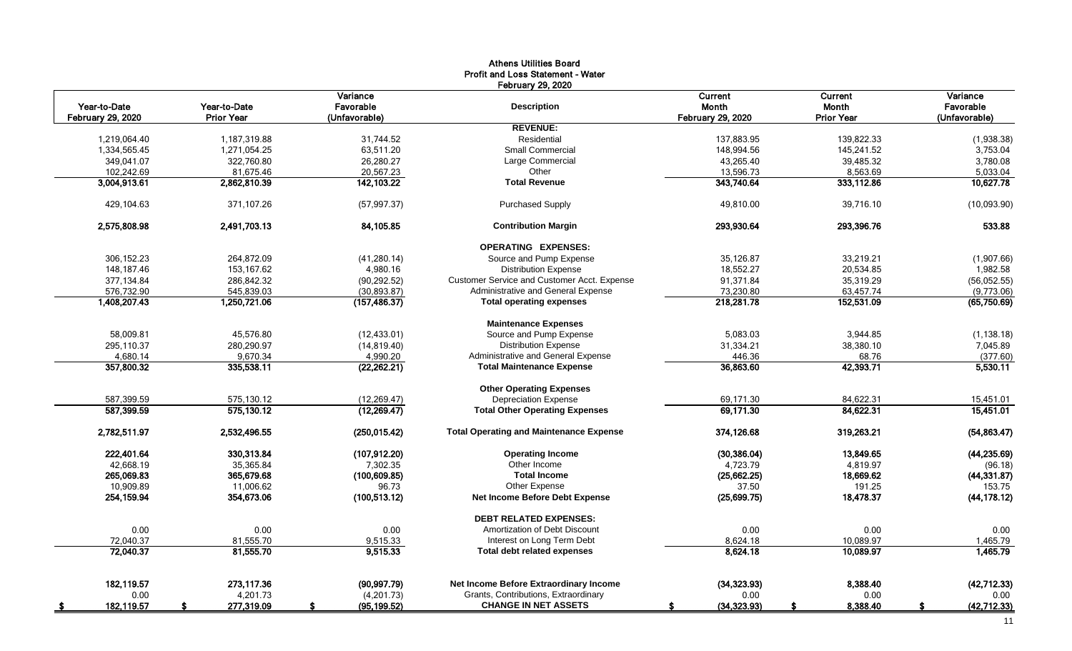| <b>February 29, 2020</b><br>Variance<br>Current<br>Variance<br><b>Current</b><br>Year-to-Date<br>Year-to-Date<br>Favorable<br><b>Description</b><br>Month<br><b>Month</b><br>Favorable<br><b>February 29, 2020</b><br><b>Prior Year</b><br>(Unfavorable)<br><b>February 29, 2020</b><br><b>Prior Year</b><br>(Unfavorable)<br><b>REVENUE:</b><br>Residential<br>1,219,064.40<br>1,187,319.88<br>31.744.52<br>137,883.95<br>139,822.33<br>(1,938.38)<br><b>Small Commercial</b><br>1,334,565.45<br>1,271,054.25<br>63,511.20<br>148,994.56<br>145,241.52<br>3,753.04<br>349,041.07<br>322,760.80<br>26,280.27<br>Large Commercial<br>43,265.40<br>39,485.32<br>3,780.08<br>102,242.69<br>81,675.46<br>20,567.23<br>Other<br>13,596.73<br>8,563.69<br>5,033.04<br>3,004,913.61<br>2,862,810.39<br>142,103.22<br>343,740.64<br>333,112.86<br><b>Total Revenue</b><br>371,107.26<br><b>Purchased Supply</b><br>49,810.00<br>39,716.10<br>429,104.63<br>(57, 997.37)<br>2,575,808.98<br>2,491,703.13<br>84,105.85<br><b>Contribution Margin</b><br>293,930.64<br>293,396.76<br><b>OPERATING EXPENSES:</b><br>306,152.23<br>264,872.09<br>Source and Pump Expense<br>35,126.87<br>33,219.21<br>(41, 280.14)<br>(1,907.66)<br>148.187.46<br>153.167.62<br>4,980.16<br><b>Distribution Expense</b><br>18,552.27<br>20.534.85<br>1,982.58<br>377,134.84<br>286,842.32<br>(90, 292.52)<br>Customer Service and Customer Acct. Expense<br>91,371.84<br>35,319.29<br>(56,052.55)<br>Administrative and General Expense<br>576,732.90<br>545,839.03<br>(30, 893.87)<br>73,230.80<br>63,457.74<br>(9,773.06)<br>152,531.09<br>1,408,207.43<br>1,250,721.06<br><b>Total operating expenses</b><br>218,281.78<br>(157, 486.37)<br><b>Maintenance Expenses</b><br>Source and Pump Expense<br>58.009.81<br>45,576.80<br>(12, 433.01)<br>5,083.03<br>3,944.85<br><b>Distribution Expense</b><br>295,110.37<br>280,290.97<br>31,334.21<br>38,380.10<br>(14, 819.40)<br>4,680.14<br>9,670.34<br>Administrative and General Expense<br>446.36<br>68.76<br>4,990.20<br>36,863.60<br>42,393.71<br>357,800.32<br>335,538.11<br>(22, 262.21)<br><b>Total Maintenance Expense</b><br><b>Other Operating Expenses</b><br>587,399.59<br>575,130.12<br>(12, 269.47)<br><b>Depreciation Expense</b><br>69,171.30<br>84,622.31<br>587,399.59<br>575,130.12<br>(12, 269.47)<br><b>Total Other Operating Expenses</b><br>69,171.30<br>84,622.31<br><b>Total Operating and Maintenance Expense</b><br>2,782,511.97<br>2,532,496.55<br>(250, 015.42)<br>374,126.68<br>319,263.21<br>222,401.64<br>330,313.84<br>(30, 386.04)<br>13,849.65<br>(107, 912.20)<br><b>Operating Income</b><br>42,668.19<br>Other Income<br>35,365.84<br>7,302.35<br>4,723.79<br>4,819.97<br>18,669.62<br>(44, 331.87)<br>265,069.83<br>365,679.68<br>(100, 609.85)<br><b>Total Income</b><br>(25,662.25)<br>10.909.89<br>Other Expense<br>37.50<br>11.006.62<br>96.73<br>191.25<br>254, 159.94<br>354,673.06<br><b>Net Income Before Debt Expense</b><br>(25,699.75)<br>18,478.37<br>(100, 513, 12)<br><b>DEBT RELATED EXPENSES:</b><br>0.00<br>0.00<br>0.00<br>Amortization of Debt Discount<br>0.00<br>0.00<br>81,555.70<br>Interest on Long Term Debt<br>10,089.97<br>72.040.37<br>9,515.33<br>8,624.18<br>72,040.37<br>81,555.70<br>9,515.33<br><b>Total debt related expenses</b><br>8,624.18<br>10,089.97<br>Net Income Before Extraordinary Income<br>8.388.40<br>182.119.57<br>273.117.36<br>(90, 997.79)<br>(34, 323.93)<br>(42, 712.33)<br>Grants, Contributions, Extraordinary<br>0.00<br>4,201.73<br>(4,201.73)<br>0.00<br>0.00<br>0.00<br><b>CHANGE IN NET ASSETS</b><br>277,319.09<br>(95, 199.52)<br>(34, 323.93)<br>8,388.40<br>182, 119.57<br>\$<br>S.<br>s.<br>S.<br>£.<br>$\sqrt{5}$ |  | <b>Athens Utilities Board</b><br>Profit and Loss Statement - Water |  |               |
|------------------------------------------------------------------------------------------------------------------------------------------------------------------------------------------------------------------------------------------------------------------------------------------------------------------------------------------------------------------------------------------------------------------------------------------------------------------------------------------------------------------------------------------------------------------------------------------------------------------------------------------------------------------------------------------------------------------------------------------------------------------------------------------------------------------------------------------------------------------------------------------------------------------------------------------------------------------------------------------------------------------------------------------------------------------------------------------------------------------------------------------------------------------------------------------------------------------------------------------------------------------------------------------------------------------------------------------------------------------------------------------------------------------------------------------------------------------------------------------------------------------------------------------------------------------------------------------------------------------------------------------------------------------------------------------------------------------------------------------------------------------------------------------------------------------------------------------------------------------------------------------------------------------------------------------------------------------------------------------------------------------------------------------------------------------------------------------------------------------------------------------------------------------------------------------------------------------------------------------------------------------------------------------------------------------------------------------------------------------------------------------------------------------------------------------------------------------------------------------------------------------------------------------------------------------------------------------------------------------------------------------------------------------------------------------------------------------------------------------------------------------------------------------------------------------------------------------------------------------------------------------------------------------------------------------------------------------------------------------------------------------------------------------------------------------------------------------------------------------------------------------------------------------------------------------------------------------------------------------------------------------------------------------------------------------------------------------------------------------------------------------------------------------------------------------------------------------------------------------------------------------------------------------------------------------------------------------------------------------------------------------------------------------------------------------------------------------------------------------------|--|--------------------------------------------------------------------|--|---------------|
|                                                                                                                                                                                                                                                                                                                                                                                                                                                                                                                                                                                                                                                                                                                                                                                                                                                                                                                                                                                                                                                                                                                                                                                                                                                                                                                                                                                                                                                                                                                                                                                                                                                                                                                                                                                                                                                                                                                                                                                                                                                                                                                                                                                                                                                                                                                                                                                                                                                                                                                                                                                                                                                                                                                                                                                                                                                                                                                                                                                                                                                                                                                                                                                                                                                                                                                                                                                                                                                                                                                                                                                                                                                                                                                                                |  |                                                                    |  |               |
|                                                                                                                                                                                                                                                                                                                                                                                                                                                                                                                                                                                                                                                                                                                                                                                                                                                                                                                                                                                                                                                                                                                                                                                                                                                                                                                                                                                                                                                                                                                                                                                                                                                                                                                                                                                                                                                                                                                                                                                                                                                                                                                                                                                                                                                                                                                                                                                                                                                                                                                                                                                                                                                                                                                                                                                                                                                                                                                                                                                                                                                                                                                                                                                                                                                                                                                                                                                                                                                                                                                                                                                                                                                                                                                                                |  |                                                                    |  |               |
|                                                                                                                                                                                                                                                                                                                                                                                                                                                                                                                                                                                                                                                                                                                                                                                                                                                                                                                                                                                                                                                                                                                                                                                                                                                                                                                                                                                                                                                                                                                                                                                                                                                                                                                                                                                                                                                                                                                                                                                                                                                                                                                                                                                                                                                                                                                                                                                                                                                                                                                                                                                                                                                                                                                                                                                                                                                                                                                                                                                                                                                                                                                                                                                                                                                                                                                                                                                                                                                                                                                                                                                                                                                                                                                                                |  |                                                                    |  |               |
|                                                                                                                                                                                                                                                                                                                                                                                                                                                                                                                                                                                                                                                                                                                                                                                                                                                                                                                                                                                                                                                                                                                                                                                                                                                                                                                                                                                                                                                                                                                                                                                                                                                                                                                                                                                                                                                                                                                                                                                                                                                                                                                                                                                                                                                                                                                                                                                                                                                                                                                                                                                                                                                                                                                                                                                                                                                                                                                                                                                                                                                                                                                                                                                                                                                                                                                                                                                                                                                                                                                                                                                                                                                                                                                                                |  |                                                                    |  |               |
|                                                                                                                                                                                                                                                                                                                                                                                                                                                                                                                                                                                                                                                                                                                                                                                                                                                                                                                                                                                                                                                                                                                                                                                                                                                                                                                                                                                                                                                                                                                                                                                                                                                                                                                                                                                                                                                                                                                                                                                                                                                                                                                                                                                                                                                                                                                                                                                                                                                                                                                                                                                                                                                                                                                                                                                                                                                                                                                                                                                                                                                                                                                                                                                                                                                                                                                                                                                                                                                                                                                                                                                                                                                                                                                                                |  |                                                                    |  |               |
|                                                                                                                                                                                                                                                                                                                                                                                                                                                                                                                                                                                                                                                                                                                                                                                                                                                                                                                                                                                                                                                                                                                                                                                                                                                                                                                                                                                                                                                                                                                                                                                                                                                                                                                                                                                                                                                                                                                                                                                                                                                                                                                                                                                                                                                                                                                                                                                                                                                                                                                                                                                                                                                                                                                                                                                                                                                                                                                                                                                                                                                                                                                                                                                                                                                                                                                                                                                                                                                                                                                                                                                                                                                                                                                                                |  |                                                                    |  |               |
|                                                                                                                                                                                                                                                                                                                                                                                                                                                                                                                                                                                                                                                                                                                                                                                                                                                                                                                                                                                                                                                                                                                                                                                                                                                                                                                                                                                                                                                                                                                                                                                                                                                                                                                                                                                                                                                                                                                                                                                                                                                                                                                                                                                                                                                                                                                                                                                                                                                                                                                                                                                                                                                                                                                                                                                                                                                                                                                                                                                                                                                                                                                                                                                                                                                                                                                                                                                                                                                                                                                                                                                                                                                                                                                                                |  |                                                                    |  |               |
|                                                                                                                                                                                                                                                                                                                                                                                                                                                                                                                                                                                                                                                                                                                                                                                                                                                                                                                                                                                                                                                                                                                                                                                                                                                                                                                                                                                                                                                                                                                                                                                                                                                                                                                                                                                                                                                                                                                                                                                                                                                                                                                                                                                                                                                                                                                                                                                                                                                                                                                                                                                                                                                                                                                                                                                                                                                                                                                                                                                                                                                                                                                                                                                                                                                                                                                                                                                                                                                                                                                                                                                                                                                                                                                                                |  |                                                                    |  |               |
|                                                                                                                                                                                                                                                                                                                                                                                                                                                                                                                                                                                                                                                                                                                                                                                                                                                                                                                                                                                                                                                                                                                                                                                                                                                                                                                                                                                                                                                                                                                                                                                                                                                                                                                                                                                                                                                                                                                                                                                                                                                                                                                                                                                                                                                                                                                                                                                                                                                                                                                                                                                                                                                                                                                                                                                                                                                                                                                                                                                                                                                                                                                                                                                                                                                                                                                                                                                                                                                                                                                                                                                                                                                                                                                                                |  |                                                                    |  | 10.627.78     |
|                                                                                                                                                                                                                                                                                                                                                                                                                                                                                                                                                                                                                                                                                                                                                                                                                                                                                                                                                                                                                                                                                                                                                                                                                                                                                                                                                                                                                                                                                                                                                                                                                                                                                                                                                                                                                                                                                                                                                                                                                                                                                                                                                                                                                                                                                                                                                                                                                                                                                                                                                                                                                                                                                                                                                                                                                                                                                                                                                                                                                                                                                                                                                                                                                                                                                                                                                                                                                                                                                                                                                                                                                                                                                                                                                |  |                                                                    |  | (10,093.90)   |
|                                                                                                                                                                                                                                                                                                                                                                                                                                                                                                                                                                                                                                                                                                                                                                                                                                                                                                                                                                                                                                                                                                                                                                                                                                                                                                                                                                                                                                                                                                                                                                                                                                                                                                                                                                                                                                                                                                                                                                                                                                                                                                                                                                                                                                                                                                                                                                                                                                                                                                                                                                                                                                                                                                                                                                                                                                                                                                                                                                                                                                                                                                                                                                                                                                                                                                                                                                                                                                                                                                                                                                                                                                                                                                                                                |  |                                                                    |  | 533.88        |
|                                                                                                                                                                                                                                                                                                                                                                                                                                                                                                                                                                                                                                                                                                                                                                                                                                                                                                                                                                                                                                                                                                                                                                                                                                                                                                                                                                                                                                                                                                                                                                                                                                                                                                                                                                                                                                                                                                                                                                                                                                                                                                                                                                                                                                                                                                                                                                                                                                                                                                                                                                                                                                                                                                                                                                                                                                                                                                                                                                                                                                                                                                                                                                                                                                                                                                                                                                                                                                                                                                                                                                                                                                                                                                                                                |  |                                                                    |  |               |
|                                                                                                                                                                                                                                                                                                                                                                                                                                                                                                                                                                                                                                                                                                                                                                                                                                                                                                                                                                                                                                                                                                                                                                                                                                                                                                                                                                                                                                                                                                                                                                                                                                                                                                                                                                                                                                                                                                                                                                                                                                                                                                                                                                                                                                                                                                                                                                                                                                                                                                                                                                                                                                                                                                                                                                                                                                                                                                                                                                                                                                                                                                                                                                                                                                                                                                                                                                                                                                                                                                                                                                                                                                                                                                                                                |  |                                                                    |  |               |
|                                                                                                                                                                                                                                                                                                                                                                                                                                                                                                                                                                                                                                                                                                                                                                                                                                                                                                                                                                                                                                                                                                                                                                                                                                                                                                                                                                                                                                                                                                                                                                                                                                                                                                                                                                                                                                                                                                                                                                                                                                                                                                                                                                                                                                                                                                                                                                                                                                                                                                                                                                                                                                                                                                                                                                                                                                                                                                                                                                                                                                                                                                                                                                                                                                                                                                                                                                                                                                                                                                                                                                                                                                                                                                                                                |  |                                                                    |  |               |
|                                                                                                                                                                                                                                                                                                                                                                                                                                                                                                                                                                                                                                                                                                                                                                                                                                                                                                                                                                                                                                                                                                                                                                                                                                                                                                                                                                                                                                                                                                                                                                                                                                                                                                                                                                                                                                                                                                                                                                                                                                                                                                                                                                                                                                                                                                                                                                                                                                                                                                                                                                                                                                                                                                                                                                                                                                                                                                                                                                                                                                                                                                                                                                                                                                                                                                                                                                                                                                                                                                                                                                                                                                                                                                                                                |  |                                                                    |  |               |
|                                                                                                                                                                                                                                                                                                                                                                                                                                                                                                                                                                                                                                                                                                                                                                                                                                                                                                                                                                                                                                                                                                                                                                                                                                                                                                                                                                                                                                                                                                                                                                                                                                                                                                                                                                                                                                                                                                                                                                                                                                                                                                                                                                                                                                                                                                                                                                                                                                                                                                                                                                                                                                                                                                                                                                                                                                                                                                                                                                                                                                                                                                                                                                                                                                                                                                                                                                                                                                                                                                                                                                                                                                                                                                                                                |  |                                                                    |  |               |
|                                                                                                                                                                                                                                                                                                                                                                                                                                                                                                                                                                                                                                                                                                                                                                                                                                                                                                                                                                                                                                                                                                                                                                                                                                                                                                                                                                                                                                                                                                                                                                                                                                                                                                                                                                                                                                                                                                                                                                                                                                                                                                                                                                                                                                                                                                                                                                                                                                                                                                                                                                                                                                                                                                                                                                                                                                                                                                                                                                                                                                                                                                                                                                                                                                                                                                                                                                                                                                                                                                                                                                                                                                                                                                                                                |  |                                                                    |  | (65,750.69)   |
|                                                                                                                                                                                                                                                                                                                                                                                                                                                                                                                                                                                                                                                                                                                                                                                                                                                                                                                                                                                                                                                                                                                                                                                                                                                                                                                                                                                                                                                                                                                                                                                                                                                                                                                                                                                                                                                                                                                                                                                                                                                                                                                                                                                                                                                                                                                                                                                                                                                                                                                                                                                                                                                                                                                                                                                                                                                                                                                                                                                                                                                                                                                                                                                                                                                                                                                                                                                                                                                                                                                                                                                                                                                                                                                                                |  |                                                                    |  |               |
|                                                                                                                                                                                                                                                                                                                                                                                                                                                                                                                                                                                                                                                                                                                                                                                                                                                                                                                                                                                                                                                                                                                                                                                                                                                                                                                                                                                                                                                                                                                                                                                                                                                                                                                                                                                                                                                                                                                                                                                                                                                                                                                                                                                                                                                                                                                                                                                                                                                                                                                                                                                                                                                                                                                                                                                                                                                                                                                                                                                                                                                                                                                                                                                                                                                                                                                                                                                                                                                                                                                                                                                                                                                                                                                                                |  |                                                                    |  | (1, 138.18)   |
|                                                                                                                                                                                                                                                                                                                                                                                                                                                                                                                                                                                                                                                                                                                                                                                                                                                                                                                                                                                                                                                                                                                                                                                                                                                                                                                                                                                                                                                                                                                                                                                                                                                                                                                                                                                                                                                                                                                                                                                                                                                                                                                                                                                                                                                                                                                                                                                                                                                                                                                                                                                                                                                                                                                                                                                                                                                                                                                                                                                                                                                                                                                                                                                                                                                                                                                                                                                                                                                                                                                                                                                                                                                                                                                                                |  |                                                                    |  | 7,045.89      |
|                                                                                                                                                                                                                                                                                                                                                                                                                                                                                                                                                                                                                                                                                                                                                                                                                                                                                                                                                                                                                                                                                                                                                                                                                                                                                                                                                                                                                                                                                                                                                                                                                                                                                                                                                                                                                                                                                                                                                                                                                                                                                                                                                                                                                                                                                                                                                                                                                                                                                                                                                                                                                                                                                                                                                                                                                                                                                                                                                                                                                                                                                                                                                                                                                                                                                                                                                                                                                                                                                                                                                                                                                                                                                                                                                |  |                                                                    |  | (377.60)      |
|                                                                                                                                                                                                                                                                                                                                                                                                                                                                                                                                                                                                                                                                                                                                                                                                                                                                                                                                                                                                                                                                                                                                                                                                                                                                                                                                                                                                                                                                                                                                                                                                                                                                                                                                                                                                                                                                                                                                                                                                                                                                                                                                                                                                                                                                                                                                                                                                                                                                                                                                                                                                                                                                                                                                                                                                                                                                                                                                                                                                                                                                                                                                                                                                                                                                                                                                                                                                                                                                                                                                                                                                                                                                                                                                                |  |                                                                    |  | 5,530.11      |
|                                                                                                                                                                                                                                                                                                                                                                                                                                                                                                                                                                                                                                                                                                                                                                                                                                                                                                                                                                                                                                                                                                                                                                                                                                                                                                                                                                                                                                                                                                                                                                                                                                                                                                                                                                                                                                                                                                                                                                                                                                                                                                                                                                                                                                                                                                                                                                                                                                                                                                                                                                                                                                                                                                                                                                                                                                                                                                                                                                                                                                                                                                                                                                                                                                                                                                                                                                                                                                                                                                                                                                                                                                                                                                                                                |  |                                                                    |  |               |
|                                                                                                                                                                                                                                                                                                                                                                                                                                                                                                                                                                                                                                                                                                                                                                                                                                                                                                                                                                                                                                                                                                                                                                                                                                                                                                                                                                                                                                                                                                                                                                                                                                                                                                                                                                                                                                                                                                                                                                                                                                                                                                                                                                                                                                                                                                                                                                                                                                                                                                                                                                                                                                                                                                                                                                                                                                                                                                                                                                                                                                                                                                                                                                                                                                                                                                                                                                                                                                                                                                                                                                                                                                                                                                                                                |  |                                                                    |  | 15,451.01     |
|                                                                                                                                                                                                                                                                                                                                                                                                                                                                                                                                                                                                                                                                                                                                                                                                                                                                                                                                                                                                                                                                                                                                                                                                                                                                                                                                                                                                                                                                                                                                                                                                                                                                                                                                                                                                                                                                                                                                                                                                                                                                                                                                                                                                                                                                                                                                                                                                                                                                                                                                                                                                                                                                                                                                                                                                                                                                                                                                                                                                                                                                                                                                                                                                                                                                                                                                                                                                                                                                                                                                                                                                                                                                                                                                                |  |                                                                    |  | 15,451.01     |
|                                                                                                                                                                                                                                                                                                                                                                                                                                                                                                                                                                                                                                                                                                                                                                                                                                                                                                                                                                                                                                                                                                                                                                                                                                                                                                                                                                                                                                                                                                                                                                                                                                                                                                                                                                                                                                                                                                                                                                                                                                                                                                                                                                                                                                                                                                                                                                                                                                                                                                                                                                                                                                                                                                                                                                                                                                                                                                                                                                                                                                                                                                                                                                                                                                                                                                                                                                                                                                                                                                                                                                                                                                                                                                                                                |  |                                                                    |  | (54, 863.47)  |
|                                                                                                                                                                                                                                                                                                                                                                                                                                                                                                                                                                                                                                                                                                                                                                                                                                                                                                                                                                                                                                                                                                                                                                                                                                                                                                                                                                                                                                                                                                                                                                                                                                                                                                                                                                                                                                                                                                                                                                                                                                                                                                                                                                                                                                                                                                                                                                                                                                                                                                                                                                                                                                                                                                                                                                                                                                                                                                                                                                                                                                                                                                                                                                                                                                                                                                                                                                                                                                                                                                                                                                                                                                                                                                                                                |  |                                                                    |  | (44, 235.69)  |
|                                                                                                                                                                                                                                                                                                                                                                                                                                                                                                                                                                                                                                                                                                                                                                                                                                                                                                                                                                                                                                                                                                                                                                                                                                                                                                                                                                                                                                                                                                                                                                                                                                                                                                                                                                                                                                                                                                                                                                                                                                                                                                                                                                                                                                                                                                                                                                                                                                                                                                                                                                                                                                                                                                                                                                                                                                                                                                                                                                                                                                                                                                                                                                                                                                                                                                                                                                                                                                                                                                                                                                                                                                                                                                                                                |  |                                                                    |  | (96.18)       |
|                                                                                                                                                                                                                                                                                                                                                                                                                                                                                                                                                                                                                                                                                                                                                                                                                                                                                                                                                                                                                                                                                                                                                                                                                                                                                                                                                                                                                                                                                                                                                                                                                                                                                                                                                                                                                                                                                                                                                                                                                                                                                                                                                                                                                                                                                                                                                                                                                                                                                                                                                                                                                                                                                                                                                                                                                                                                                                                                                                                                                                                                                                                                                                                                                                                                                                                                                                                                                                                                                                                                                                                                                                                                                                                                                |  |                                                                    |  |               |
|                                                                                                                                                                                                                                                                                                                                                                                                                                                                                                                                                                                                                                                                                                                                                                                                                                                                                                                                                                                                                                                                                                                                                                                                                                                                                                                                                                                                                                                                                                                                                                                                                                                                                                                                                                                                                                                                                                                                                                                                                                                                                                                                                                                                                                                                                                                                                                                                                                                                                                                                                                                                                                                                                                                                                                                                                                                                                                                                                                                                                                                                                                                                                                                                                                                                                                                                                                                                                                                                                                                                                                                                                                                                                                                                                |  |                                                                    |  | 153.75        |
|                                                                                                                                                                                                                                                                                                                                                                                                                                                                                                                                                                                                                                                                                                                                                                                                                                                                                                                                                                                                                                                                                                                                                                                                                                                                                                                                                                                                                                                                                                                                                                                                                                                                                                                                                                                                                                                                                                                                                                                                                                                                                                                                                                                                                                                                                                                                                                                                                                                                                                                                                                                                                                                                                                                                                                                                                                                                                                                                                                                                                                                                                                                                                                                                                                                                                                                                                                                                                                                                                                                                                                                                                                                                                                                                                |  |                                                                    |  | (44, 178, 12) |
|                                                                                                                                                                                                                                                                                                                                                                                                                                                                                                                                                                                                                                                                                                                                                                                                                                                                                                                                                                                                                                                                                                                                                                                                                                                                                                                                                                                                                                                                                                                                                                                                                                                                                                                                                                                                                                                                                                                                                                                                                                                                                                                                                                                                                                                                                                                                                                                                                                                                                                                                                                                                                                                                                                                                                                                                                                                                                                                                                                                                                                                                                                                                                                                                                                                                                                                                                                                                                                                                                                                                                                                                                                                                                                                                                |  |                                                                    |  |               |
|                                                                                                                                                                                                                                                                                                                                                                                                                                                                                                                                                                                                                                                                                                                                                                                                                                                                                                                                                                                                                                                                                                                                                                                                                                                                                                                                                                                                                                                                                                                                                                                                                                                                                                                                                                                                                                                                                                                                                                                                                                                                                                                                                                                                                                                                                                                                                                                                                                                                                                                                                                                                                                                                                                                                                                                                                                                                                                                                                                                                                                                                                                                                                                                                                                                                                                                                                                                                                                                                                                                                                                                                                                                                                                                                                |  |                                                                    |  | 0.00          |
|                                                                                                                                                                                                                                                                                                                                                                                                                                                                                                                                                                                                                                                                                                                                                                                                                                                                                                                                                                                                                                                                                                                                                                                                                                                                                                                                                                                                                                                                                                                                                                                                                                                                                                                                                                                                                                                                                                                                                                                                                                                                                                                                                                                                                                                                                                                                                                                                                                                                                                                                                                                                                                                                                                                                                                                                                                                                                                                                                                                                                                                                                                                                                                                                                                                                                                                                                                                                                                                                                                                                                                                                                                                                                                                                                |  |                                                                    |  | 1,465.79      |
|                                                                                                                                                                                                                                                                                                                                                                                                                                                                                                                                                                                                                                                                                                                                                                                                                                                                                                                                                                                                                                                                                                                                                                                                                                                                                                                                                                                                                                                                                                                                                                                                                                                                                                                                                                                                                                                                                                                                                                                                                                                                                                                                                                                                                                                                                                                                                                                                                                                                                                                                                                                                                                                                                                                                                                                                                                                                                                                                                                                                                                                                                                                                                                                                                                                                                                                                                                                                                                                                                                                                                                                                                                                                                                                                                |  |                                                                    |  | 1,465.79      |
|                                                                                                                                                                                                                                                                                                                                                                                                                                                                                                                                                                                                                                                                                                                                                                                                                                                                                                                                                                                                                                                                                                                                                                                                                                                                                                                                                                                                                                                                                                                                                                                                                                                                                                                                                                                                                                                                                                                                                                                                                                                                                                                                                                                                                                                                                                                                                                                                                                                                                                                                                                                                                                                                                                                                                                                                                                                                                                                                                                                                                                                                                                                                                                                                                                                                                                                                                                                                                                                                                                                                                                                                                                                                                                                                                |  |                                                                    |  |               |
|                                                                                                                                                                                                                                                                                                                                                                                                                                                                                                                                                                                                                                                                                                                                                                                                                                                                                                                                                                                                                                                                                                                                                                                                                                                                                                                                                                                                                                                                                                                                                                                                                                                                                                                                                                                                                                                                                                                                                                                                                                                                                                                                                                                                                                                                                                                                                                                                                                                                                                                                                                                                                                                                                                                                                                                                                                                                                                                                                                                                                                                                                                                                                                                                                                                                                                                                                                                                                                                                                                                                                                                                                                                                                                                                                |  |                                                                    |  |               |
|                                                                                                                                                                                                                                                                                                                                                                                                                                                                                                                                                                                                                                                                                                                                                                                                                                                                                                                                                                                                                                                                                                                                                                                                                                                                                                                                                                                                                                                                                                                                                                                                                                                                                                                                                                                                                                                                                                                                                                                                                                                                                                                                                                                                                                                                                                                                                                                                                                                                                                                                                                                                                                                                                                                                                                                                                                                                                                                                                                                                                                                                                                                                                                                                                                                                                                                                                                                                                                                                                                                                                                                                                                                                                                                                                |  |                                                                    |  | (42, 712.33)  |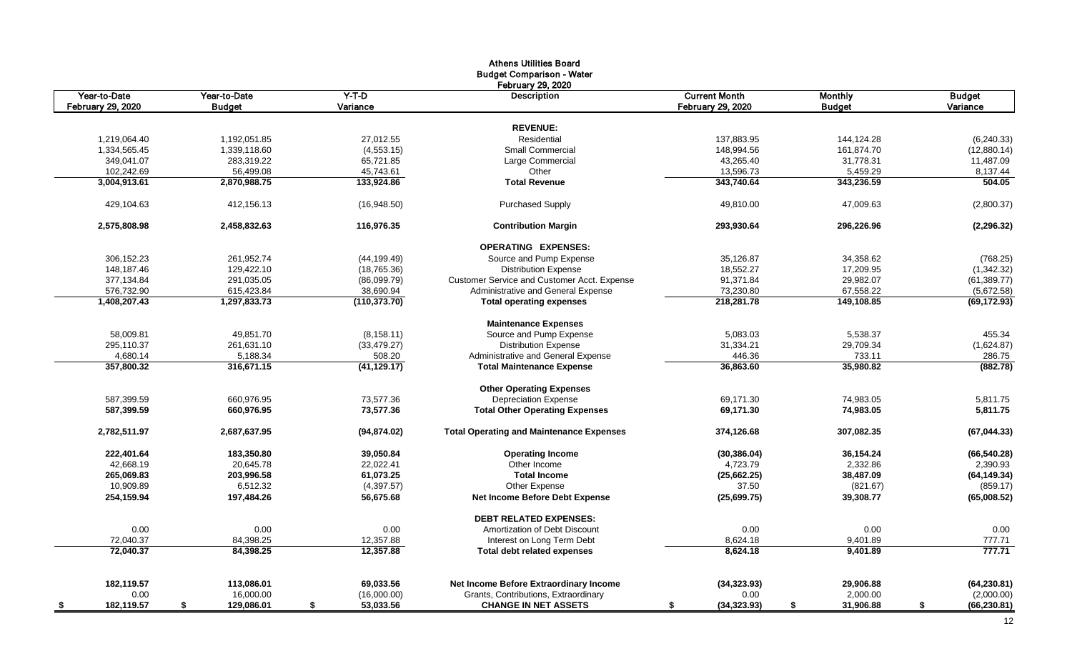|                          |                  |                 | <b>Athens Utilities Board</b>                   |                      |                 |                    |
|--------------------------|------------------|-----------------|-------------------------------------------------|----------------------|-----------------|--------------------|
|                          |                  |                 | <b>Budget Comparison - Water</b>                |                      |                 |                    |
|                          |                  |                 | <b>February 29, 2020</b>                        |                      |                 |                    |
| Year-to-Date             | Year-to-Date     | $Y-T-D$         | <b>Description</b>                              | <b>Current Month</b> | <b>Monthly</b>  | <b>Budget</b>      |
| <b>February 29, 2020</b> | <b>Budget</b>    | Variance        |                                                 | February 29, 2020    | <b>Budget</b>   | Variance           |
|                          |                  |                 |                                                 |                      |                 |                    |
|                          |                  |                 | <b>REVENUE:</b>                                 |                      |                 |                    |
| 1,219,064.40             | 1,192,051.85     | 27,012.55       | Residential                                     | 137,883.95           | 144,124.28      | (6, 240.33)        |
| 1,334,565.45             | 1,339,118.60     | (4, 553.15)     | <b>Small Commercial</b>                         | 148,994.56           | 161,874.70      | (12,880.14)        |
| 349,041.07               | 283.319.22       | 65,721.85       | Large Commercial                                | 43,265.40            | 31,778.31       | 11,487.09          |
| 102,242.69               | 56,499.08        | 45,743.61       | Other                                           | 13,596.73            | 5,459.29        | 8,137.44           |
| 3,004,913.61             | 2,870,988.75     | 133,924.86      | <b>Total Revenue</b>                            | 343,740.64           | 343,236.59      | 504.05             |
| 429,104.63               | 412,156.13       | (16,948.50)     | <b>Purchased Supply</b>                         | 49,810.00            | 47,009.63       | (2,800.37)         |
| 2,575,808.98             | 2,458,832.63     | 116.976.35      | <b>Contribution Margin</b>                      | 293,930.64           | 296.226.96      | (2, 296.32)        |
|                          |                  |                 | <b>OPERATING EXPENSES:</b>                      |                      |                 |                    |
| 306,152.23               | 261,952.74       | (44, 199.49)    | Source and Pump Expense                         | 35,126.87            | 34,358.62       | (768.25)           |
| 148,187.46               | 129,422.10       | (18, 765.36)    | <b>Distribution Expense</b>                     | 18,552.27            | 17,209.95       | (1,342.32)         |
| 377,134.84               | 291,035.05       | (86,099.79)     | Customer Service and Customer Acct. Expense     | 91,371.84            | 29,982.07       | (61, 389.77)       |
| 576,732.90               | 615,423.84       | 38,690.94       | Administrative and General Expense              | 73,230.80            | 67,558.22       | (5,672.58)         |
| 1,408,207.43             | 1,297,833.73     | (110, 373.70)   | <b>Total operating expenses</b>                 | 218,281.78           | 149,108.85      | (69, 172.93)       |
|                          |                  |                 |                                                 |                      |                 |                    |
|                          |                  |                 | <b>Maintenance Expenses</b>                     |                      |                 |                    |
| 58,009.81                | 49,851.70        | (8, 158.11)     | Source and Pump Expense                         | 5,083.03             | 5,538.37        | 455.34             |
| 295,110.37               | 261,631.10       | (33, 479.27)    | <b>Distribution Expense</b>                     | 31,334.21            | 29,709.34       | (1,624.87)         |
| 4,680.14                 | 5,188.34         | 508.20          | Administrative and General Expense              | 446.36               | 733.11          | 286.75             |
| 357,800.32               | 316,671.15       | (41, 129.17)    | <b>Total Maintenance Expense</b>                | 36,863.60            | 35,980.82       | (882.78)           |
|                          |                  |                 | <b>Other Operating Expenses</b>                 |                      |                 |                    |
| 587,399.59               | 660,976.95       | 73,577.36       | <b>Depreciation Expense</b>                     | 69,171.30            | 74,983.05       | 5,811.75           |
| 587,399.59               | 660,976.95       | 73,577.36       | <b>Total Other Operating Expenses</b>           | 69,171.30            | 74,983.05       | 5,811.75           |
| 2,782,511.97             | 2,687,637.95     | (94, 874.02)    | <b>Total Operating and Maintenance Expenses</b> | 374,126.68           | 307,082.35      | (67, 044.33)       |
| 222,401.64               | 183,350.80       | 39,050.84       | <b>Operating Income</b>                         | (30, 386.04)         | 36,154.24       | (66, 540.28)       |
| 42,668.19                | 20,645.78        |                 | Other Income                                    |                      | 2,332.86        |                    |
|                          |                  | 22,022.41       | <b>Total Income</b>                             | 4,723.79             |                 | 2,390.93           |
| 265,069.83               | 203,996.58       | 61,073.25       |                                                 | (25,662.25)          | 38,487.09       | (64, 149.34)       |
| 10.909.89                | 6.512.32         | (4,397.57)      | Other Expense                                   | 37.50                | (821.67)        | (859.17)           |
| 254,159.94               | 197,484.26       | 56,675.68       | <b>Net Income Before Debt Expense</b>           | (25,699.75)          | 39,308.77       | (65,008.52)        |
|                          |                  |                 | <b>DEBT RELATED EXPENSES:</b>                   |                      |                 |                    |
| 0.00                     | 0.00             | 0.00            | Amortization of Debt Discount                   | 0.00                 | 0.00            | 0.00               |
| 72,040.37                | 84,398.25        | 12,357.88       | Interest on Long Term Debt                      | 8,624.18             | 9,401.89        | 777.71             |
| 72,040.37                | 84,398.25        | 12,357.88       | <b>Total debt related expenses</b>              | 8,624.18             | 9,401.89        | 777.71             |
|                          |                  |                 |                                                 |                      |                 |                    |
| 182,119.57               | 113,086.01       | 69,033.56       | Net Income Before Extraordinary Income          | (34, 323.93)         | 29,906.88       | (64, 230.81)       |
| 0.00                     | 16,000.00        | (16,000.00)     | Grants, Contributions, Extraordinary            | 0.00                 | 2,000.00        | (2,000.00)         |
| 182,119.57<br>- \$       | \$<br>129,086.01 | \$<br>53,033.56 | <b>CHANGE IN NET ASSETS</b>                     | (34, 323.93)<br>\$   | 31,906.88<br>\$ | \$<br>(66, 230.81) |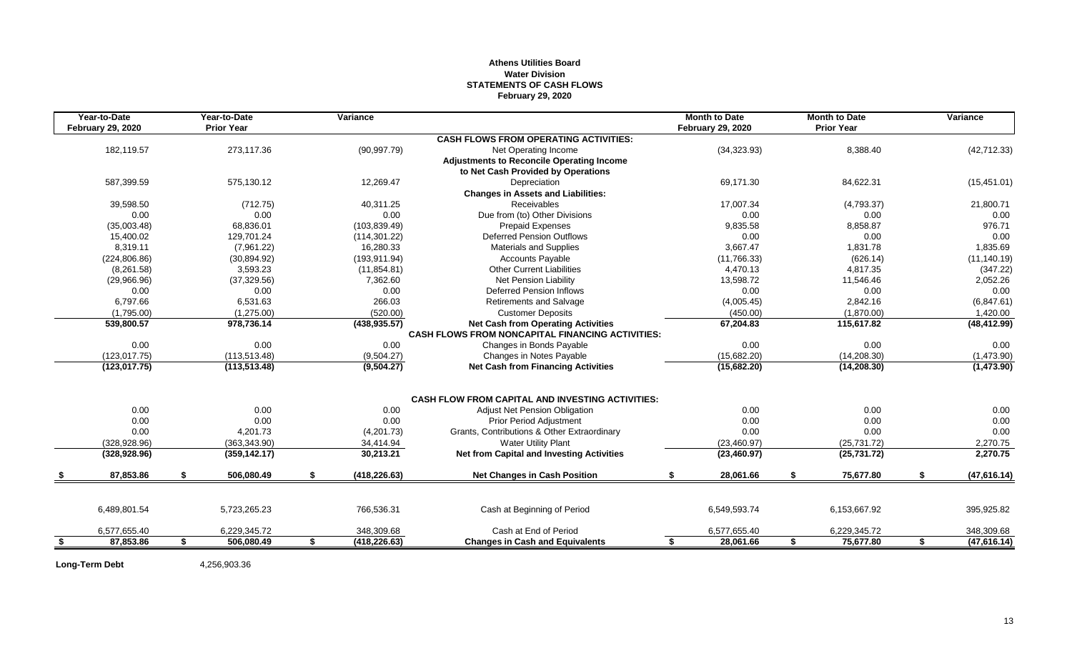# **Athens Utilities Board Water Division STATEMENTS OF CASH FLOWS February 29, 2020**

|    | Year-to-Date             |    | Year-to-Date      | Variance            |                                                         | <b>Month to Date</b>     |    | <b>Month to Date</b> |    | Variance     |
|----|--------------------------|----|-------------------|---------------------|---------------------------------------------------------|--------------------------|----|----------------------|----|--------------|
|    | <b>February 29, 2020</b> |    | <b>Prior Year</b> |                     |                                                         | <b>February 29, 2020</b> |    | <b>Prior Year</b>    |    |              |
|    |                          |    |                   |                     | <b>CASH FLOWS FROM OPERATING ACTIVITIES:</b>            |                          |    |                      |    |              |
|    | 182,119.57               |    | 273,117.36        | (90, 997.79)        | Net Operating Income                                    | (34, 323.93)             |    | 8,388.40             |    | (42, 712.33) |
|    |                          |    |                   |                     | <b>Adjustments to Reconcile Operating Income</b>        |                          |    |                      |    |              |
|    |                          |    |                   |                     | to Net Cash Provided by Operations                      |                          |    |                      |    |              |
|    | 587,399.59               |    | 575,130.12        | 12,269.47           | Depreciation                                            | 69,171.30                |    | 84,622.31            |    | (15, 451.01) |
|    |                          |    |                   |                     | <b>Changes in Assets and Liabilities:</b>               |                          |    |                      |    |              |
|    | 39,598.50                |    | (712.75)          | 40,311.25           | Receivables                                             | 17,007.34                |    | (4,793.37)           |    | 21,800.71    |
|    | 0.00                     |    | 0.00              | 0.00                | Due from (to) Other Divisions                           | 0.00                     |    | 0.00                 |    | 0.00         |
|    | (35,003.48)              |    | 68,836.01         | (103, 839.49)       | <b>Prepaid Expenses</b>                                 | 9,835.58                 |    | 8,858.87             |    | 976.71       |
|    | 15.400.02                |    | 129.701.24        | (114, 301.22)       | <b>Deferred Pension Outflows</b>                        | 0.00                     |    | 0.00                 |    | 0.00         |
|    | 8,319.11                 |    | (7,961.22)        | 16,280.33           | <b>Materials and Supplies</b>                           | 3,667.47                 |    | 1,831.78             |    | 1,835.69     |
|    | (224, 806.86)            |    | (30, 894.92)      | (193, 911.94)       | <b>Accounts Payable</b>                                 | (11, 766.33)             |    | (626.14)             |    | (11, 140.19) |
|    | (8,261.58)               |    | 3,593.23          | (11, 854.81)        | <b>Other Current Liabilities</b>                        | 4,470.13                 |    | 4,817.35             |    | (347.22)     |
|    | (29,966.96)              |    | (37, 329.56)      | 7,362.60            | Net Pension Liability                                   | 13,598.72                |    | 11,546.46            |    | 2,052.26     |
|    | 0.00                     |    | 0.00              | 0.00                | <b>Deferred Pension Inflows</b>                         | 0.00                     |    | 0.00                 |    | 0.00         |
|    | 6,797.66                 |    | 6,531.63          | 266.03              | Retirements and Salvage                                 | (4,005.45)               |    | 2,842.16             |    | (6,847.61)   |
|    | (1,795.00)               |    | (1,275.00)        | (520.00)            | <b>Customer Deposits</b>                                | (450.00)                 |    | (1,870.00)           |    | 1,420.00     |
|    | 539,800.57               |    | 978,736.14        | (438, 935.57)       | <b>Net Cash from Operating Activities</b>               | 67,204.83                |    | 115,617.82           |    | (48, 412.99) |
|    |                          |    |                   |                     | <b>CASH FLOWS FROM NONCAPITAL FINANCING ACTIVITIES:</b> |                          |    |                      |    |              |
|    | 0.00                     |    | 0.00              | 0.00                | Changes in Bonds Payable                                | 0.00                     |    | 0.00                 |    | 0.00         |
|    | (123.017.75)             |    | (113, 513.48)     | (9,504.27)          | Changes in Notes Payable                                | (15,682.20)              |    | (14, 208.30)         |    | (1,473.90)   |
|    | (123, 017.75)            |    | (113, 513.48)     | (9,504.27)          | <b>Net Cash from Financing Activities</b>               | (15,682.20)              |    | (14, 208.30)         |    | (1,473.90)   |
|    |                          |    |                   |                     | <b>CASH FLOW FROM CAPITAL AND INVESTING ACTIVITIES:</b> |                          |    |                      |    |              |
|    | 0.00                     |    | 0.00              | 0.00                | <b>Adjust Net Pension Obligation</b>                    | 0.00                     |    | 0.00                 |    | 0.00         |
|    | 0.00                     |    | 0.00              | 0.00                | <b>Prior Period Adjustment</b>                          | 0.00                     |    | 0.00                 |    | 0.00         |
|    | 0.00                     |    | 4,201.73          | (4,201.73)          | Grants, Contributions & Other Extraordinary             | 0.00                     |    | 0.00                 |    | 0.00         |
|    | (328, 928.96)            |    | (363, 343.90)     | 34,414.94           | <b>Water Utility Plant</b>                              | (23, 460.97)             |    | (25, 731.72)         |    | 2,270.75     |
|    | (328, 928.96)            |    | (359, 142.17)     | 30,213.21           | <b>Net from Capital and Investing Activities</b>        | (23, 460.97)             |    | (25, 731.72)         |    | 2,270.75     |
|    | 87,853.86                | \$ | 506,080.49        | \$<br>(418, 226.63) | <b>Net Changes in Cash Position</b>                     | \$<br>28,061.66          | S. | 75,677.80            | S. | (47, 616.14) |
|    |                          |    |                   |                     |                                                         |                          |    |                      |    |              |
|    | 6,489,801.54             |    | 5,723,265.23      | 766,536.31          | Cash at Beginning of Period                             | 6,549,593.74             |    | 6,153,667.92         |    | 395,925.82   |
|    | 6,577,655.40             |    | 6,229,345.72      | 348,309.68          | Cash at End of Period                                   | 6,577,655.40             |    | 6,229,345.72         |    | 348,309.68   |
| -S | 87,853.86                | s. | 506,080.49        | \$<br>(418, 226.63) | <b>Changes in Cash and Equivalents</b>                  | \$<br>28,061.66          | S. | 75,677.80            | \$ | (47,616.14)  |

**Long-Term Debt** 4,256,903.36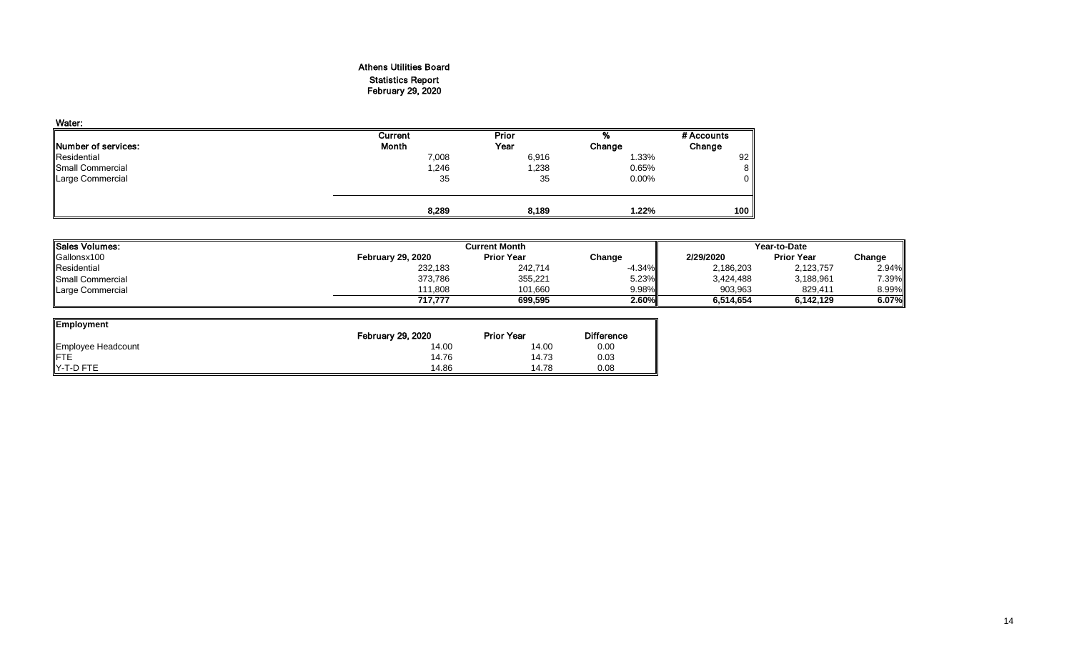# Athens Utilities Board Statistics Report February 29, 2020

| Water:                      |         |        |        |            |
|-----------------------------|---------|--------|--------|------------|
|                             | Current | Prior  | %      | # Accounts |
| <b>INumber of services:</b> | Month   | Year   | Change | Change     |
| Residential                 | 7,008   | 6,916  | 1.33%  | 92         |
| Small Commercial            | 1,246   | 238, ا | 0.65%  | 8          |
| Large Commercial            | 35      | 35     | 0.00%  | $\Omega$   |
|                             |         |        |        | 100        |
|                             | 8,289   | 8,189  | 1.22%  |            |

| Sales Volumes:   |                          | <b>Current Month</b> |          | Year-to-Date |                   |        |  |
|------------------|--------------------------|----------------------|----------|--------------|-------------------|--------|--|
| Gallonsx100      | <b>February 29, 2020</b> | <b>Prior Year</b>    | Change   | 2/29/2020    | <b>Prior Year</b> | Change |  |
| Residential      | 232,183                  | 242,714              | $-4.34%$ | 2,186,203    | 2,123,757         | 2.94%  |  |
| Small Commercial | 373,786                  | 355,221              | 5.23%    | 3,424,488    | 3,188,961         | 7.39%  |  |
| Large Commercial | 111.808                  | 101.660              | 9.98%    | 903.963      | 829,411           | 8.99%  |  |
|                  | 717.777                  | 699.595              | 2.60%    | 6,514,654    | 6.142.129         | 6.07%  |  |

| <b>Employment</b>  |                          |                   |                   |
|--------------------|--------------------------|-------------------|-------------------|
|                    | <b>February 29, 2020</b> | <b>Prior Year</b> | <b>Difference</b> |
| Employee Headcount | 14.00                    | 14.00             | 0.00              |
| <b>IFTE</b>        | 14.76                    | 14.73             | 0.03              |
| Y-T-D FTE          | 14.86                    | 14.78             | 0.08              |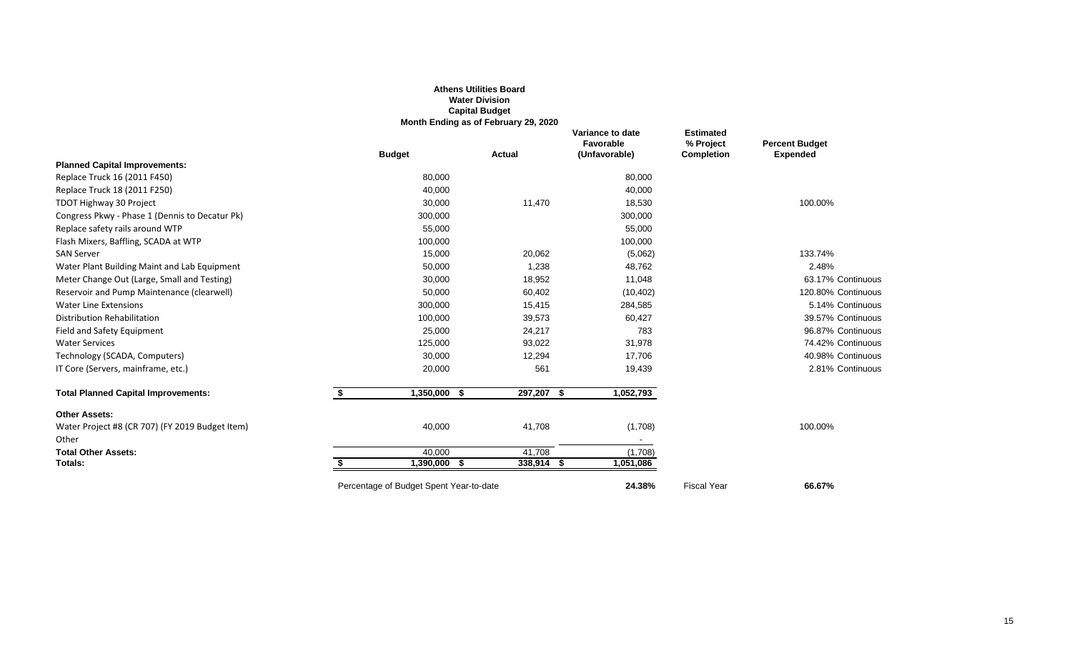|                                                          |                                         | <b>Athens Utilities Board</b><br><b>Water Division</b><br><b>Capital Budget</b><br>Month Ending as of February 29, 2020 |                                                |                                                    |                                          |
|----------------------------------------------------------|-----------------------------------------|-------------------------------------------------------------------------------------------------------------------------|------------------------------------------------|----------------------------------------------------|------------------------------------------|
|                                                          | <b>Budget</b>                           | Actual                                                                                                                  | Variance to date<br>Favorable<br>(Unfavorable) | <b>Estimated</b><br>% Project<br><b>Completion</b> | <b>Percent Budget</b><br><b>Expended</b> |
| <b>Planned Capital Improvements:</b>                     |                                         |                                                                                                                         |                                                |                                                    |                                          |
| Replace Truck 16 (2011 F450)                             | 80,000                                  |                                                                                                                         | 80,000                                         |                                                    |                                          |
| Replace Truck 18 (2011 F250)                             | 40,000                                  |                                                                                                                         | 40,000                                         |                                                    |                                          |
| TDOT Highway 30 Project                                  | 30,000                                  | 11,470                                                                                                                  | 18,530                                         |                                                    | 100.00%                                  |
| Congress Pkwy - Phase 1 (Dennis to Decatur Pk)           | 300,000                                 |                                                                                                                         | 300,000                                        |                                                    |                                          |
| Replace safety rails around WTP                          | 55,000                                  |                                                                                                                         | 55,000                                         |                                                    |                                          |
| Flash Mixers, Baffling, SCADA at WTP                     | 100,000                                 |                                                                                                                         | 100,000                                        |                                                    |                                          |
| <b>SAN Server</b>                                        | 15,000                                  | 20,062                                                                                                                  | (5,062)                                        |                                                    | 133.74%                                  |
| Water Plant Building Maint and Lab Equipment             | 50,000                                  | 1,238                                                                                                                   | 48,762                                         |                                                    | 2.48%                                    |
| Meter Change Out (Large, Small and Testing)              | 30,000                                  | 18,952                                                                                                                  | 11,048                                         |                                                    | 63.17% Continuous                        |
| Reservoir and Pump Maintenance (clearwell)               | 50,000                                  | 60,402                                                                                                                  | (10, 402)                                      |                                                    | 120.80% Continuous                       |
| <b>Water Line Extensions</b>                             | 300,000                                 | 15,415                                                                                                                  | 284,585                                        |                                                    | 5.14% Continuous                         |
| <b>Distribution Rehabilitation</b>                       | 100,000                                 | 39,573                                                                                                                  | 60,427                                         |                                                    | 39.57% Continuous                        |
| Field and Safety Equipment                               | 25,000                                  | 24,217                                                                                                                  | 783                                            |                                                    | 96.87% Continuous                        |
| <b>Water Services</b>                                    | 125,000                                 | 93,022                                                                                                                  | 31,978                                         |                                                    | 74.42% Continuous                        |
| Technology (SCADA, Computers)                            | 30,000                                  | 12,294                                                                                                                  | 17,706                                         |                                                    | 40.98% Continuous                        |
| IT Core (Servers, mainframe, etc.)                       | 20,000                                  | 561                                                                                                                     | 19,439                                         |                                                    | 2.81% Continuous                         |
| <b>Total Planned Capital Improvements:</b>               | 1,350,000<br>\$                         | 297,207 \$<br>- \$                                                                                                      | 1,052,793                                      |                                                    |                                          |
| <b>Other Assets:</b>                                     |                                         |                                                                                                                         |                                                |                                                    |                                          |
| Water Project #8 (CR 707) (FY 2019 Budget Item)<br>Other | 40,000                                  | 41,708                                                                                                                  | (1,708)                                        |                                                    | 100.00%                                  |
| <b>Total Other Assets:</b>                               | 40.000                                  | 41,708                                                                                                                  | (1,708)                                        |                                                    |                                          |
| Totals:                                                  | 1,390,000 \$                            | 338,914 \$                                                                                                              | 1,051,086                                      |                                                    |                                          |
|                                                          | Percentage of Budget Spent Year-to-date |                                                                                                                         | 24.38%                                         | <b>Fiscal Year</b>                                 | 66.67%                                   |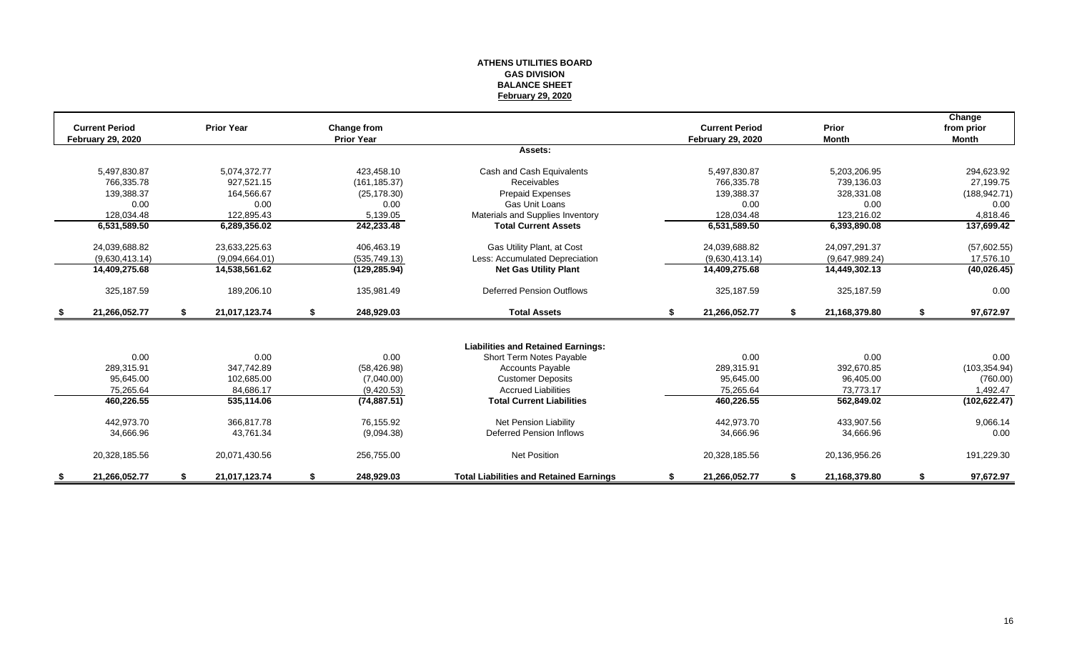#### **ATHENS UTILITIES BOARD GAS DIVISION BALANCE SHEET February 29, 2020**

|               | <b>Current Period</b><br><b>February 29, 2020</b> |    | <b>Prior Year</b> |    | Change from<br><b>Prior Year</b> |                                                |    | <b>Current Period</b><br><b>February 29, 2020</b> |    | Prior<br><b>Month</b> | Change<br>from prior<br><b>Month</b> |
|---------------|---------------------------------------------------|----|-------------------|----|----------------------------------|------------------------------------------------|----|---------------------------------------------------|----|-----------------------|--------------------------------------|
|               |                                                   |    |                   |    |                                  | Assets:                                        |    |                                                   |    |                       |                                      |
|               | 5,497,830.87                                      |    | 5,074,372.77      |    | 423,458.10                       | Cash and Cash Equivalents                      |    | 5,497,830.87                                      |    | 5,203,206.95          | 294,623.92                           |
|               | 766.335.78                                        |    | 927,521.15        |    | (161, 185.37)                    | <b>Receivables</b>                             |    | 766.335.78                                        |    | 739,136.03            | 27,199.75                            |
|               | 139,388.37                                        |    | 164,566.67        |    | (25, 178.30)                     | Prepaid Expenses                               |    | 139,388.37                                        |    | 328,331.08            | (188, 942.71)                        |
|               | 0.00                                              |    | 0.00              |    | 0.00                             | Gas Unit Loans                                 |    | 0.00                                              |    | 0.00                  | 0.00                                 |
|               | 128,034.48                                        |    | 122,895.43        |    | 5,139.05                         | Materials and Supplies Inventory               |    | 128,034.48                                        |    | 123,216.02            | 4,818.46                             |
|               | 6,531,589.50                                      |    | 6,289,356.02      |    | 242,233.48                       | <b>Total Current Assets</b>                    |    | 6,531,589.50                                      |    | 6,393,890.08          | 137,699.42                           |
|               | 24,039,688.82                                     |    | 23,633,225.63     |    | 406,463.19                       | Gas Utility Plant, at Cost                     |    | 24,039,688.82                                     |    | 24,097,291.37         | (57,602.55)                          |
|               | (9.630.413.14)                                    |    | (9,094,664.01)    |    | (535, 749.13)                    | Less: Accumulated Depreciation                 |    | (9,630,413.14)                                    |    | (9,647,989.24)        | 17,576.10                            |
|               | 14,409,275.68                                     |    | 14,538,561.62     |    | (129, 285.94)                    | <b>Net Gas Utility Plant</b>                   |    | 14,409,275.68                                     |    | 14,449,302.13         | (40, 026.45)                         |
|               | 325,187.59                                        |    | 189,206.10        |    | 135,981.49                       | <b>Deferred Pension Outflows</b>               |    | 325,187.59                                        |    | 325,187.59            | 0.00                                 |
| - \$          | 21,266,052.77                                     | S. | 21,017,123.74     | \$ | 248,929.03                       | <b>Total Assets</b>                            | s. | 21,266,052.77                                     | S. | 21,168,379.80         | \$<br>97,672.97                      |
|               |                                                   |    |                   |    |                                  |                                                |    |                                                   |    |                       |                                      |
|               |                                                   |    |                   |    |                                  | <b>Liabilities and Retained Earnings:</b>      |    |                                                   |    |                       |                                      |
|               | 0.00                                              |    | 0.00              |    | 0.00                             | Short Term Notes Payable                       |    | 0.00                                              |    | 0.00                  | 0.00                                 |
|               | 289,315.91                                        |    | 347,742.89        |    | (58, 426.98)                     | <b>Accounts Payable</b>                        |    | 289,315.91                                        |    | 392,670.85            | (103, 354.94)                        |
|               | 95.645.00                                         |    | 102,685.00        |    | (7,040.00)                       | <b>Customer Deposits</b>                       |    | 95,645.00                                         |    | 96,405.00             | (760.00)                             |
|               | 75,265.64                                         |    | 84,686.17         |    | (9,420.53)                       | <b>Accrued Liabilities</b>                     |    | 75,265.64                                         |    | 73,773.17             | 1,492.47                             |
|               | 460,226.55                                        |    | 535,114.06        |    | (74, 887.51)                     | <b>Total Current Liabilities</b>               |    | 460,226.55                                        |    | 562,849.02            | (102, 622.47)                        |
|               | 442,973.70                                        |    | 366.817.78        |    | 76,155.92                        | <b>Net Pension Liability</b>                   |    | 442,973.70                                        |    | 433,907.56            | 9,066.14                             |
|               | 34,666.96                                         |    | 43,761.34         |    | (9,094.38)                       | Deferred Pension Inflows                       |    | 34,666.96                                         |    | 34,666.96             | 0.00                                 |
|               | 20,328,185.56                                     |    | 20,071,430.56     |    | 256,755.00                       | <b>Net Position</b>                            |    | 20,328,185.56                                     |    | 20,136,956.26         | 191,229.30                           |
| $\frac{1}{2}$ | 21.266.052.77                                     |    | 21,017,123.74     | S  | 248,929.03                       | <b>Total Liabilities and Retained Earnings</b> | S  | 21,266,052.77                                     |    | 21,168,379.80         | 97,672.97                            |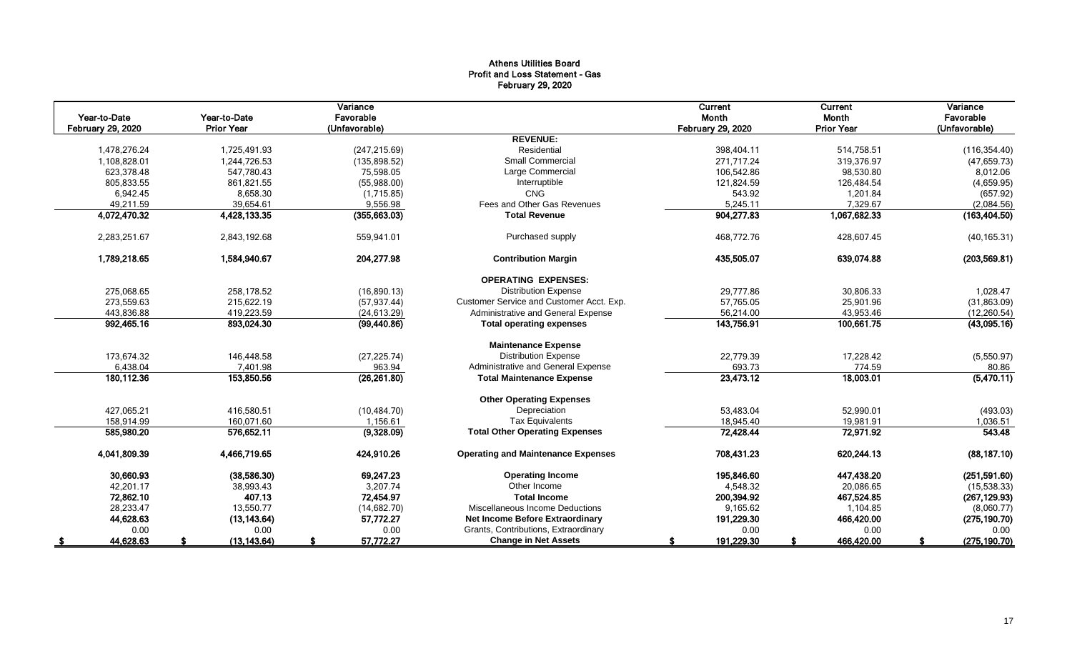# Athens Utilities Board Profit and Loss Statement - Gas February 29, 2020

|                          |                   | Variance      |                                           | Current                  | Current           | Variance      |
|--------------------------|-------------------|---------------|-------------------------------------------|--------------------------|-------------------|---------------|
| Year-to-Date             | Year-to-Date      | Favorable     |                                           | Month                    | Month             | Favorable     |
| <b>February 29, 2020</b> | <b>Prior Year</b> | (Unfavorable) |                                           | <b>February 29, 2020</b> | <b>Prior Year</b> | (Unfavorable) |
|                          |                   |               | <b>REVENUE:</b>                           |                          |                   |               |
| 1,478,276.24             | 1,725,491.93      | (247, 215.69) | Residential                               | 398,404.11               | 514,758.51        | (116, 354.40) |
| 1,108,828.01             | 1,244,726.53      | (135, 898.52) | Small Commercial                          | 271.717.24               | 319,376.97        | (47, 659.73)  |
| 623,378.48               | 547,780.43        | 75,598.05     | Large Commercial                          | 106,542.86               | 98,530.80         | 8,012.06      |
| 805,833.55               | 861,821.55        | (55,988.00)   | Interruptible                             | 121,824.59               | 126,484.54        | (4,659.95)    |
| 6,942.45                 | 8,658.30          | (1,715.85)    | <b>CNG</b>                                | 543.92                   | 1,201.84          | (657.92)      |
| 49,211.59                | 39,654.61         | 9,556.98      | Fees and Other Gas Revenues               | 5,245.11                 | 7,329.67          | (2,084.56)    |
| 4,072,470.32             | 4,428,133.35      | (355,663.03)  | <b>Total Revenue</b>                      | 904,277.83               | 1,067,682.33      | (163, 404.50) |
| 2,283,251.67             | 2,843,192.68      | 559,941.01    | Purchased supply                          | 468,772.76               | 428,607.45        | (40, 165.31)  |
| 1,789,218.65             | 1,584,940.67      | 204,277.98    | <b>Contribution Margin</b>                | 435,505.07               | 639,074.88        | (203, 569.81) |
|                          |                   |               | <b>OPERATING EXPENSES:</b>                |                          |                   |               |
| 275,068.65               | 258,178.52        | (16,890.13)   | <b>Distribution Expense</b>               | 29,777.86                | 30,806.33         | 1,028.47      |
| 273,559.63               | 215.622.19        | (57, 937.44)  | Customer Service and Customer Acct. Exp.  | 57,765.05                | 25,901.96         | (31,863.09)   |
| 443,836.88               | 419,223.59        | (24, 613.29)  | Administrative and General Expense        | 56,214.00                | 43,953.46         | (12, 260.54)  |
| 992,465.16               | 893,024.30        | (99, 440.86)  | <b>Total operating expenses</b>           | 143,756.91               | 100,661.75        | (43,095.16)   |
|                          |                   |               | <b>Maintenance Expense</b>                |                          |                   |               |
| 173,674.32               | 146,448.58        | (27, 225.74)  | <b>Distribution Expense</b>               | 22,779.39                | 17,228.42         | (5,550.97)    |
| 6,438.04                 | 7,401.98          | 963.94        | Administrative and General Expense        | 693.73                   | 774.59            | 80.86         |
| 180,112.36               | 153,850.56        | (26, 261.80)  | <b>Total Maintenance Expense</b>          | 23,473.12                | 18,003.01         | (5,470.11)    |
|                          |                   |               | <b>Other Operating Expenses</b>           |                          |                   |               |
| 427,065.21               | 416,580.51        | (10, 484.70)  | Depreciation                              | 53,483.04                | 52,990.01         | (493.03)      |
| 158.914.99               | 160.071.60        | 1.156.61      | <b>Tax Equivalents</b>                    | 18.945.40                | 19,981.91         | 1,036.51      |
| 585,980.20               | 576,652.11        | (9,328.09)    | <b>Total Other Operating Expenses</b>     | 72,428.44                | 72,971.92         | 543.48        |
| 4,041,809.39             | 4,466,719.65      | 424,910.26    | <b>Operating and Maintenance Expenses</b> | 708,431.23               | 620,244.13        | (88, 187.10)  |
| 30,660.93                | (38,586.30)       | 69,247.23     | <b>Operating Income</b>                   | 195,846.60               | 447,438.20        | (251, 591.60) |
| 42,201.17                | 38,993.43         | 3,207.74      | Other Income                              | 4,548.32                 | 20,086.65         | (15,538.33)   |
| 72,862.10                | 407.13            | 72,454.97     | <b>Total Income</b>                       | 200,394.92               | 467,524.85        | (267, 129.93) |
| 28,233.47                | 13,550.77         | (14,682.70)   | Miscellaneous Income Deductions           | 9,165.62                 | 1,104.85          | (8,060.77)    |
| 44,628.63                | (13, 143.64)      | 57,772.27     | <b>Net Income Before Extraordinary</b>    | 191,229.30               | 466,420.00        | (275, 190.70) |
| 0.00                     | 0.00              | 0.00          | Grants, Contributions, Extraordinary      | 0.00                     | 0.00              | 0.00          |
| 44,628.63                | (13, 143.64)      | 57,772.27     | <b>Change in Net Assets</b>               | 191,229.30               | 466,420.00        | (275, 190.70) |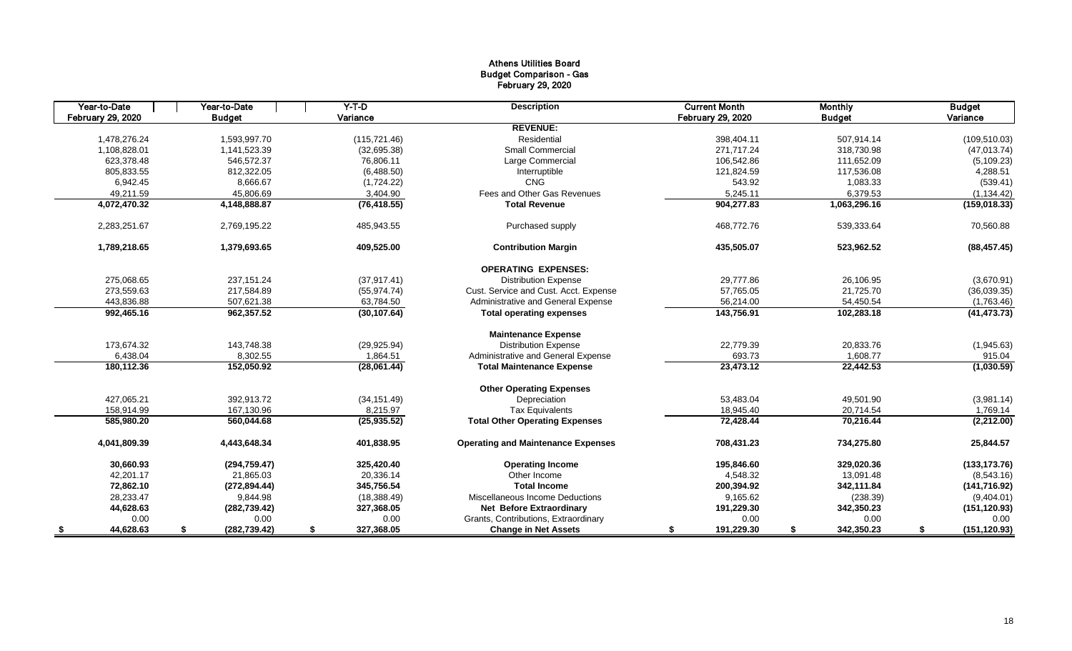# Athens Utilities Board Budget Comparison - Gas February 29, 2020

| Year-to-Date      | Year-to-Date        | $Y-T-D$          | <b>Description</b>                        | <b>Current Month</b> | <b>Monthly</b>   | <b>Budget</b>       |
|-------------------|---------------------|------------------|-------------------------------------------|----------------------|------------------|---------------------|
| February 29, 2020 | <b>Budget</b>       | Variance         |                                           | February 29, 2020    | <b>Budget</b>    | Variance            |
|                   |                     |                  | <b>REVENUE:</b>                           |                      |                  |                     |
| 1,478,276.24      | 1,593,997.70        | (115, 721.46)    | Residential                               | 398,404.11           | 507,914.14       | (109, 510.03)       |
| 1,108,828.01      | 1,141,523.39        | (32,695.38)      | <b>Small Commercial</b>                   | 271,717.24           | 318,730.98       | (47, 013.74)        |
| 623,378.48        | 546,572.37          | 76,806.11        | Large Commercial                          | 106,542.86           | 111,652.09       | (5, 109.23)         |
| 805,833.55        | 812,322.05          | (6,488.50)       | Interruptible                             | 121,824.59           | 117,536.08       | 4,288.51            |
| 6,942.45          | 8,666.67            | (1,724.22)       | <b>CNG</b>                                | 543.92               | 1,083.33         | (539.41)            |
| 49,211.59         | 45.806.69           | 3,404.90         | Fees and Other Gas Revenues               | 5,245.11             | 6,379.53         | (1, 134.42)         |
| 4,072,470.32      | 4,148,888.87        | (76, 418.55)     | <b>Total Revenue</b>                      | 904,277.83           | 1,063,296.16     | (159, 018.33)       |
| 2,283,251.67      | 2,769,195.22        | 485,943.55       | Purchased supply                          | 468,772.76           | 539,333.64       | 70,560.88           |
| 1,789,218.65      | 1,379,693.65        | 409,525.00       | <b>Contribution Margin</b>                | 435,505.07           | 523,962.52       | (88, 457.45)        |
|                   |                     |                  | <b>OPERATING EXPENSES:</b>                |                      |                  |                     |
| 275,068.65        | 237, 151.24         | (37, 917.41)     | <b>Distribution Expense</b>               | 29.777.86            | 26,106.95        | (3,670.91)          |
| 273,559.63        | 217,584.89          | (55, 974.74)     | Cust. Service and Cust. Acct. Expense     | 57,765.05            | 21,725.70        | (36,039.35)         |
| 443.836.88        | 507,621.38          | 63,784.50        | Administrative and General Expense        | 56,214.00            | 54,450.54        | (1,763.46)          |
| 992,465.16        | 962,357.52          | (30, 107.64)     | <b>Total operating expenses</b>           | 143,756.91           | 102,283.18       | (41, 473.73)        |
|                   |                     |                  | <b>Maintenance Expense</b>                |                      |                  |                     |
| 173,674.32        | 143,748.38          | (29, 925.94)     | <b>Distribution Expense</b>               | 22,779.39            | 20,833.76        | (1,945.63)          |
| 6,438.04          | 8,302.55            | 1,864.51         | Administrative and General Expense        | 693.73               | 1,608.77         | 915.04              |
| 180,112.36        | 152,050.92          | (28,061.44)      | <b>Total Maintenance Expense</b>          | 23,473.12            | 22,442.53        | (1,030.59)          |
|                   |                     |                  | <b>Other Operating Expenses</b>           |                      |                  |                     |
| 427.065.21        | 392.913.72          | (34, 151.49)     | Depreciation                              | 53.483.04            | 49,501.90        | (3,981.14)          |
| 158,914.99        | 167,130.96          | 8,215.97         | <b>Tax Equivalents</b>                    | 18,945.40            | 20,714.54        | 1,769.14            |
| 585,980.20        | 560,044.68          | (25, 935.52)     | <b>Total Other Operating Expenses</b>     | 72,428.44            | 70,216.44        | (2,212.00)          |
| 4,041,809.39      | 4,443,648.34        | 401,838.95       | <b>Operating and Maintenance Expenses</b> | 708,431.23           | 734,275.80       | 25,844.57           |
| 30.660.93         | (294, 759.47)       | 325,420.40       | <b>Operating Income</b>                   | 195,846.60           | 329,020.36       | (133, 173.76)       |
| 42,201.17         | 21,865.03           | 20,336.14        | Other Income                              | 4,548.32             | 13,091.48        | (8,543.16)          |
| 72,862.10         | (272, 894.44)       | 345,756.54       | <b>Total Income</b>                       | 200,394.92           | 342,111.84       | (141, 716.92)       |
| 28,233.47         | 9,844.98            | (18, 388.49)     | Miscellaneous Income Deductions           | 9,165.62             | (238.39)         | (9,404.01)          |
| 44,628.63         | (282, 739.42)       | 327,368.05       | <b>Net Before Extraordinary</b>           | 191,229.30           | 342,350.23       | (151, 120.93)       |
| 0.00              | 0.00                | 0.00             | Grants, Contributions, Extraordinary      | 0.00                 | 0.00             | 0.00                |
| 44,628.63<br>-5   | (282, 739.42)<br>\$ | 327,368.05<br>\$ | <b>Change in Net Assets</b>               | 191,229.30<br>S      | 342,350.23<br>\$ | (151, 120.93)<br>\$ |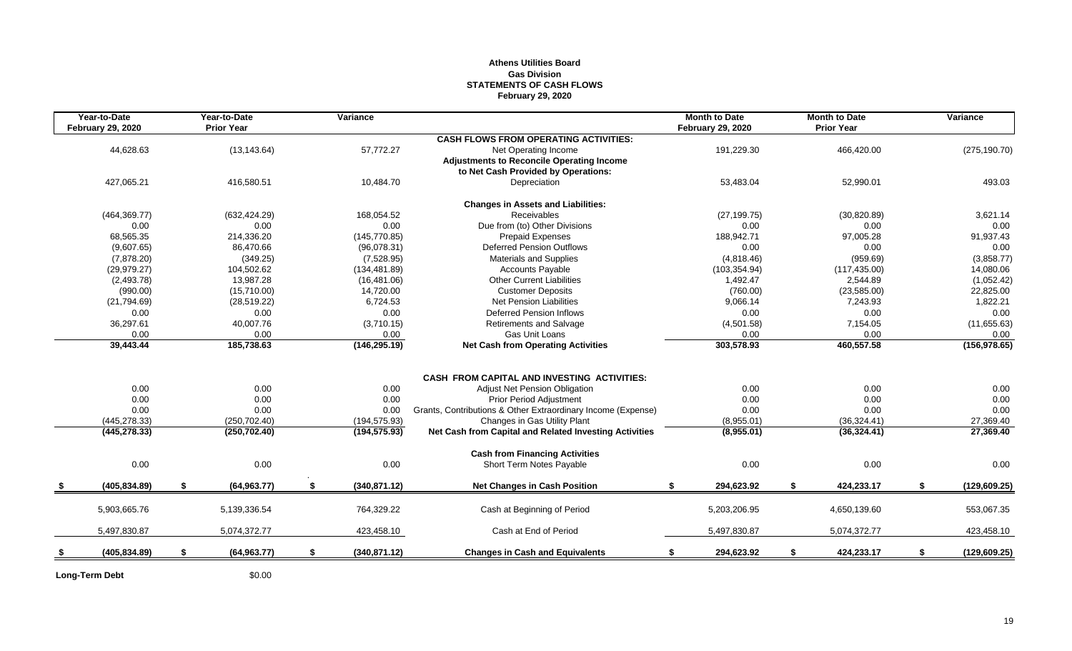### **Athens Utilities Board Gas Division STATEMENTS OF CASH FLOWS February 29, 2020**

| Year-to-Date             |    | Year-to-Date      | Variance            |                                                              | <b>Month to Date</b>     |    | <b>Month to Date</b> | Variance            |
|--------------------------|----|-------------------|---------------------|--------------------------------------------------------------|--------------------------|----|----------------------|---------------------|
| <b>February 29, 2020</b> |    | <b>Prior Year</b> |                     |                                                              | <b>February 29, 2020</b> |    | <b>Prior Year</b>    |                     |
|                          |    |                   |                     | <b>CASH FLOWS FROM OPERATING ACTIVITIES:</b>                 |                          |    |                      |                     |
| 44,628.63                |    | (13, 143.64)      | 57,772.27           | Net Operating Income                                         | 191,229.30               |    | 466,420.00           | (275, 190.70)       |
|                          |    |                   |                     | <b>Adjustments to Reconcile Operating Income</b>             |                          |    |                      |                     |
|                          |    |                   |                     | to Net Cash Provided by Operations:                          |                          |    |                      |                     |
| 427,065.21               |    | 416,580.51        | 10,484.70           | Depreciation                                                 | 53,483.04                |    | 52,990.01            | 493.03              |
|                          |    |                   |                     | <b>Changes in Assets and Liabilities:</b>                    |                          |    |                      |                     |
| (464, 369.77)            |    | (632, 424.29)     | 168.054.52          | Receivables                                                  | (27, 199.75)             |    | (30, 820.89)         | 3,621.14            |
| 0.00                     |    | 0.00              | 0.00                | Due from (to) Other Divisions                                | 0.00                     |    | 0.00                 | 0.00                |
| 68.565.35                |    | 214,336.20        | (145, 770.85)       | <b>Prepaid Expenses</b>                                      | 188.942.71               |    | 97,005.28            | 91,937.43           |
| (9,607.65)               |    | 86.470.66         | (96,078.31)         | <b>Deferred Pension Outflows</b>                             | 0.00                     |    | 0.00                 | 0.00                |
| (7,878.20)               |    | (349.25)          | (7,528.95)          | Materials and Supplies                                       | (4,818.46)               |    | (959.69)             | (3,858.77)          |
| (29.979.27)              |    | 104,502.62        | (134, 481.89)       | <b>Accounts Payable</b>                                      | (103, 354.94)            |    | (117, 435.00)        | 14,080.06           |
| (2,493.78)               |    | 13,987.28         | (16, 481.06)        | <b>Other Current Liabilities</b>                             | 1,492.47                 |    | 2,544.89             | (1,052.42)          |
| (990.00)                 |    | (15,710.00)       | 14.720.00           | <b>Customer Deposits</b>                                     | (760.00)                 |    | (23,585.00)          | 22,825.00           |
| (21,794.69)              |    | (28, 519.22)      | 6,724.53            | <b>Net Pension Liabilities</b>                               | 9,066.14                 |    | 7,243.93             | 1,822.21            |
| 0.00                     |    | 0.00              | 0.00                | <b>Deferred Pension Inflows</b>                              | 0.00                     |    | 0.00                 | 0.00                |
| 36,297.61                |    | 40,007.76         | (3,710.15)          | <b>Retirements and Salvage</b>                               | (4,501.58)               |    | 7,154.05             | (11,655.63)         |
| 0.00                     |    | 0.00              | 0.00                | Gas Unit Loans                                               | 0.00                     |    | 0.00                 | 0.00                |
| 39,443.44                |    | 185,738.63        | (146, 295.19)       | <b>Net Cash from Operating Activities</b>                    | 303,578.93               |    | 460,557.58           | (156, 978.65)       |
|                          |    |                   |                     |                                                              |                          |    |                      |                     |
|                          |    |                   |                     | CASH FROM CAPITAL AND INVESTING ACTIVITIES:                  |                          |    |                      |                     |
| 0.00                     |    | 0.00              | 0.00                | Adjust Net Pension Obligation                                | 0.00                     |    | 0.00                 | 0.00                |
| 0.00                     |    | 0.00              | 0.00                | <b>Prior Period Adjustment</b>                               | 0.00                     |    | 0.00                 | 0.00                |
| 0.00                     |    | 0.00              | 0.00                | Grants, Contributions & Other Extraordinary Income (Expense) | 0.00                     |    | 0.00                 | 0.00                |
| (445, 278.33)            |    | (250, 702.40)     | (194, 575.93)       | Changes in Gas Utility Plant                                 | (8,955.01)               |    | (36, 324.41)         | 27,369.40           |
| (445, 278.33)            |    | (250, 702.40)     | (194, 575.93)       | Net Cash from Capital and Related Investing Activities       | (8,955.01)               |    | (36,324.41)          | 27,369.40           |
|                          |    |                   |                     | <b>Cash from Financing Activities</b>                        |                          |    |                      |                     |
| 0.00                     |    | 0.00              | 0.00                | Short Term Notes Payable                                     | 0.00                     |    | 0.00                 | 0.00                |
| (405, 834.89)            | -S | (64, 963.77)      | \$<br>(340.871.12)  | <b>Net Changes in Cash Position</b>                          | 294,623.92<br>\$         | \$ | 424,233.17           | \$<br>(129, 609.25) |
| 5,903,665.76             |    | 5,139,336.54      | 764,329.22          | Cash at Beginning of Period                                  | 5,203,206.95             |    | 4,650,139.60         | 553,067.35          |
|                          |    |                   |                     |                                                              |                          |    |                      |                     |
| 5,497,830.87             |    | 5,074,372.77      | 423,458.10          | Cash at End of Period                                        | 5,497,830.87             |    | 5,074,372.77         | 423,458.10          |
| (405, 834.89)            | \$ | (64, 963.77)      | \$<br>(340, 871.12) | <b>Changes in Cash and Equivalents</b>                       | 294,623.92<br>\$         | \$ | 424,233.17           | \$<br>(129, 609.25) |

Long-Term Debt \$0.00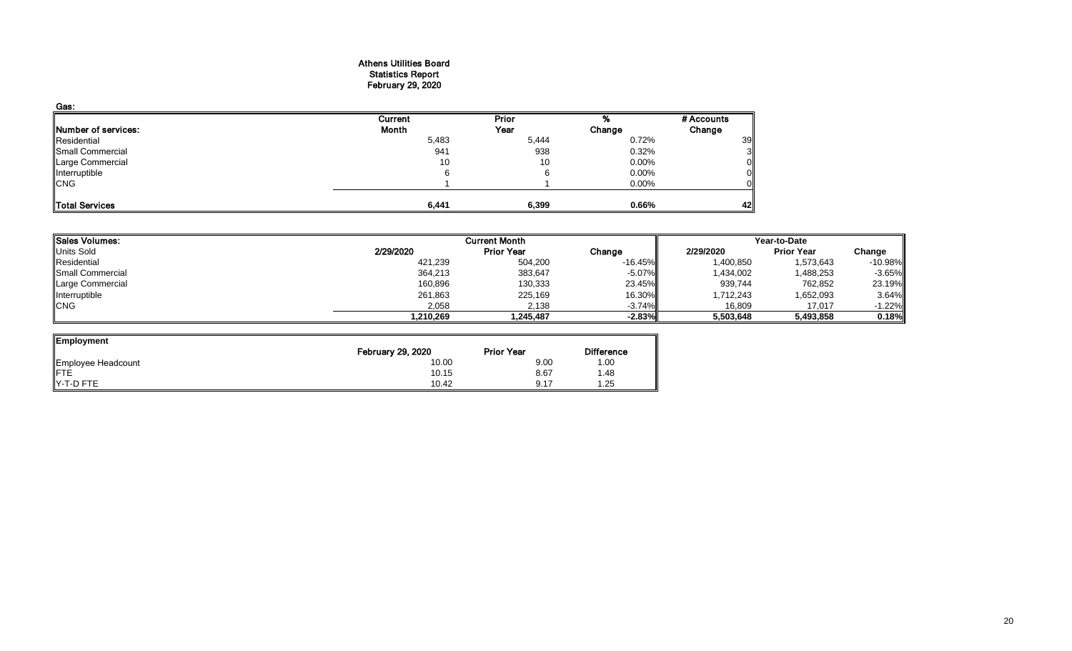#### Athens Utilities Board Statistics Report February 29, 2020

| Gas:                       |         |       |          |            |
|----------------------------|---------|-------|----------|------------|
|                            | Current | Prior |          | # Accounts |
| <b>Number of services:</b> | Month   | Year  | Change   | Change     |
| Residential                | 5,483   | 5,444 | 0.72%    | 39         |
| Small Commercial           | 941     | 938   | 0.32%    |            |
| Large Commercial           | 10      | 10    | $0.00\%$ |            |
| Interruptible              | 6       |       | $0.00\%$ |            |
| <b>CNG</b>                 |         |       | $0.00\%$ |            |
| Total Services             | 6,441   | 6,399 | 0.66%    | 42         |

| Sales Volumes:          |           | <b>Current Month</b> |           | Year-to-Date |                   |           |  |
|-------------------------|-----------|----------------------|-----------|--------------|-------------------|-----------|--|
| Units Sold              | 2/29/2020 | <b>Prior Year</b>    | Change    | 2/29/2020    | <b>Prior Year</b> | Change    |  |
| Residential             | 421,239   | 504,200              | $-16.45%$ | 1,400,850    | 1,573,643         | $-10.98%$ |  |
| <b>Small Commercial</b> | 364,213   | 383,647              | $-5.07\%$ | 1,434,002    | 1,488,253         | $-3.65%$  |  |
| Large Commercial        | 160,896   | 130,333              | 23.45%    | 939,744      | 762,852           | 23.19%    |  |
| Interruptible           | 261,863   | 225,169              | 16.30%II  | 1,712,243    | 1,652,093         | 3.64%     |  |
| <b>CNG</b>              | 2,058     | 2,138                | $-3.74\%$ | 16,809       | 17,017            | $-1.22\%$ |  |
|                         | .210,269  | 1.245.487            | $-2.83%$  | 5,503,648    | 5,493,858         | 0.18%     |  |

| Employment                     |                          |                   |                   |
|--------------------------------|--------------------------|-------------------|-------------------|
|                                | <b>February 29, 2020</b> | <b>Prior Year</b> | <b>Difference</b> |
|                                | 10.00                    | 9.00              | 1.00              |
| Employee Headcount<br>FTE      | 10.15                    | 8.67              | 1.48              |
| $\blacktriangleright$ -T-D FTE | 10.42                    | 9.17              | 1.25              |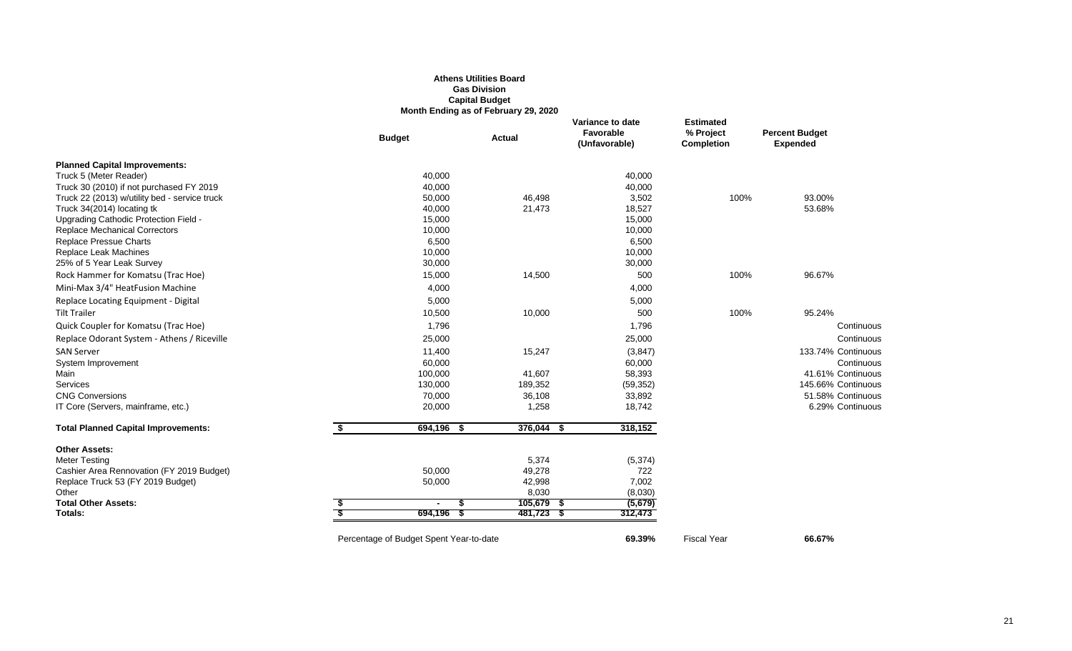#### **Athens Utilities Board Gas Division Capital Budget Month Ending as of February 29, 2020**

|                                               | <b>Budget</b>                           | Actual       | Variance to date<br><b>Favorable</b><br>(Unfavorable) | <b>Estimated</b><br>% Project<br><b>Completion</b> | <b>Percent Budget</b><br><b>Expended</b> |
|-----------------------------------------------|-----------------------------------------|--------------|-------------------------------------------------------|----------------------------------------------------|------------------------------------------|
| <b>Planned Capital Improvements:</b>          |                                         |              |                                                       |                                                    |                                          |
| Truck 5 (Meter Reader)                        | 40,000                                  |              | 40,000                                                |                                                    |                                          |
| Truck 30 (2010) if not purchased FY 2019      | 40,000                                  |              | 40,000                                                |                                                    |                                          |
| Truck 22 (2013) w/utility bed - service truck | 50,000                                  | 46,498       | 3,502                                                 | 100%                                               | 93.00%                                   |
| Truck 34(2014) locating tk                    | 40,000                                  | 21,473       | 18,527                                                |                                                    | 53.68%                                   |
| Upgrading Cathodic Protection Field -         | 15,000                                  |              | 15,000                                                |                                                    |                                          |
| <b>Replace Mechanical Correctors</b>          | 10,000                                  |              | 10,000                                                |                                                    |                                          |
| <b>Replace Pressue Charts</b>                 | 6,500                                   |              | 6,500                                                 |                                                    |                                          |
| Replace Leak Machines                         | 10,000                                  |              | 10,000                                                |                                                    |                                          |
| 25% of 5 Year Leak Survey                     | 30,000                                  |              | 30,000                                                |                                                    |                                          |
| Rock Hammer for Komatsu (Trac Hoe)            | 15,000                                  | 14,500       | 500                                                   | 100%                                               | 96.67%                                   |
| Mini-Max 3/4" HeatFusion Machine              | 4,000                                   |              | 4,000                                                 |                                                    |                                          |
| Replace Locating Equipment - Digital          | 5,000                                   |              | 5,000                                                 |                                                    |                                          |
| <b>Tilt Trailer</b>                           | 10,500                                  | 10,000       | 500                                                   | 100%                                               | 95.24%                                   |
| Quick Coupler for Komatsu (Trac Hoe)          | 1,796                                   |              | 1,796                                                 |                                                    | Continuous                               |
| Replace Odorant System - Athens / Riceville   | 25,000                                  |              | 25,000                                                |                                                    | Continuous                               |
| <b>SAN Server</b>                             | 11,400                                  | 15,247       | (3, 847)                                              |                                                    | 133.74% Continuous                       |
| System Improvement                            | 60,000                                  |              | 60,000                                                |                                                    | Continuous                               |
| Main                                          | 100,000                                 | 41,607       | 58,393                                                |                                                    | 41.61% Continuous                        |
| Services                                      | 130,000                                 | 189,352      | (59, 352)                                             |                                                    | 145.66% Continuous                       |
| <b>CNG Conversions</b>                        | 70,000                                  | 36,108       | 33,892                                                |                                                    | 51.58% Continuous                        |
| IT Core (Servers, mainframe, etc.)            | 20,000                                  | 1,258        | 18,742                                                |                                                    | 6.29% Continuous                         |
| <b>Total Planned Capital Improvements:</b>    | \$<br>694,196 \$                        | $376,044$ \$ | 318,152                                               |                                                    |                                          |
| <b>Other Assets:</b>                          |                                         |              |                                                       |                                                    |                                          |
| <b>Meter Testing</b>                          |                                         | 5,374        | (5, 374)                                              |                                                    |                                          |
| Cashier Area Rennovation (FY 2019 Budget)     | 50,000                                  | 49,278       | 722                                                   |                                                    |                                          |
| Replace Truck 53 (FY 2019 Budget)             | 50,000                                  | 42,998       | 7,002                                                 |                                                    |                                          |
| Other                                         |                                         | 8,030        | (8,030)                                               |                                                    |                                          |
| <b>Total Other Assets:</b>                    |                                         | $105,679$ \$ | (5,679)                                               |                                                    |                                          |
| Totals:                                       | 694,196                                 | 481,723 \$   | 312,473                                               |                                                    |                                          |
|                                               | Percentage of Budget Spent Year-to-date |              | 69.39%                                                | <b>Fiscal Year</b>                                 | 66.67%                                   |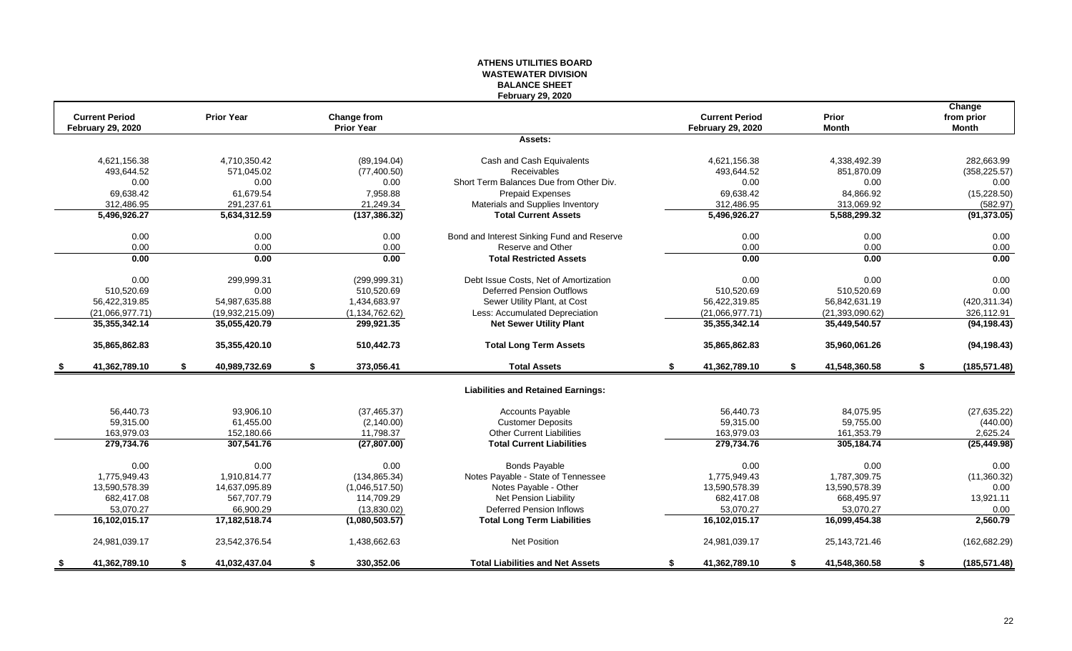#### **ATHENS UTILITIES BOARD WASTEWATER DIVISION BALANCE SHEET February 29, 2020**

|    | <b>Current Period</b>    | <b>Prior Year</b>   | <b>Change from</b> |                                            | <b>Current Period</b>    | Prior               | Change<br>from prior |
|----|--------------------------|---------------------|--------------------|--------------------------------------------|--------------------------|---------------------|----------------------|
|    | <b>February 29, 2020</b> |                     | <b>Prior Year</b>  |                                            | <b>February 29, 2020</b> | <b>Month</b>        | <b>Month</b>         |
|    |                          |                     |                    | Assets:                                    |                          |                     |                      |
|    | 4,621,156.38             | 4,710,350.42        | (89, 194.04)       | Cash and Cash Equivalents                  | 4,621,156.38             | 4,338,492.39        | 282,663.99           |
|    | 493,644.52               | 571,045.02          | (77, 400.50)       | Receivables                                | 493,644.52               | 851,870.09          | (358, 225.57)        |
|    | 0.00                     | 0.00                | 0.00               | Short Term Balances Due from Other Div.    | 0.00                     | 0.00                | 0.00                 |
|    | 69,638.42                | 61,679.54           | 7,958.88           | Prepaid Expenses                           | 69,638.42                | 84,866.92           | (15, 228.50)         |
|    | 312,486.95               | 291,237.61          | 21,249.34          | Materials and Supplies Inventory           | 312,486.95               | 313,069.92          | (582.97)             |
|    | 5,496,926.27             | 5,634,312.59        | (137, 386.32)      | <b>Total Current Assets</b>                | 5,496,926.27             | 5,588,299.32        | (91, 373.05)         |
|    | 0.00                     | 0.00                | 0.00               | Bond and Interest Sinking Fund and Reserve | 0.00                     | 0.00                | 0.00                 |
|    | 0.00                     | 0.00                | 0.00               | Reserve and Other                          | 0.00                     | 0.00                | 0.00                 |
|    | 0.00                     | 0.00                | 0.00               | <b>Total Restricted Assets</b>             | 0.00                     | 0.00                | 0.00                 |
|    | 0.00                     | 299,999.31          | (299, 999.31)      | Debt Issue Costs, Net of Amortization      | 0.00                     | 0.00                | 0.00                 |
|    | 510,520.69               | 0.00                | 510,520.69         | <b>Deferred Pension Outflows</b>           | 510,520.69               | 510,520.69          | 0.00                 |
|    | 56,422,319.85            | 54,987,635.88       | 1,434,683.97       | Sewer Utility Plant, at Cost               | 56,422,319.85            | 56,842,631.19       | (420, 311.34)        |
|    | (21,066,977.71)          | (19,932,215.09)     | (1, 134, 762.62)   | Less: Accumulated Depreciation             | (21,066,977.71)          | (21, 393, 090.62)   | 326,112.91           |
|    | 35, 355, 342. 14         | 35,055,420.79       | 299,921.35         | <b>Net Sewer Utility Plant</b>             | 35,355,342.14            | 35,449,540.57       | (94, 198.43)         |
|    | 35,865,862.83            | 35,355,420.10       | 510,442.73         | <b>Total Long Term Assets</b>              | 35,865,862.83            | 35,960,061.26       | (94, 198.43)         |
| -S | 41,362,789.10            | \$<br>40,989,732.69 | \$<br>373,056.41   | <b>Total Assets</b>                        | \$<br>41,362,789.10      | \$<br>41,548,360.58 | \$<br>(185, 571.48)  |
|    |                          |                     |                    | <b>Liabilities and Retained Earnings:</b>  |                          |                     |                      |
|    | 56,440.73                | 93,906.10           | (37, 465.37)       | <b>Accounts Payable</b>                    | 56,440.73                | 84,075.95           | (27, 635.22)         |
|    | 59,315.00                | 61,455.00           | (2, 140.00)        | <b>Customer Deposits</b>                   | 59,315.00                | 59,755.00           | (440.00)             |
|    | 163,979.03               | 152,180.66          | 11,798.37          | <b>Other Current Liabilities</b>           | 163,979.03               | 161,353.79          | 2,625.24             |
|    | 279,734.76               | 307,541.76          | (27, 807.00)       | <b>Total Current Liabilities</b>           | 279,734.76               | 305,184.74          | (25, 449.98)         |
|    | 0.00                     | 0.00                | 0.00               | <b>Bonds Payable</b>                       | 0.00                     | 0.00                | 0.00                 |
|    | 1,775,949.43             | 1,910,814.77        | (134, 865.34)      | Notes Payable - State of Tennessee         | 1,775,949.43             | 1,787,309.75        | (11,360.32)          |
|    | 13.590.578.39            | 14,637,095.89       | (1,046,517.50)     | Notes Payable - Other                      | 13,590,578.39            | 13.590.578.39       | 0.00                 |
|    | 682,417.08               | 567,707.79          | 114,709.29         | Net Pension Liability                      | 682,417.08               | 668,495.97          | 13,921.11            |
|    | 53,070.27                | 66.900.29           | (13,830.02)        | <b>Deferred Pension Inflows</b>            | 53,070.27                | 53.070.27           | 0.00                 |
|    | 16,102,015.17            | 17,182,518.74       | (1,080,503.57)     | <b>Total Long Term Liabilities</b>         | 16,102,015.17            | 16,099,454.38       | 2,560.79             |
|    | 24,981,039.17            | 23,542,376.54       | 1,438,662.63       | Net Position                               | 24,981,039.17            | 25, 143, 721. 46    | (162, 682.29)        |
|    | 41,362,789.10            | \$<br>41,032,437.04 | \$<br>330,352.06   | <b>Total Liabilities and Net Assets</b>    | \$<br>41,362,789.10      | \$<br>41,548,360.58 | \$<br>(185, 571.48)  |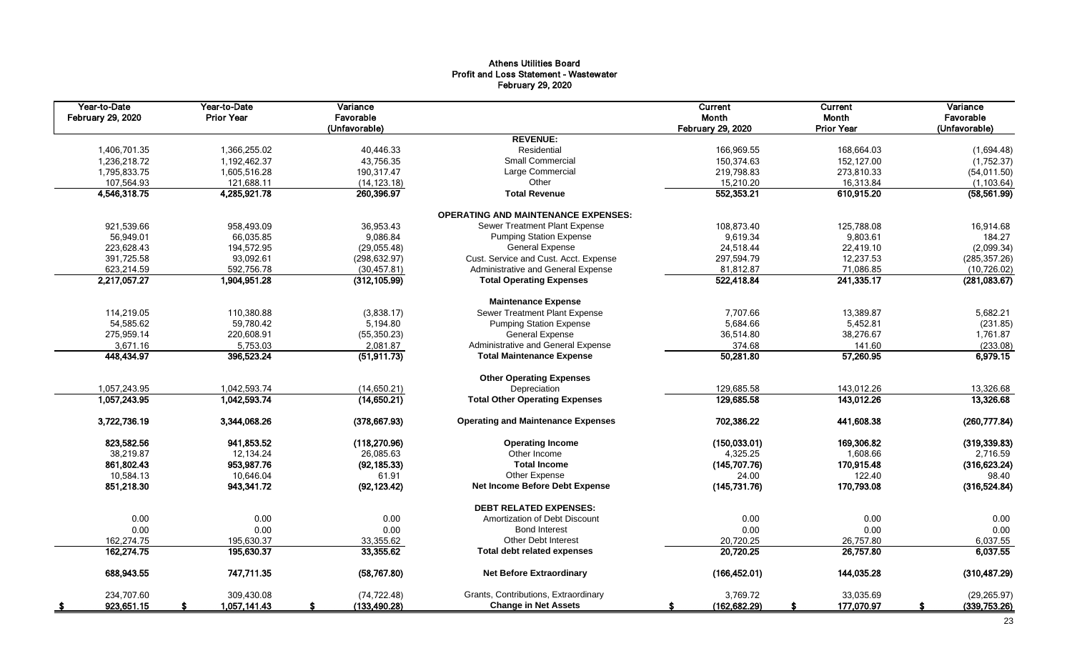# Athens Utilities Board Profit and Loss Statement - Wastewater February 29, 2020

| Year-to-Date<br>February 29, 2020 | Year-to-Date<br><b>Prior Year</b> | Variance<br>Favorable<br>(Unfavorable) |                                            | Current<br>Month<br><b>February 29, 2020</b> | <b>Current</b><br>Month<br><b>Prior Year</b> | Variance<br>Favorable<br>(Unfavorable) |
|-----------------------------------|-----------------------------------|----------------------------------------|--------------------------------------------|----------------------------------------------|----------------------------------------------|----------------------------------------|
|                                   |                                   |                                        | <b>REVENUE:</b>                            |                                              |                                              |                                        |
| 1,406,701.35                      | 1,366,255.02                      | 40,446.33                              | Residential                                | 166,969.55                                   | 168,664.03                                   | (1,694.48)                             |
| 1,236,218.72                      | 1,192,462.37                      | 43,756.35                              | Small Commercial                           | 150,374.63                                   | 152,127.00                                   | (1,752.37)                             |
| 1,795,833.75                      | 1,605,516.28                      | 190,317.47                             | Large Commercial                           | 219,798.83                                   | 273,810.33                                   | (54, 011.50)                           |
| 107,564.93                        | 121,688.11                        | (14, 123.18)                           | Other                                      | 15,210.20                                    | 16,313.84                                    | (1, 103.64)                            |
| 4,546,318.75                      | 4,285,921.78                      | 260,396.97                             | <b>Total Revenue</b>                       | 552,353.21                                   | 610,915.20                                   | (58, 561.99)                           |
|                                   |                                   |                                        | <b>OPERATING AND MAINTENANCE EXPENSES:</b> |                                              |                                              |                                        |
| 921,539.66                        | 958,493.09                        | 36,953.43                              | Sewer Treatment Plant Expense              | 108,873.40                                   | 125.788.08                                   | 16,914.68                              |
| 56,949.01                         | 66,035.85                         | 9,086.84                               | <b>Pumping Station Expense</b>             | 9,619.34                                     | 9,803.61                                     | 184.27                                 |
| 223,628.43                        | 194,572.95                        | (29,055.48)                            | <b>General Expense</b>                     | 24,518.44                                    | 22,419.10                                    | (2,099.34)                             |
| 391,725.58                        | 93.092.61                         | (298, 632.97)                          | Cust. Service and Cust. Acct. Expense      | 297,594.79                                   | 12,237.53                                    | (285, 357.26)                          |
| 623,214.59                        | 592,756.78                        | (30, 457.81)                           | Administrative and General Expense         | 81,812.87                                    | 71,086.85                                    | (10, 726.02)                           |
| 2,217,057.27                      | 1,904,951.28                      | (312, 105.99)                          | <b>Total Operating Expenses</b>            | 522,418.84                                   | 241,335.17                                   | (281,083.67)                           |
|                                   |                                   |                                        | <b>Maintenance Expense</b>                 |                                              |                                              |                                        |
| 114,219.05                        | 110,380.88                        | (3,838.17)                             | Sewer Treatment Plant Expense              | 7,707.66                                     | 13,389.87                                    | 5,682.21                               |
| 54,585.62                         | 59,780.42                         | 5,194.80                               | <b>Pumping Station Expense</b>             | 5,684.66                                     | 5,452.81                                     | (231.85)                               |
| 275,959.14                        | 220,608.91                        | (55, 350.23)                           | <b>General Expense</b>                     | 36,514.80                                    | 38,276.67                                    | 1,761.87                               |
| 3,671.16                          | 5,753.03                          | 2,081.87                               | Administrative and General Expense         | 374.68                                       | 141.60                                       | (233.08)                               |
| 448,434.97                        | 396,523.24                        | (51, 911.73)                           | <b>Total Maintenance Expense</b>           | 50,281.80                                    | 57,260.95                                    | 6,979.15                               |
|                                   |                                   |                                        | <b>Other Operating Expenses</b>            |                                              |                                              |                                        |
| 1,057,243.95                      | 1,042,593.74                      | (14,650.21)                            | Depreciation                               | 129.685.58                                   | 143.012.26                                   | 13,326.68                              |
| 1,057,243.95                      | 1,042,593.74                      | (14,650.21)                            | <b>Total Other Operating Expenses</b>      | 129,685.58                                   | 143,012.26                                   | 13,326.68                              |
| 3,722,736.19                      | 3,344,068.26                      | (378, 667.93)                          | <b>Operating and Maintenance Expenses</b>  | 702,386.22                                   | 441,608.38                                   | (260, 777.84)                          |
| 823,582.56                        | 941,853.52                        | (118, 270.96)                          | <b>Operating Income</b>                    | (150, 033.01)                                | 169,306.82                                   | (319, 339.83)                          |
| 38,219.87                         | 12.134.24                         | 26.085.63                              | Other Income                               | 4,325.25                                     | 1.608.66                                     | 2,716.59                               |
| 861,802.43                        | 953,987.76                        | (92, 185.33)                           | <b>Total Income</b>                        | (145, 707.76)                                | 170,915.48                                   | (316, 623.24)                          |
| 10,584.13                         | 10,646.04                         | 61.91                                  | Other Expense                              | 24.00                                        | 122.40                                       | 98.40                                  |
| 851,218.30                        | 943,341.72                        | (92, 123.42)                           | Net Income Before Debt Expense             | (145, 731.76)                                | 170,793.08                                   | (316, 524.84)                          |
|                                   |                                   |                                        | <b>DEBT RELATED EXPENSES:</b>              |                                              |                                              |                                        |
| 0.00                              | 0.00                              | 0.00                                   | Amortization of Debt Discount              | 0.00                                         | 0.00                                         | 0.00                                   |
| 0.00                              | 0.00                              | 0.00                                   | <b>Bond Interest</b>                       | 0.00                                         | 0.00                                         | 0.00                                   |
| 162,274.75                        | 195,630.37                        | 33,355.62                              | <b>Other Debt Interest</b>                 | 20,720.25                                    | 26,757.80                                    | 6,037.55                               |
| 162,274.75                        | 195,630.37                        | 33,355.62                              | <b>Total debt related expenses</b>         | 20,720.25                                    | 26,757.80                                    | 6,037.55                               |
| 688,943.55                        | 747,711.35                        | (58, 767.80)                           | <b>Net Before Extraordinary</b>            | (166, 452.01)                                | 144,035.28                                   | (310, 487.29)                          |
| 234.707.60                        | 309.430.08                        | (74, 722.48)                           | Grants, Contributions, Extraordinary       | 3,769.72                                     | 33.035.69                                    | (29, 265.97)                           |
| 923,651.15                        | 1,057,141.43                      | (133, 490.28)                          | <b>Change in Net Assets</b>                | (162, 682.29)<br>S                           | 177,070.97<br>£.                             | (339,753.26)<br>S                      |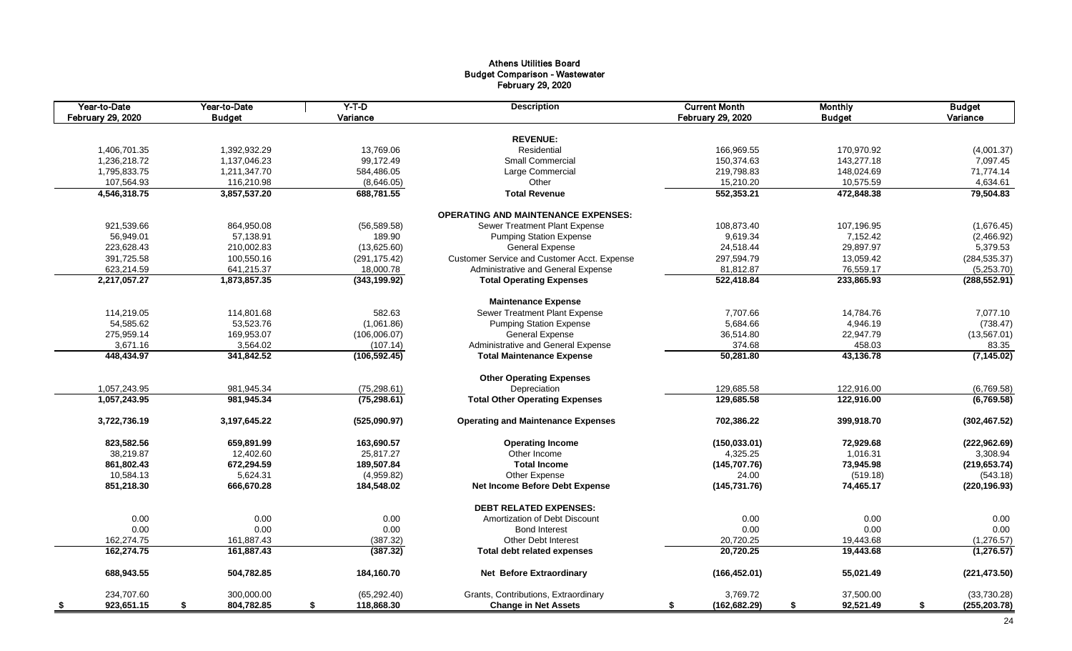# Athens Utilities Board Budget Comparison - Wastewater February 29, 2020

| Year-to-Date<br>February 29, 2020 | Year-to-Date<br><b>Budget</b> | $Y-T-D$<br>Variance | <b>Description</b>                          | <b>Current Month</b><br>February 29, 2020 | <b>Monthly</b><br><b>Budget</b> | <b>Budget</b><br>Variance |
|-----------------------------------|-------------------------------|---------------------|---------------------------------------------|-------------------------------------------|---------------------------------|---------------------------|
|                                   |                               |                     |                                             |                                           |                                 |                           |
|                                   |                               |                     | <b>REVENUE:</b><br>Residential              |                                           |                                 |                           |
| 1,406,701.35                      | 1,392,932.29                  | 13,769.06           |                                             | 166,969.55                                | 170,970.92                      | (4,001.37)                |
| 1,236,218.72                      | 1,137,046.23                  | 99,172.49           | <b>Small Commercial</b>                     | 150,374.63                                | 143,277.18                      | 7,097.45                  |
| 1,795,833.75                      | 1,211,347.70                  | 584,486.05          | Large Commercial                            | 219,798.83                                | 148,024.69                      | 71,774.14                 |
| 107,564.93                        | 116,210.98                    | (8,646.05)          | Other                                       | 15,210.20                                 | 10,575.59                       | 4,634.61                  |
| 4,546,318.75                      | 3,857,537.20                  | 688,781.55          | <b>Total Revenue</b>                        | 552,353.21                                | 472,848.38                      | 79,504.83                 |
|                                   |                               |                     | <b>OPERATING AND MAINTENANCE EXPENSES:</b>  |                                           |                                 |                           |
| 921,539.66                        | 864,950.08                    | (56, 589.58)        | Sewer Treatment Plant Expense               | 108,873.40                                | 107,196.95                      | (1,676.45)                |
| 56,949.01                         | 57,138.91                     | 189.90              | <b>Pumping Station Expense</b>              | 9,619.34                                  | 7,152.42                        | (2,466.92)                |
| 223,628.43                        | 210,002.83                    | (13,625.60)         | <b>General Expense</b>                      | 24,518.44                                 | 29,897.97                       | 5,379.53                  |
| 391,725.58                        | 100,550.16                    | (291, 175.42)       | Customer Service and Customer Acct. Expense | 297,594.79                                | 13,059.42                       | (284, 535.37)             |
| 623,214.59                        | 641,215.37                    | 18,000.78           | Administrative and General Expense          | 81,812.87                                 | 76,559.17                       | (5,253.70)                |
| 2,217,057.27                      | 1,873,857.35                  | (343, 199.92)       | <b>Total Operating Expenses</b>             | 522,418.84                                | 233,865.93                      | (288, 552.91)             |
|                                   |                               |                     | <b>Maintenance Expense</b>                  |                                           |                                 |                           |
| 114,219.05                        | 114,801.68                    | 582.63              | Sewer Treatment Plant Expense               | 7,707.66                                  | 14,784.76                       | 7,077.10                  |
| 54,585.62                         | 53,523.76                     | (1,061.86)          | <b>Pumping Station Expense</b>              | 5,684.66                                  | 4,946.19                        | (738.47)                  |
| 275,959.14                        | 169,953.07                    | (106,006.07)        | <b>General Expense</b>                      | 36,514.80                                 | 22,947.79                       | (13, 567.01)              |
| 3,671.16                          | 3,564.02                      | (107.14)            | Administrative and General Expense          | 374.68                                    | 458.03                          | 83.35                     |
| 448,434.97                        | 341,842.52                    | (106, 592.45)       | <b>Total Maintenance Expense</b>            | 50,281.80                                 | 43,136.78                       | (7, 145.02)               |
|                                   |                               |                     |                                             |                                           |                                 |                           |
|                                   |                               |                     | <b>Other Operating Expenses</b>             |                                           |                                 |                           |
| 1,057,243.95                      | 981,945.34                    | (75, 298.61)        | Depreciation                                | 129,685.58                                | 122,916.00                      | (6,769.58)                |
| 1,057,243.95                      | 981,945.34                    | (75, 298.61)        | <b>Total Other Operating Expenses</b>       | 129,685.58                                | 122,916.00                      | (6, 769.58)               |
| 3,722,736.19                      | 3,197,645.22                  | (525,090.97)        | <b>Operating and Maintenance Expenses</b>   | 702,386.22                                | 399,918.70                      | (302, 467.52)             |
| 823,582.56                        | 659,891.99                    | 163,690.57          | <b>Operating Income</b>                     | (150, 033.01)                             | 72,929.68                       | (222, 962.69)             |
| 38,219.87                         | 12,402.60                     | 25,817.27           | Other Income                                | 4,325.25                                  | 1,016.31                        | 3,308.94                  |
| 861,802.43                        | 672,294.59                    | 189,507.84          | <b>Total Income</b>                         | (145, 707.76)                             | 73,945.98                       | (219, 653.74)             |
| 10,584.13                         | 5,624.31                      | (4,959.82)          | Other Expense                               | 24.00                                     | (519.18)                        | (543.18)                  |
| 851,218.30                        | 666,670.28                    | 184,548.02          | Net Income Before Debt Expense              | (145, 731.76)                             | 74,465.17                       | (220, 196.93)             |
|                                   |                               |                     | <b>DEBT RELATED EXPENSES:</b>               |                                           |                                 |                           |
| 0.00                              | 0.00                          | 0.00                | Amortization of Debt Discount               | 0.00                                      | 0.00                            |                           |
|                                   |                               |                     | <b>Bond Interest</b>                        |                                           | 0.00                            | 0.00                      |
| 0.00                              | 0.00                          | 0.00                |                                             | 0.00                                      |                                 | 0.00                      |
| 162,274.75                        | 161,887.43                    | (387.32)            | Other Debt Interest                         | 20,720.25                                 | 19,443.68                       | (1,276.57)                |
| 162,274.75                        | 161,887.43                    | (387.32)            | Total debt related expenses                 | 20,720.25                                 | 19,443.68                       | (1, 276.57)               |
| 688,943.55                        | 504,782.85                    | 184,160.70          | <b>Net Before Extraordinary</b>             | (166, 452.01)                             | 55,021.49                       | (221, 473.50)             |
| 234,707.60                        | 300,000.00                    | (65, 292.40)        | Grants, Contributions, Extraordinary        | 3,769.72                                  | 37,500.00                       | (33,730.28)               |
| 923,651.15<br>- \$                | 804,782.85<br>\$              | \$<br>118,868.30    | <b>Change in Net Assets</b>                 | (162, 682.29)<br>\$                       | \$<br>92,521.49                 | \$<br>(255, 203.78)       |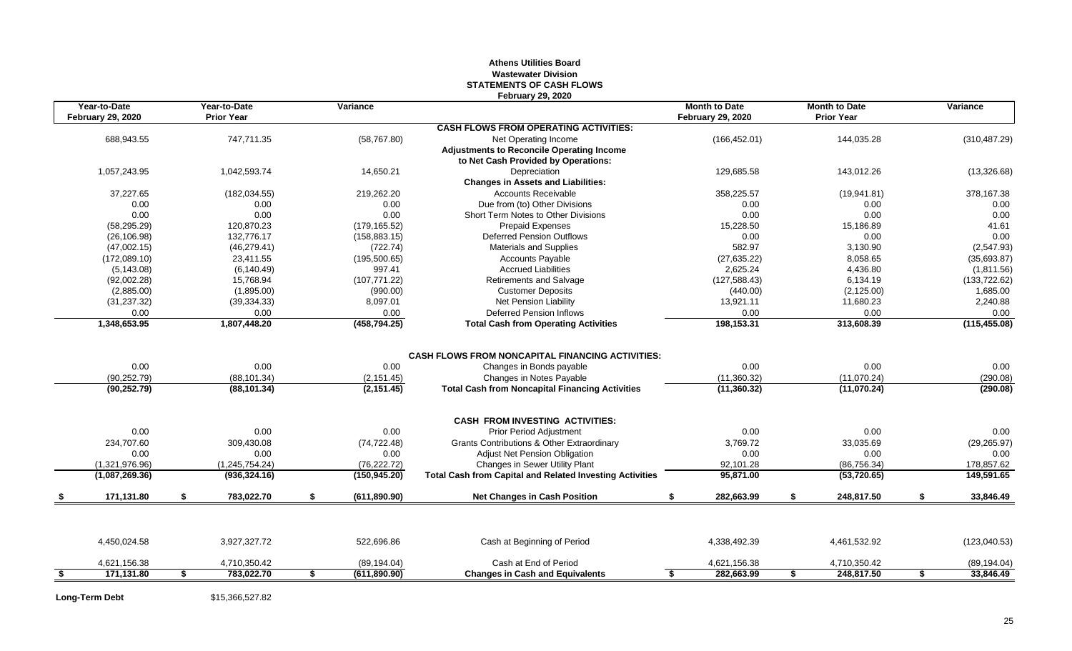### **Athens Utilities Board Wastewater Division STATEMENTS OF CASH FLOWS February 29, 2020**

| Year-to-Date<br><b>February 29, 2020</b> | Year-to-Date<br><b>Prior Year</b> | Variance      |                                                                 | <b>Month to Date</b><br><b>February 29, 2020</b> |    | <b>Month to Date</b><br><b>Prior Year</b> |    | Variance                     |
|------------------------------------------|-----------------------------------|---------------|-----------------------------------------------------------------|--------------------------------------------------|----|-------------------------------------------|----|------------------------------|
|                                          |                                   |               | <b>CASH FLOWS FROM OPERATING ACTIVITIES:</b>                    |                                                  |    |                                           |    |                              |
| 688,943.55                               | 747,711.35                        | (58, 767.80)  | Net Operating Income                                            | (166, 452.01)                                    |    | 144,035.28                                |    | (310, 487.29)                |
|                                          |                                   |               | <b>Adjustments to Reconcile Operating Income</b>                |                                                  |    |                                           |    |                              |
|                                          |                                   |               | to Net Cash Provided by Operations:                             |                                                  |    |                                           |    |                              |
| 1.057.243.95                             | 1.042.593.74                      | 14.650.21     | Depreciation                                                    | 129.685.58                                       |    | 143.012.26                                |    | (13,326.68)                  |
|                                          |                                   |               | <b>Changes in Assets and Liabilities:</b>                       |                                                  |    |                                           |    |                              |
| 37,227.65                                | (182, 034.55)                     | 219,262.20    | <b>Accounts Receivable</b>                                      | 358,225.57                                       |    | (19,941.81)                               |    | 378,167.38                   |
| 0.00                                     | 0.00                              | 0.00          | Due from (to) Other Divisions                                   | 0.00                                             |    | 0.00                                      |    | 0.00                         |
| 0.00                                     | 0.00                              | 0.00          | Short Term Notes to Other Divisions                             | 0.00                                             |    | 0.00                                      |    | 0.00                         |
| (58, 295.29)                             | 120,870.23                        | (179, 165.52) | <b>Prepaid Expenses</b>                                         | 15,228.50                                        |    | 15,186.89                                 |    | 41.61                        |
| (26, 106.98)                             | 132.776.17                        | (158, 883.15) | <b>Deferred Pension Outflows</b>                                | 0.00                                             |    | 0.00                                      |    | 0.00                         |
| (47,002.15)                              | (46, 279.41)                      | (722.74)      | <b>Materials and Supplies</b>                                   | 582.97                                           |    | 3,130.90                                  |    | (2,547.93)                   |
| (172,089.10)                             | 23,411.55                         | (195, 500.65) | <b>Accounts Payable</b>                                         | (27, 635.22)                                     |    | 8,058.65                                  |    | (35,693.87)                  |
| (5, 143.08)                              | (6, 140.49)                       | 997.41        | <b>Accrued Liabilities</b>                                      | 2,625.24                                         |    | 4,436.80                                  |    | (1,811.56)                   |
| (92,002.28)                              | 15,768.94                         | (107, 771.22) | Retirements and Salvage                                         | (127, 588.43)                                    |    | 6,134.19                                  |    | (133, 722.62)                |
| (2,885.00)                               | (1,895.00)                        | (990.00)      | <b>Customer Deposits</b>                                        | (440.00)                                         |    | (2, 125.00)                               |    | 1,685.00                     |
| (31, 237.32)                             | (39, 334.33)                      | 8,097.01      | Net Pension Liability                                           | 13,921.11                                        |    | 11,680.23                                 |    | 2,240.88                     |
| 0.00                                     | 0.00                              | 0.00          | Deferred Pension Inflows                                        | 0.00                                             |    | 0.00                                      |    | 0.00                         |
| 1,348,653.95                             | 1,807,448.20                      | (458, 794.25) | <b>Total Cash from Operating Activities</b>                     | 198,153.31                                       |    | 313,608.39                                |    | (115, 455.08)                |
|                                          |                                   |               |                                                                 |                                                  |    |                                           |    |                              |
|                                          |                                   |               | <b>CASH FLOWS FROM NONCAPITAL FINANCING ACTIVITIES:</b>         |                                                  |    |                                           |    |                              |
| 0.00                                     | 0.00                              | 0.00          | Changes in Bonds payable                                        | 0.00                                             |    | 0.00                                      |    | 0.00                         |
| (90, 252.79)                             | (88, 101.34)                      | (2, 151.45)   | Changes in Notes Payable                                        | (11,360.32)                                      |    | (11,070.24)                               |    | (290.08)                     |
| (90, 252.79)                             | (88, 101.34)                      | (2, 151.45)   | <b>Total Cash from Noncapital Financing Activities</b>          | (11,360.32)                                      |    | (11,070.24)                               |    | (290.08)                     |
|                                          |                                   |               | <b>CASH FROM INVESTING ACTIVITIES:</b>                          |                                                  |    |                                           |    |                              |
| 0.00                                     | 0.00                              | 0.00          | <b>Prior Period Adjustment</b>                                  | 0.00                                             |    | 0.00                                      |    | 0.00                         |
| 234.707.60                               | 309,430.08                        | (74, 722.48)  | <b>Grants Contributions &amp; Other Extraordinary</b>           | 3.769.72                                         |    | 33,035.69                                 |    | (29, 265.97)                 |
| 0.00                                     | 0.00                              | 0.00          | <b>Adjust Net Pension Obligation</b>                            | 0.00                                             |    | 0.00                                      |    | 0.00                         |
| (1,321,976.96)                           | (1,245,754.24)                    | (76, 222.72)  | Changes in Sewer Utility Plant                                  | 92,101.28                                        |    | (86, 756.34)                              |    | 178,857.62                   |
| (1,087,269.36)                           | (936, 324.16)                     | (150, 945.20) | <b>Total Cash from Capital and Related Investing Activities</b> | 95,871.00                                        |    | (53, 720.65)                              |    | 149,591.65                   |
|                                          |                                   |               |                                                                 |                                                  |    |                                           |    |                              |
|                                          | \$<br>783.022.70                  | \$            |                                                                 | 282.663.99<br>S.                                 | s. |                                           | S. |                              |
| 171,131.80                               |                                   | (611, 890.90) | <b>Net Changes in Cash Position</b>                             |                                                  |    | 248,817.50                                |    | 33,846.49                    |
| 4,450,024.58                             | 3,927,327.72                      | 522,696.86    | Cash at Beginning of Period                                     | 4,338,492.39                                     |    | 4,461,532.92                              |    |                              |
| 4,621,156.38                             | 4,710,350.42                      | (89, 194.04)  | Cash at End of Period                                           | 4,621,156.38                                     |    | 4,710,350.42                              |    | (123,040.53)<br>(89, 194.04) |

**Long-Term Debt** \$15,366,527.82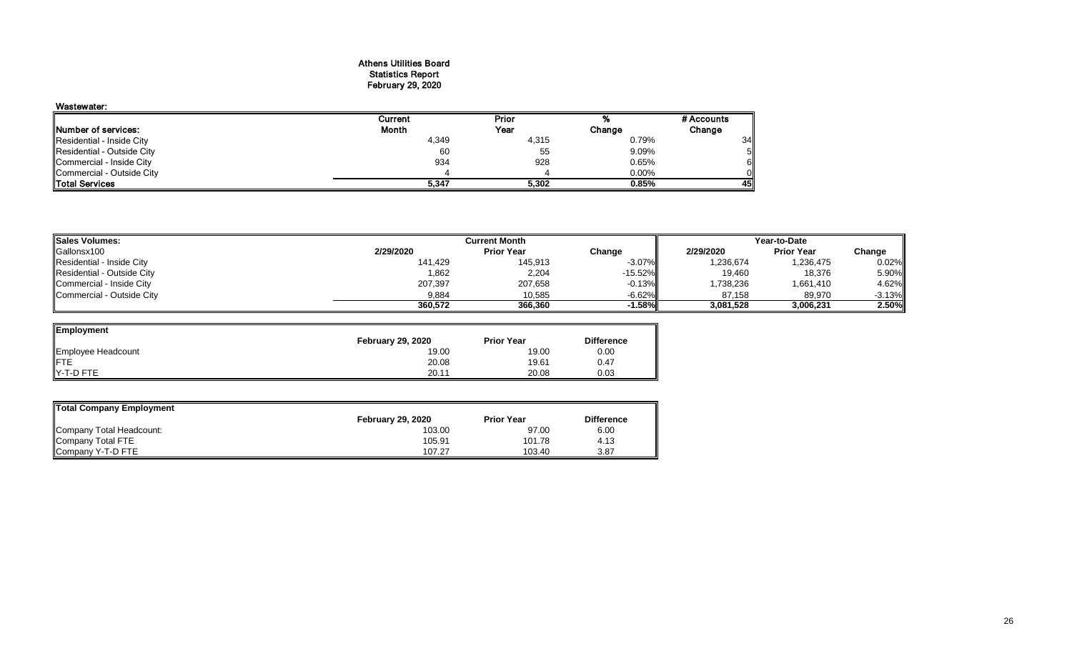#### Athens Utilities Board Statistics Report February 29, 2020

# Wastewater:

|                             | Current | Prior |        | # Accounts |
|-----------------------------|---------|-------|--------|------------|
| <b>INumber of services:</b> | Month   | Year  | Change | Change     |
| Residential - Inside City   | 4,349   | 4,315 | 0.79%  | 34         |
| Residential - Outside City  | 60      | 55    | 9.09%  | 5Ι         |
| Commercial - Inside City    | 934     | 928   | 0.65%  | 6I         |
| Commercial - Outside City   |         |       | 0.00%  | Οl         |
| <b>ITotal Services</b>      | 5,347   | 5.302 | 0.85%  | 45I        |

| <b>Sales Volumes:</b>      |           | Year-to-Date      |            |           |                   |           |
|----------------------------|-----------|-------------------|------------|-----------|-------------------|-----------|
| Gallonsx100                | 2/29/2020 | <b>Prior Year</b> | Change     | 2/29/2020 | <b>Prior Year</b> | Change    |
| Residential - Inside City  | 141,429   | 145,913           | $-3.07\%$  | 1,236,674 | 1,236,475         | 0.02%     |
| Residential - Outside City | 1,862     | 2,204             | $-15.52\%$ | 19,460    | 18,376            | 5.90%     |
| Commercial - Inside City   | 207,397   | 207,658           | $-0.13%$   | 1,738,236 | 1,661,410         | 4.62%     |
| Commercial - Outside City  | 9,884     | 10,585            | $-6.62%$   | 87.158    | 89,970            | $-3.13\%$ |
|                            | 360.572   | 366.360           | -1.58%I    | 3,081,528 | 3,006,231         | 2.50%     |

| Employment         |                          |                   |                   |
|--------------------|--------------------------|-------------------|-------------------|
|                    | <b>February 29, 2020</b> | <b>Prior Year</b> | <b>Difference</b> |
| Employee Headcount | 19.00                    | 19.00             | 0.00              |
|                    | 20.08                    | 19.61             | 0.47              |
| IY-T-D FTE         | 20.11                    | 20.08             | 0.03              |

| Total Company Employment |                   |                   |                   |
|--------------------------|-------------------|-------------------|-------------------|
|                          | February 29, 2020 | <b>Prior Year</b> | <b>Difference</b> |
| Company Total Headcount: | 103.00            | 97.00             | 6.00              |
| Company Total FTE        | 105.91            | 101.78            | 4.13              |
| Company Y-T-D FTE        | 107.27            | 103.40            | 3.87              |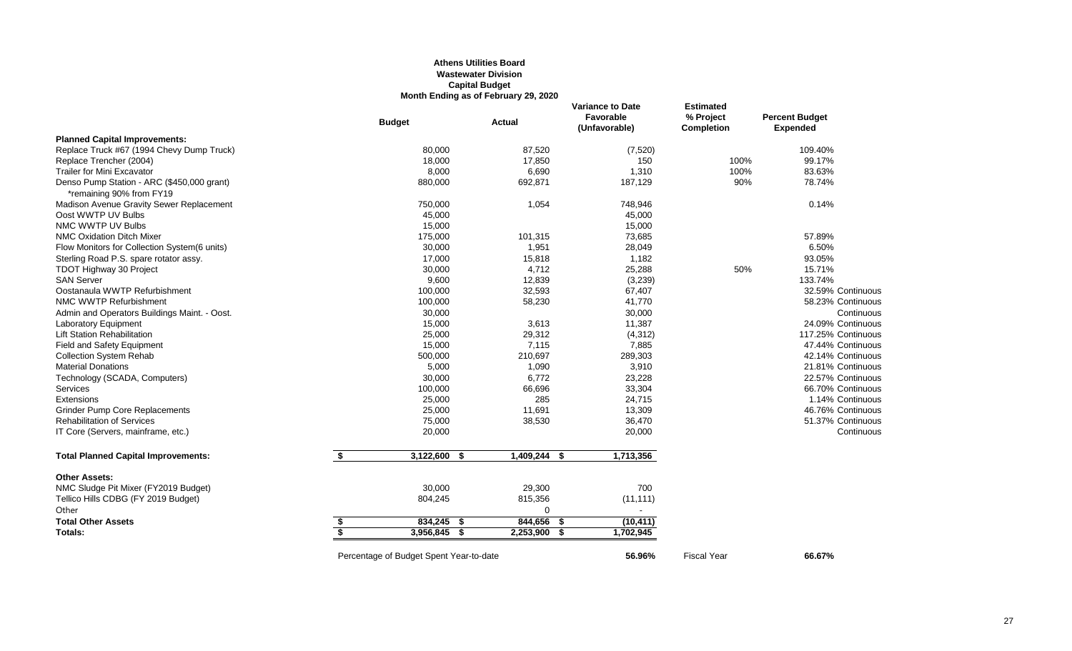#### **Athens Utilities Board Wastewater Division Capital Budget Month Ending as of February 29, 2020**

|                                                                        |                         | <b>Budget</b>                           | <b>Actual</b>   | <b>Variance to Date</b><br>Favorable<br>(Unfavorable) | <b>Estimated</b><br>% Project<br><b>Completion</b> | <b>Percent Budget</b><br><b>Expended</b> |
|------------------------------------------------------------------------|-------------------------|-----------------------------------------|-----------------|-------------------------------------------------------|----------------------------------------------------|------------------------------------------|
| <b>Planned Capital Improvements:</b>                                   |                         |                                         |                 |                                                       |                                                    |                                          |
| Replace Truck #67 (1994 Chevy Dump Truck)                              |                         | 80,000                                  | 87,520          | (7, 520)                                              |                                                    | 109.40%                                  |
| Replace Trencher (2004)                                                |                         | 18,000                                  | 17,850          | 150                                                   | 100%                                               | 99.17%                                   |
| <b>Trailer for Mini Excavator</b>                                      |                         | 8,000                                   | 6,690           | 1,310                                                 | 100%                                               | 83.63%                                   |
| Denso Pump Station - ARC (\$450,000 grant)<br>*remaining 90% from FY19 |                         | 880,000                                 | 692,871         | 187,129                                               | 90%                                                | 78.74%                                   |
| Madison Avenue Gravity Sewer Replacement                               |                         | 750,000                                 | 1,054           | 748,946                                               |                                                    | 0.14%                                    |
| Oost WWTP UV Bulbs                                                     |                         | 45,000                                  |                 | 45,000                                                |                                                    |                                          |
| NMC WWTP UV Bulbs                                                      |                         | 15,000                                  |                 | 15,000                                                |                                                    |                                          |
| <b>NMC Oxidation Ditch Mixer</b>                                       |                         | 175,000                                 | 101,315         | 73,685                                                |                                                    | 57.89%                                   |
| Flow Monitors for Collection System(6 units)                           |                         | 30,000                                  | 1,951           | 28,049                                                |                                                    | 6.50%                                    |
| Sterling Road P.S. spare rotator assy.                                 |                         | 17,000                                  | 15,818          | 1,182                                                 |                                                    | 93.05%                                   |
| <b>TDOT Highway 30 Project</b>                                         |                         | 30,000                                  | 4,712           | 25,288                                                | 50%                                                | 15.71%                                   |
| <b>SAN Server</b>                                                      |                         | 9,600                                   | 12,839          | (3,239)                                               |                                                    | 133.74%                                  |
| Oostanaula WWTP Refurbishment                                          |                         | 100,000                                 | 32,593          | 67,407                                                |                                                    | 32.59% Continuous                        |
| NMC WWTP Refurbishment                                                 |                         | 100,000                                 | 58,230          | 41,770                                                |                                                    | 58.23% Continuous                        |
| Admin and Operators Buildings Maint. - Oost.                           |                         | 30,000                                  |                 | 30,000                                                |                                                    | Continuous                               |
| Laboratory Equipment                                                   |                         | 15,000                                  | 3,613           | 11,387                                                |                                                    | 24.09% Continuous                        |
| <b>Lift Station Rehabilitation</b>                                     |                         | 25,000                                  | 29,312          | (4, 312)                                              |                                                    | 117.25% Continuous                       |
| <b>Field and Safety Equipment</b>                                      |                         | 15,000                                  | 7,115           | 7,885                                                 |                                                    | 47.44% Continuous                        |
| <b>Collection System Rehab</b>                                         |                         | 500,000                                 | 210,697         | 289,303                                               |                                                    | 42.14% Continuous                        |
| <b>Material Donations</b>                                              |                         | 5,000                                   | 1,090           | 3,910                                                 |                                                    | 21.81% Continuous                        |
| Technology (SCADA, Computers)                                          |                         | 30,000                                  | 6,772           | 23,228                                                |                                                    | 22.57% Continuous                        |
| Services                                                               |                         | 100,000                                 | 66,696          | 33,304                                                |                                                    | 66.70% Continuous                        |
| Extensions                                                             |                         | 25,000                                  | 285             | 24,715                                                |                                                    | 1.14% Continuous                         |
| <b>Grinder Pump Core Replacements</b>                                  |                         | 25,000                                  | 11,691          | 13,309                                                |                                                    | 46.76% Continuous                        |
| <b>Rehabilitation of Services</b>                                      |                         | 75,000                                  | 38,530          | 36,470                                                |                                                    | 51.37% Continuous                        |
| IT Core (Servers, mainframe, etc.)                                     |                         | 20,000                                  |                 | 20,000                                                |                                                    | Continuous                               |
| <b>Total Planned Capital Improvements:</b>                             | \$                      | $3,122,600$ \$                          | $1,409,244$ \$  | 1,713,356                                             |                                                    |                                          |
| <b>Other Assets:</b>                                                   |                         |                                         |                 |                                                       |                                                    |                                          |
| NMC Sludge Pit Mixer (FY2019 Budget)                                   |                         | 30,000                                  | 29,300          | 700                                                   |                                                    |                                          |
| Tellico Hills CDBG (FY 2019 Budget)                                    |                         | 804,245                                 | 815,356         | (11, 111)                                             |                                                    |                                          |
| Other                                                                  |                         |                                         | $\Omega$        | $\sim$                                                |                                                    |                                          |
| <b>Total Other Assets</b>                                              | \$                      | 834,245 \$                              | 844,656<br>- \$ | (10, 411)                                             |                                                    |                                          |
| Totals:                                                                | $\overline{\mathbf{s}}$ | 3,956,845<br>- \$                       | 2,253,900       | 1,702,945<br>\$                                       |                                                    |                                          |
|                                                                        |                         | Percentage of Budget Spent Year-to-date |                 | 56.96%                                                | <b>Fiscal Year</b>                                 | 66.67%                                   |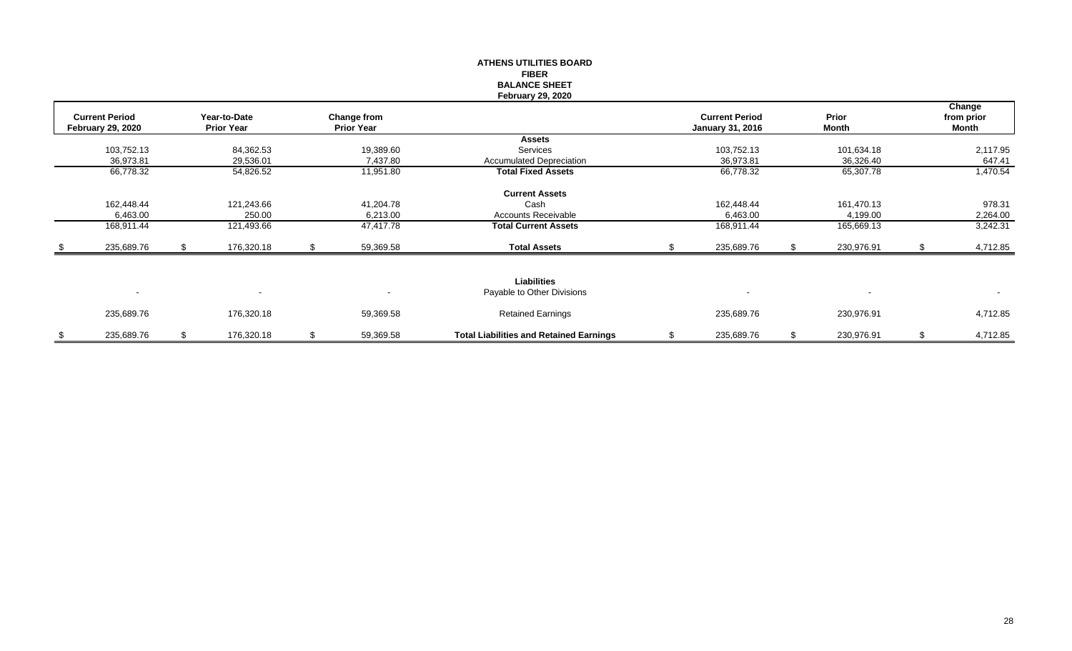|                          |    |                   |    |                   | <b>ATHENS UTILITIES BOARD</b>                  |                         |                  |    |            |
|--------------------------|----|-------------------|----|-------------------|------------------------------------------------|-------------------------|------------------|----|------------|
|                          |    |                   |    |                   | <b>FIBER</b>                                   |                         |                  |    |            |
|                          |    |                   |    |                   | <b>BALANCE SHEET</b>                           |                         |                  |    |            |
|                          |    |                   |    |                   | <b>February 29, 2020</b>                       |                         |                  |    |            |
|                          |    |                   |    |                   |                                                |                         |                  |    | Change     |
| <b>Current Period</b>    |    | Year-to-Date      |    | Change from       |                                                | <b>Current Period</b>   | Prior            |    | from prior |
| <b>February 29, 2020</b> |    | <b>Prior Year</b> |    | <b>Prior Year</b> |                                                | <b>January 31, 2016</b> | Month            |    | Month      |
|                          |    |                   |    |                   | <b>Assets</b>                                  |                         |                  |    |            |
| 103,752.13               |    | 84,362.53         |    | 19,389.60         | Services                                       | 103,752.13              | 101,634.18       |    | 2,117.95   |
| 36,973.81                |    | 29,536.01         |    | 7,437.80          | <b>Accumulated Depreciation</b>                | 36,973.81               | 36,326.40        |    | 647.41     |
| 66,778.32                |    | 54,826.52         |    | 11,951.80         | <b>Total Fixed Assets</b>                      | 66,778.32               | 65,307.78        |    | 1,470.54   |
|                          |    |                   |    |                   | <b>Current Assets</b>                          |                         |                  |    |            |
| 162,448.44               |    | 121,243.66        |    | 41,204.78         | Cash                                           | 162,448.44              | 161,470.13       |    | 978.31     |
| 6,463.00                 |    | 250.00            |    | 6,213.00          | Accounts Receivable                            | 6,463.00                | 4,199.00         |    | 2,264.00   |
| 168,911.44               |    | 121,493.66        |    | 47,417.78         | <b>Total Current Assets</b>                    | 168,911.44              | 165,669.13       |    | 3,242.31   |
| 235,689.76               | S. | 176,320.18        | S. | 59,369.58         | <b>Total Assets</b>                            | 235,689.76              | 230,976.91       | .S | 4,712.85   |
|                          |    |                   |    |                   |                                                |                         |                  |    |            |
|                          |    |                   |    |                   | <b>Liabilities</b>                             |                         |                  |    |            |
| $\overline{\phantom{a}}$ |    |                   |    |                   | Payable to Other Divisions                     |                         |                  |    | $\sim$     |
| 235,689.76               |    | 176,320.18        |    | 59,369.58         | <b>Retained Earnings</b>                       | 235,689.76              | 230,976.91       |    | 4,712.85   |
| \$<br>235,689.76         | \$ | 176,320.18        | \$ | 59,369.58         | <b>Total Liabilities and Retained Earnings</b> | \$<br>235,689.76        | \$<br>230,976.91 | \$ | 4,712.85   |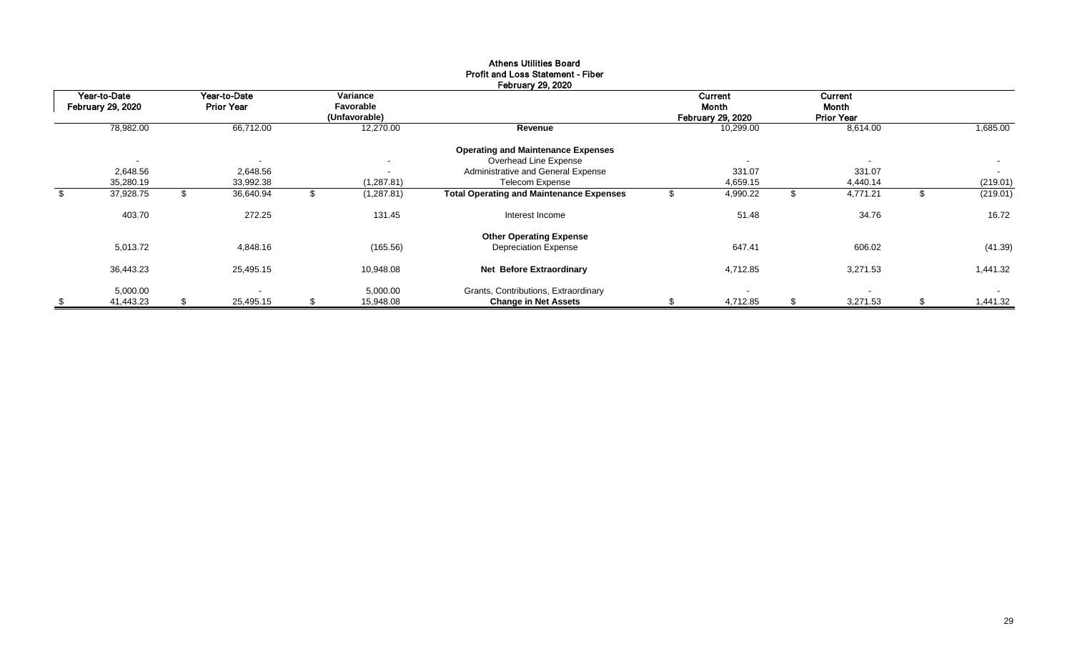|                                          |    |                                   |                                        | repruary 29, 2020                               |                                              |                                              |          |
|------------------------------------------|----|-----------------------------------|----------------------------------------|-------------------------------------------------|----------------------------------------------|----------------------------------------------|----------|
| Year-to-Date<br><b>February 29, 2020</b> |    | Year-to-Date<br><b>Prior Year</b> | Variance<br>Favorable<br>(Unfavorable) |                                                 | Current<br>Month<br><b>February 29, 2020</b> | <b>Current</b><br>Month<br><b>Prior Year</b> |          |
| 78,982.00                                |    | 66,712.00                         | 12,270.00                              | Revenue                                         | 10,299.00                                    | 8,614.00                                     | 1,685.00 |
|                                          |    |                                   |                                        | <b>Operating and Maintenance Expenses</b>       |                                              |                                              |          |
| $\overline{\phantom{a}}$                 |    | $\overline{\phantom{a}}$          | $\blacksquare$                         | Overhead Line Expense                           |                                              |                                              | $\sim$   |
| 2,648.56                                 |    | 2,648.56                          | $\overline{\phantom{a}}$               | Administrative and General Expense              | 331.07                                       | 331.07                                       | $\sim$   |
| 35,280.19                                |    | 33,992.38                         | (1, 287.81)                            | Telecom Expense                                 | 4,659.15                                     | 4,440.14                                     | (219.01) |
| \$<br>37,928.75                          |    | 36,640.94                         | (1, 287.81)                            | <b>Total Operating and Maintenance Expenses</b> | 4,990.22                                     | 4,771.21                                     | (219.01) |
| 403.70                                   |    | 272.25                            | 131.45                                 | Interest Income                                 | 51.48                                        | 34.76                                        | 16.72    |
|                                          |    |                                   |                                        | <b>Other Operating Expense</b>                  |                                              |                                              |          |
| 5,013.72                                 |    | 4,848.16                          | (165.56)                               | <b>Depreciation Expense</b>                     | 647.41                                       | 606.02                                       | (41.39)  |
| 36,443.23                                |    | 25,495.15                         | 10,948.08                              | Net Before Extraordinary                        | 4,712.85                                     | 3,271.53                                     | 1,441.32 |
| 5,000.00                                 |    | $\overline{\phantom{0}}$          | 5,000.00                               | Grants, Contributions, Extraordinary            |                                              |                                              | $\sim$   |
| \$<br>41,443.23                          | S. | 25,495.15                         | \$<br>15,948.08                        | <b>Change in Net Assets</b>                     | 4,712.85                                     | 3,271.53                                     | 1,441.32 |

#### Athens Utilities Board Profit and Loss Statement - Fiber February 29, 2020